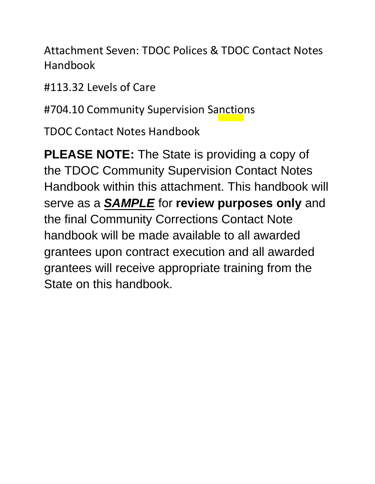Attachment Seven: TDOC Polices & TDOC Contact Notes Handbook

#113.32 Levels of Care

#704.10 Community Supervision Sanctions

TDOC Contact Notes Handbook

**PLEASE NOTE:** The State is providing a copy of the TDOC Community Supervision Contact Notes Handbook within this attachment. This handbook will serve as a *SAMPLE* for **review purposes only** and the final Community Corrections Contact Note handbook will be made available to all awarded grantees upon contract execution and all awarded grantees will receive appropriate training from the State on this handbook.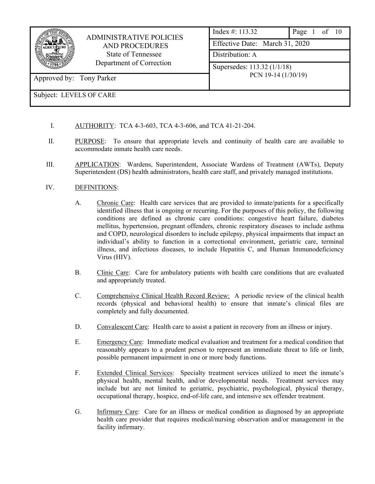| <b>ADMINISTRATIVE POLICIES</b><br><b>AND PROCEDURES</b><br>State of Tennessee<br>Department of Correction |                             | Index $\#$ : 113.32<br>of $10$<br>Page 1 |                                |  |  |  |
|-----------------------------------------------------------------------------------------------------------|-----------------------------|------------------------------------------|--------------------------------|--|--|--|
|                                                                                                           |                             |                                          | Effective Date: March 31, 2020 |  |  |  |
|                                                                                                           | Distribution: A             |                                          |                                |  |  |  |
|                                                                                                           | Supersedes: 113.32 (1/1/18) |                                          |                                |  |  |  |
| Approved by: Tony Parker                                                                                  |                             | PCN 19-14 $(1/30/19)$                    |                                |  |  |  |
| Subject: LEVELS OF CARE                                                                                   |                             |                                          |                                |  |  |  |

- I. AUTHORITY: TCA 4-3-603, TCA 4-3-606, and TCA 41-21-204.
- II. PURPOSE: To ensure that appropriate levels and continuity of health care are available to accommodate inmate health care needs.
- III. APPLICATION: Wardens, Superintendent, Associate Wardens of Treatment (AWTs), Deputy Superintendent (DS) health administrators, health care staff, and privately managed institutions.
- IV. DEFINITIONS:
	- A. Chronic Care: Health care services that are provided to inmate/patients for a specifically identified illness that is ongoing or recurring. For the purposes of this policy, the following conditions are defined as chronic care conditions: congestive heart failure, diabetes mellitus, hypertension, pregnant offenders, chronic respiratory diseases to include asthma and COPD, neurological disorders to include epilepsy, physical impairments that impact an individual's ability to function in a correctional environment, geriatric care, terminal illness, and infectious diseases, to include Hepatitis C, and Human Immunodeficiency Virus (HIV).
	- B. Clinic Care: Care for ambulatory patients with health care conditions that are evaluated and appropriately treated.
	- C. Comprehensive Clinical Health Record Review: A periodic review of the clinical health records (physical and behavioral health) to ensure that inmate's clinical files are completely and fully documented.
	- D. Convalescent Care: Health care to assist a patient in recovery from an illness or injury.
	- E. Emergency Care: Immediate medical evaluation and treatment for a medical condition that reasonably appears to a prudent person to represent an immediate threat to life or limb, possible permanent impairment in one or more body functions.
	- F. Extended Clinical Services: Specialty treatment services utilized to meet the inmate's physical health, mental health, and/or developmental needs. Treatment services may include but are not limited to geriatric, psychiatric, psychological, physical therapy, occupational therapy, hospice, end-of-life care, and intensive sex offender treatment.
	- G. Infirmary Care: Care for an illness or medical condition as diagnosed by an appropriate health care provider that requires medical/nursing observation and/or management in the facility infirmary.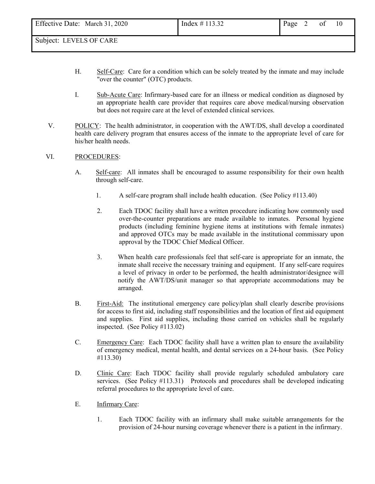Subject: LEVELS OF CARE

- H. Self-Care: Care for a condition which can be solely treated by the inmate and may include "over the counter" (OTC) products.
- I. Sub-Acute Care: Infirmary-based care for an illness or medical condition as diagnosed by an appropriate health care provider that requires care above medical/nursing observation but does not require care at the level of extended clinical services.
- V. POLICY: The health administrator, in cooperation with the AWT/DS, shall develop a coordinated health care delivery program that ensures access of the inmate to the appropriate level of care for his/her health needs.

#### VI. PROCEDURES:

- A. Self-care: All inmates shall be encouraged to assume responsibility for their own health through self-care.
	- 1. A self-care program shall include health education. (See Policy #113.40)
	- 2. Each TDOC facility shall have a written procedure indicating how commonly used over-the-counter preparations are made available to inmates. Personal hygiene products (including feminine hygiene items at institutions with female inmates) and approved OTCs may be made available in the institutional commissary upon approval by the TDOC Chief Medical Officer.
	- 3. When health care professionals feel that self-care is appropriate for an inmate, the inmate shall receive the necessary training and equipment. If any self-care requires a level of privacy in order to be performed, the health administrator/designee will notify the AWT/DS/unit manager so that appropriate accommodations may be arranged.
- B. First-Aid: The institutional emergency care policy/plan shall clearly describe provisions for access to first aid, including staff responsibilities and the location of first aid equipment and supplies. First aid supplies, including those carried on vehicles shall be regularly inspected. (See Policy #113.02)
- C. Emergency Care: Each TDOC facility shall have a written plan to ensure the availability of emergency medical, mental health, and dental services on a 24-hour basis. (See Policy #113.30)
- D. Clinic Care: Each TDOC facility shall provide regularly scheduled ambulatory care services. (See Policy #113.31) Protocols and procedures shall be developed indicating referral procedures to the appropriate level of care.
- E. Infirmary Care:
	- 1. Each TDOC facility with an infirmary shall make suitable arrangements for the provision of 24-hour nursing coverage whenever there is a patient in the infirmary.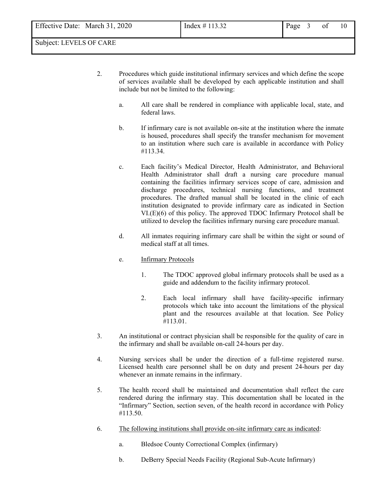- 2. Procedures which guide institutional infirmary services and which define the scope of services available shall be developed by each applicable institution and shall include but not be limited to the following:
	- a. All care shall be rendered in compliance with applicable local, state, and federal laws.
	- b. If infirmary care is not available on-site at the institution where the inmate is housed, procedures shall specify the transfer mechanism for movement to an institution where such care is available in accordance with Policy #113.34.
	- c. Each facility's Medical Director, Health Administrator, and Behavioral Health Administrator shall draft a nursing care procedure manual containing the facilities infirmary services scope of care, admission and discharge procedures, technical nursing functions, and treatment procedures. The drafted manual shall be located in the clinic of each institution designated to provide infirmary care as indicated in Section VI.(E)(6) of this policy. The approved TDOC Infirmary Protocol shall be utilized to develop the facilities infirmary nursing care procedure manual.
	- d. All inmates requiring infirmary care shall be within the sight or sound of medical staff at all times.
	- e. Infirmary Protocols
		- 1. The TDOC approved global infirmary protocols shall be used as a guide and addendum to the facility infirmary protocol.
		- 2. Each local infirmary shall have facility-specific infirmary protocols which take into account the limitations of the physical plant and the resources available at that location. See Policy #113.01.
- 3. An institutional or contract physician shall be responsible for the quality of care in the infirmary and shall be available on-call 24-hours per day.
- 4. Nursing services shall be under the direction of a full-time registered nurse. Licensed health care personnel shall be on duty and present 24-hours per day whenever an inmate remains in the infirmary.
- 5. The health record shall be maintained and documentation shall reflect the care rendered during the infirmary stay. This documentation shall be located in the "Infirmary" Section, section seven, of the health record in accordance with Policy #113.50.
- 6. The following institutions shall provide on-site infirmary care as indicated:
	- a. Bledsoe County Correctional Complex (infirmary)
	- b. DeBerry Special Needs Facility (Regional Sub-Acute Infirmary)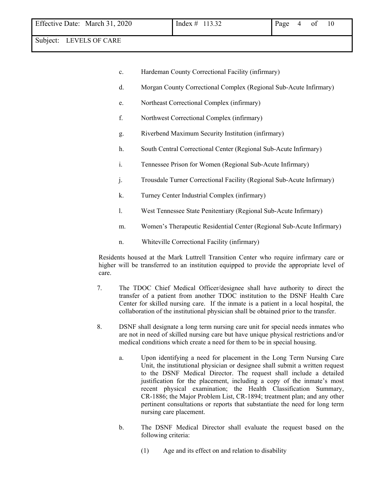Subject: LEVELS OF CARE

- c. Hardeman County Correctional Facility (infirmary)
- d. Morgan County Correctional Complex (Regional Sub-Acute Infirmary)
- e. Northeast Correctional Complex (infirmary)
- f. Northwest Correctional Complex (infirmary)
- g. Riverbend Maximum Security Institution (infirmary)
- h. South Central Correctional Center (Regional Sub-Acute Infirmary)
- i. Tennessee Prison for Women (Regional Sub-Acute Infirmary)
- j. Trousdale Turner Correctional Facility (Regional Sub-Acute Infirmary)
- k. Turney Center Industrial Complex (infirmary)
- l. West Tennessee State Penitentiary (Regional Sub-Acute Infirmary)
- m. Women's Therapeutic Residential Center (Regional Sub-Acute Infirmary)
- n. Whiteville Correctional Facility (infirmary)

Residents housed at the Mark Luttrell Transition Center who require infirmary care or higher will be transferred to an institution equipped to provide the appropriate level of care.

- 7. The TDOC Chief Medical Officer/designee shall have authority to direct the transfer of a patient from another TDOC institution to the DSNF Health Care Center for skilled nursing care. If the inmate is a patient in a local hospital, the collaboration of the institutional physician shall be obtained prior to the transfer.
- 8. DSNF shall designate a long term nursing care unit for special needs inmates who are not in need of skilled nursing care but have unique physical restrictions and/or medical conditions which create a need for them to be in special housing.
	- a. Upon identifying a need for placement in the Long Term Nursing Care Unit, the institutional physician or designee shall submit a written request to the DSNF Medical Director. The request shall include a detailed justification for the placement, including a copy of the inmate's most recent physical examination; the Health Classification Summary, CR-1886; the Major Problem List, CR-1894; treatment plan; and any other pertinent consultations or reports that substantiate the need for long term nursing care placement.
	- b. The DSNF Medical Director shall evaluate the request based on the following criteria:
		- (1) Age and its effect on and relation to disability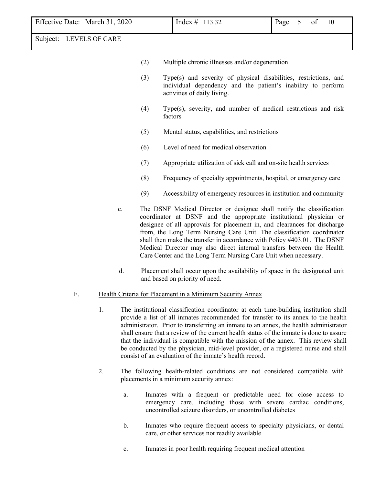| Effective Date: March 31, 2020 |    |    |     |                                                                                                                                                                 | Index # 113.32                          |                                                                                                                                                                                                                                                                                                                                                                                                                                                                                                                                                                                                     |  | Page | 5 | of | 10 |
|--------------------------------|----|----|-----|-----------------------------------------------------------------------------------------------------------------------------------------------------------------|-----------------------------------------|-----------------------------------------------------------------------------------------------------------------------------------------------------------------------------------------------------------------------------------------------------------------------------------------------------------------------------------------------------------------------------------------------------------------------------------------------------------------------------------------------------------------------------------------------------------------------------------------------------|--|------|---|----|----|
| Subject: LEVELS OF CARE        |    |    |     |                                                                                                                                                                 |                                         |                                                                                                                                                                                                                                                                                                                                                                                                                                                                                                                                                                                                     |  |      |   |    |    |
|                                |    |    | (2) |                                                                                                                                                                 |                                         | Multiple chronic illnesses and/or degeneration                                                                                                                                                                                                                                                                                                                                                                                                                                                                                                                                                      |  |      |   |    |    |
|                                |    |    | (3) | Type(s) and severity of physical disabilities, restrictions, and<br>individual dependency and the patient's inability to perform<br>activities of daily living. |                                         |                                                                                                                                                                                                                                                                                                                                                                                                                                                                                                                                                                                                     |  |      |   |    |    |
|                                |    |    | (4) | Type(s), severity, and number of medical restrictions and risk<br>factors                                                                                       |                                         |                                                                                                                                                                                                                                                                                                                                                                                                                                                                                                                                                                                                     |  |      |   |    |    |
|                                |    |    | (5) |                                                                                                                                                                 |                                         | Mental status, capabilities, and restrictions                                                                                                                                                                                                                                                                                                                                                                                                                                                                                                                                                       |  |      |   |    |    |
|                                |    |    | (6) |                                                                                                                                                                 |                                         | Level of need for medical observation                                                                                                                                                                                                                                                                                                                                                                                                                                                                                                                                                               |  |      |   |    |    |
|                                |    |    | (7) | Appropriate utilization of sick call and on-site health services                                                                                                |                                         |                                                                                                                                                                                                                                                                                                                                                                                                                                                                                                                                                                                                     |  |      |   |    |    |
|                                |    |    | (8) |                                                                                                                                                                 |                                         | Frequency of specialty appointments, hospital, or emergency care                                                                                                                                                                                                                                                                                                                                                                                                                                                                                                                                    |  |      |   |    |    |
|                                |    |    | (9) |                                                                                                                                                                 |                                         | Accessibility of emergency resources in institution and community                                                                                                                                                                                                                                                                                                                                                                                                                                                                                                                                   |  |      |   |    |    |
|                                |    | c. |     |                                                                                                                                                                 |                                         | The DSNF Medical Director or designee shall notify the classification<br>coordinator at DSNF and the appropriate institutional physician or<br>designee of all approvals for placement in, and clearances for discharge<br>from, the Long Term Nursing Care Unit. The classification coordinator<br>shall then make the transfer in accordance with Policy #403.01. The DSNF<br>Medical Director may also direct internal transfers between the Health<br>Care Center and the Long Term Nursing Care Unit when necessary.                                                                           |  |      |   |    |    |
|                                |    | d. |     |                                                                                                                                                                 | and based on priority of need.          | Placement shall occur upon the availability of space in the designated unit                                                                                                                                                                                                                                                                                                                                                                                                                                                                                                                         |  |      |   |    |    |
| F.                             |    |    |     |                                                                                                                                                                 |                                         | Health Criteria for Placement in a Minimum Security Annex                                                                                                                                                                                                                                                                                                                                                                                                                                                                                                                                           |  |      |   |    |    |
|                                | 1. |    |     |                                                                                                                                                                 |                                         | The institutional classification coordinator at each time-building institution shall<br>provide a list of all inmates recommended for transfer to its annex to the health<br>administrator. Prior to transferring an inmate to an annex, the health administrator<br>shall ensure that a review of the current health status of the inmate is done to assure<br>that the individual is compatible with the mission of the annex. This review shall<br>be conducted by the physician, mid-level provider, or a registered nurse and shall<br>consist of an evaluation of the inmate's health record. |  |      |   |    |    |
|                                | 2. |    |     |                                                                                                                                                                 | placements in a minimum security annex: | The following health-related conditions are not considered compatible with                                                                                                                                                                                                                                                                                                                                                                                                                                                                                                                          |  |      |   |    |    |

- a. Inmates with a frequent or predictable need for close access to emergency care, including those with severe cardiac conditions, uncontrolled seizure disorders, or uncontrolled diabetes
- b. Inmates who require frequent access to specialty physicians, or dental care, or other services not readily available
- c. Inmates in poor health requiring frequent medical attention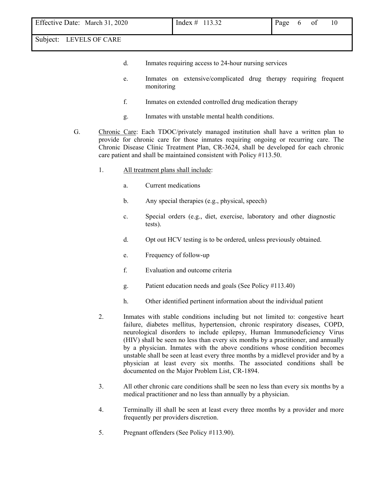Subject: LEVELS OF CARE

- d. Inmates requiring access to 24-hour nursing services
- e. Inmates on extensive/complicated drug therapy requiring frequent monitoring
- f. Inmates on extended controlled drug medication therapy
- g. Inmates with unstable mental health conditions.
- G. Chronic Care: Each TDOC/privately managed institution shall have a written plan to provide for chronic care for those inmates requiring ongoing or recurring care. The Chronic Disease Clinic Treatment Plan, CR-3624, shall be developed for each chronic care patient and shall be maintained consistent with Policy #113.50.
	- 1. All treatment plans shall include:
		- a. Current medications
		- b. Any special therapies (e.g., physical, speech)
		- c. Special orders (e.g., diet, exercise, laboratory and other diagnostic tests).
		- d. Opt out HCV testing is to be ordered, unless previously obtained.
		- e. Frequency of follow-up
		- f. Evaluation and outcome criteria
		- g. Patient education needs and goals (See Policy #113.40)
		- h. Other identified pertinent information about the individual patient
	- 2. Inmates with stable conditions including but not limited to: congestive heart failure, diabetes mellitus, hypertension, chronic respiratory diseases, COPD, neurological disorders to include epilepsy, Human Immunodeficiency Virus (HIV) shall be seen no less than every six months by a practitioner, and annually by a physician. Inmates with the above conditions whose condition becomes unstable shall be seen at least every three months by a midlevel provider and by a physician at least every six months. The associated conditions shall be documented on the Major Problem List, CR-1894.
	- 3. All other chronic care conditions shall be seen no less than every six months by a medical practitioner and no less than annually by a physician.
	- 4. Terminally ill shall be seen at least every three months by a provider and more frequently per providers discretion.
	- 5. Pregnant offenders (See Policy #113.90).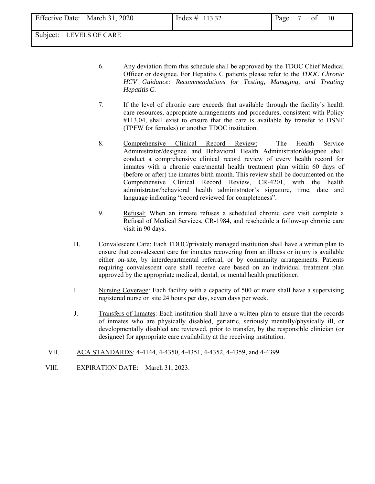6. Any deviation from this schedule shall be approved by the TDOC Chief Medical Officer or designee. For Hepatitis C patients please refer to the *TDOC Chronic HCV Guidance: Recommendations for Testing, Managing, and Treating Hepatitis C*.

- 7. If the level of chronic care exceeds that available through the facility's health care resources, appropriate arrangements and procedures, consistent with Policy #113.04, shall exist to ensure that the care is available by transfer to DSNF (TPFW for females) or another TDOC institution.
- 8. Comprehensive Clinical Record Review: The Health Service Administrator/designee and Behavioral Health Administrator/designee shall conduct a comprehensive clinical record review of every health record for inmates with a chronic care/mental health treatment plan within 60 days of (before or after) the inmates birth month. This review shall be documented on the Comprehensive Clinical Record Review, CR-4201, with the health administrator/behavioral health administrator's signature, time, date and language indicating "record reviewed for completeness".
- 9. Refusal: When an inmate refuses a scheduled chronic care visit complete a Refusal of Medical Services, CR-1984, and reschedule a follow-up chronic care visit in 90 days.
- H. Convalescent Care: Each TDOC/privately managed institution shall have a written plan to ensure that convalescent care for inmates recovering from an illness or injury is available either on-site, by interdepartmental referral, or by community arrangements. Patients requiring convalescent care shall receive care based on an individual treatment plan approved by the appropriate medical, dental, or mental health practitioner.
- I. Nursing Coverage: Each facility with a capacity of 500 or more shall have a supervising registered nurse on site 24 hours per day, seven days per week.
- J. Transfers of Inmates: Each institution shall have a written plan to ensure that the records of inmates who are physically disabled, geriatric, seriously mentally/physically ill, or developmentally disabled are reviewed, prior to transfer, by the responsible clinician (or designee) for appropriate care availability at the receiving institution.
- VII. ACA STANDARDS: 4-4144, 4-4350, 4-4351, 4-4352, 4-4359, and 4-4399.
- VIII. EXPIRATION DATE: March 31, 2023.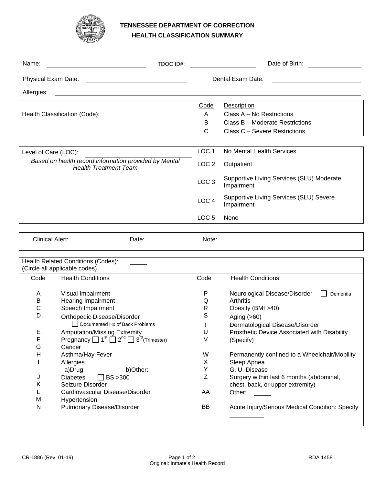

# **TENNESSEE DEPARTMENT OF CORRECTION HEALTH CLASSIFICATION SUMMARY**

| Name:                                                                                 | TDOC ID#: | Date of Birth:    |                                                         |  |
|---------------------------------------------------------------------------------------|-----------|-------------------|---------------------------------------------------------|--|
| Physical Exam Date:                                                                   |           | Dental Exam Date: |                                                         |  |
| Allergies:                                                                            |           |                   |                                                         |  |
|                                                                                       |           | Code              | Description                                             |  |
| Health Classification (Code):                                                         |           | A                 | Class A - No Restrictions                               |  |
|                                                                                       |           | B                 | Class B – Moderate Restrictions                         |  |
|                                                                                       |           | C                 | Class C - Severe Restrictions                           |  |
|                                                                                       |           |                   |                                                         |  |
| Level of Care (LOC):                                                                  |           | LOC <sub>1</sub>  | No Mental Health Services                               |  |
| Based on health record information provided by Mental<br><b>Health Treatment Team</b> |           | LOC <sub>2</sub>  | Outpatient                                              |  |
|                                                                                       |           | LOC <sub>3</sub>  | Supportive Living Services (SLU) Moderate<br>Impairment |  |
|                                                                                       |           | LOC <sub>4</sub>  | Supportive Living Services (SLU) Severe<br>Impairment   |  |
|                                                                                       |           | LOC <sub>5</sub>  | None                                                    |  |
|                                                                                       |           |                   |                                                         |  |

Clinical Alert: Date: Note:

|      | Health Related Conditions (Codes):                                                         |      |                                                                                                      |
|------|--------------------------------------------------------------------------------------------|------|------------------------------------------------------------------------------------------------------|
|      | (Circle all applicable codes)                                                              |      |                                                                                                      |
| Code | <b>Health Conditions</b>                                                                   | Code | <b>Health Conditions</b>                                                                             |
|      |                                                                                            |      |                                                                                                      |
| A    | Visual Impairment                                                                          | P    | Neurological Disease/Disorder<br>Dementia                                                            |
| В    | Hearing Impairment                                                                         | Q    | Arthritis                                                                                            |
| С    | Speech Impairment                                                                          | R    | Obesity (BMI >40)                                                                                    |
| D    | Orthopedic Disease/Disorder                                                                | S    | Aging $(>60)$                                                                                        |
|      | Documented Hx of Back Problems                                                             |      | Dermatological Disease/Disorder                                                                      |
| Е    | <b>Amputation/Missing Extremity</b>                                                        | U    | Prosthetic Device Associated with Disability                                                         |
| F    | Pregnancy $\Box$ 1 <sup>st</sup> $\Box$ 2 <sup>nd</sup> $\Box$ 3 <sup>rd</sup> (Trimester) | V    | (Specify) and the set of the set of the set of the set of the set of the set of the set of the set o |
| G    | Cancer                                                                                     |      |                                                                                                      |
| н    | Asthma/Hay Fever                                                                           | W    | Permanently confined to a Wheelchair/Mobility                                                        |
|      | Allergies                                                                                  | X    | Sleep Apnea                                                                                          |
|      | a)Drug:<br>b)Other:                                                                        | Y    | G. U. Disease                                                                                        |
| J    | Diabetes $\Box$ BS > 300                                                                   | Ζ    | Surgery within last 6 months (abdominal,                                                             |
| Κ    | Seizure Disorder                                                                           |      | chest, back, or upper extremity)                                                                     |
|      | Cardiovascular Disease/Disorder                                                            | AA   | Other:                                                                                               |
| M    | Hypertension                                                                               |      |                                                                                                      |
| N    | Pulmonary Disease/Disorder                                                                 | BB.  | Acute Injury/Serious Medical Condition: Specify                                                      |
|      |                                                                                            |      |                                                                                                      |
|      |                                                                                            |      |                                                                                                      |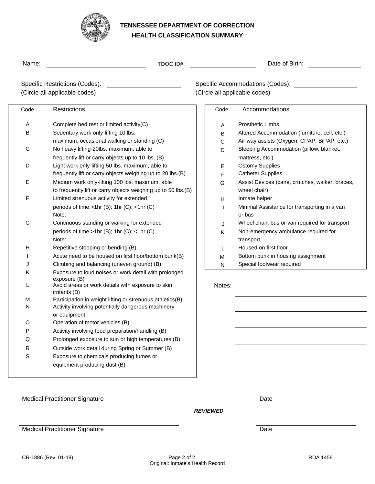

# **TENNESSEE DEPARTMENT OF CORRECTION HEALTH CLASSIFICATION SUMMARY**

| Name:     | TDOC ID#:                                                          |        | Date of Birth:                                                    |
|-----------|--------------------------------------------------------------------|--------|-------------------------------------------------------------------|
|           | Specific Restrictions (Codes):<br>(Circle all applicable codes)    |        | Specific Accommodations (Codes):<br>(Circle all applicable codes) |
|           |                                                                    |        |                                                                   |
| Code      | Restrictions                                                       | Code   | Accommodations                                                    |
| Α         | Complete bed rest or limited activity(C)                           | Α      | <b>Prosthetic Limbs</b>                                           |
| в         | Sedentary work only-lifting 10 lbs.                                | в      | Altered Accommodation (furniture, cell, etc.)                     |
|           | maximum, occasional walking or standing (C)                        | С      | Air way assists (Oxygen, CPAP, BiPAP, etc.)                       |
| С         | No heavy lifting-20lbs. maximum, able to                           | D      | Sleeping Accommodation (pillow, blanket,                          |
|           | frequently lift or carry objects up to 10 lbs. (B)                 |        | mattress, etc.)                                                   |
| D         | Light work only-lifting 50 lbs. maximum, able to                   | Е      | <b>Ostomy Supplies</b>                                            |
|           | frequently lift or carry objects weighing up to 20 lbs.(B)         | F      | <b>Catheter Supplies</b>                                          |
| Е         | Medium work only-lifting 100 lbs. maximum, able                    | G      | Assist Devices (cane, crutches, walker, braces,                   |
|           | to frequently lift or carry objects weighing up to 50 lbs.(B)      |        | wheel chair)                                                      |
| F         | Limited strenuous activity for extended                            | н      | Inmate helper                                                     |
|           | periods of time:>1hr (B); 1hr (C); <1hr (C)                        | L      | Minimal Assistance for transporting in a van                      |
|           | Note:                                                              |        | or bus                                                            |
| G         | Continuous standing or walking for extended                        | J      | Wheel chair, bus or van required for transport                    |
|           | periods of time:>1hr (B); 1hr (C); <1hr (C)                        | Κ      | Non-emergency ambulance required for                              |
|           | Note:                                                              |        | transport                                                         |
| н         | Repetitive stooping or bending (B)                                 | L      | Housed on first floor                                             |
|           | Acute need to be housed on first floor/bottom bunk(B)              | M      | Bottom bunk in housing assignment                                 |
|           | Climbing and balancing (uneven ground) (B)                         | N      | Special footwear required                                         |
| Κ         | Exposure to loud noises or work detail with prolonged              |        |                                                                   |
|           | exposure (B)                                                       |        |                                                                   |
|           | Avoid areas or work details with exposure to skin<br>irritants (B) | Notes: |                                                                   |
| M         | Participation in weight lifting or strenuous athletics(B)          |        |                                                                   |
| N         | Activity involving potentially dangerous machinery                 |        |                                                                   |
|           | or equipment                                                       |        |                                                                   |
| O         | Operation of motor vehicles (B)                                    |        |                                                                   |
| Ρ         | Activity involving food preparation/handling (B)                   |        |                                                                   |
| Q         | Prolonged exposure to sun or high temperatures (B)                 |        |                                                                   |
| ${\sf R}$ | Outside work detail during Spring or Summer (B)                    |        |                                                                   |
| S         | Exposure to chemicals producing fumes or                           |        |                                                                   |
|           | equipment producing dust (B)                                       |        |                                                                   |
|           |                                                                    |        |                                                                   |
|           |                                                                    |        |                                                                   |

Medical Practitioner Signature Date Date

*REVIEWED* 

Medical Practitioner Signature Date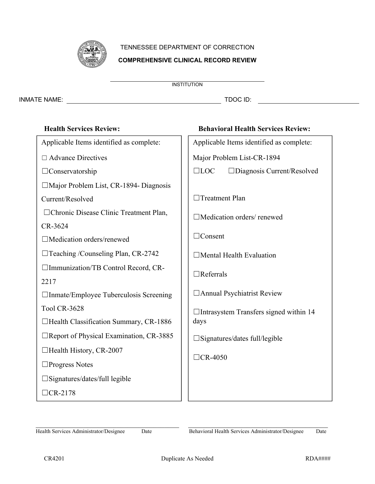

# TENNESSEE DEPARTMENT OF CORRECTION **COMPREHENSIVE CLINICAL RECORD REVIEW**

INMATE NAME: TDOC ID:

| <b>Health Services Review:</b>                 | <b>Behavioral Health Services Review:</b>     |
|------------------------------------------------|-----------------------------------------------|
| Applicable Items identified as complete:       | Applicable Items identified as complete:      |
| $\Box$ Advance Directives                      | Major Problem List-CR-1894                    |
| $\Box$ Conservatorship                         | $\Box$ LOC<br>□Diagnosis Current/Resolved     |
| $\Box$ Major Problem List, CR-1894- Diagnosis  |                                               |
| Current/Resolved                               | Treatment Plan                                |
| □ Chronic Disease Clinic Treatment Plan,       | □Medication orders/ renewed                   |
| CR-3624                                        |                                               |
| □Medication orders/renewed                     | $\Box$ Consent                                |
| $\Box$ Teaching /Counseling Plan, CR-2742      | $\Box$ Mental Health Evaluation               |
| □Immunization/TB Control Record, CR-           | $\Box$ Referrals                              |
| 2217                                           |                                               |
| $\Box$ Inmate/Employee Tuberculosis Screening  | □ Annual Psychiatrist Review                  |
| <b>Tool CR-3628</b>                            | $\Box$ Intrasystem Transfers signed within 14 |
| □Health Classification Summary, CR-1886        | days                                          |
| $\Box$ Report of Physical Examination, CR-3885 | $\square$ Signatures/dates full/legible       |
| $\Box$ Health History, CR-2007                 |                                               |
| $\Box$ Progress Notes                          | $\Box$ CR-4050                                |
| $\square$ Signatures/dates/full legible        |                                               |
| $\Box$ CR-2178                                 |                                               |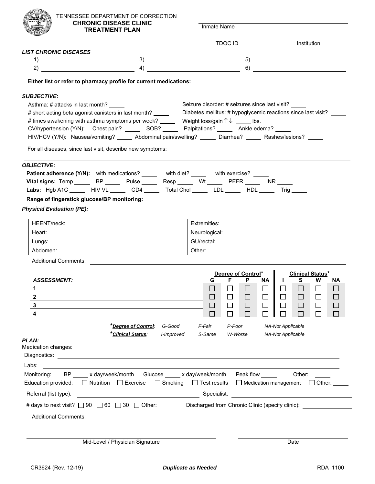| TENNESSEE DEPARTMENT OF CORRECTION                                                                                                                  |                                                   |                                |                                                      |                               |  |  |  |  |
|-----------------------------------------------------------------------------------------------------------------------------------------------------|---------------------------------------------------|--------------------------------|------------------------------------------------------|-------------------------------|--|--|--|--|
| <b>CHRONIC DISEASE CLINIC</b><br><b>TREATMENT PLAN</b>                                                                                              |                                                   | Inmate Name                    |                                                      |                               |  |  |  |  |
|                                                                                                                                                     |                                                   | <b>TDOC ID</b>                 |                                                      | Institution                   |  |  |  |  |
| <b>LIST CHRONIC DISEASES</b>                                                                                                                        |                                                   |                                |                                                      |                               |  |  |  |  |
|                                                                                                                                                     |                                                   |                                | $\begin{tabular}{c} 5) \end{tabular}$                |                               |  |  |  |  |
| 2)                                                                                                                                                  | $\left( \begin{array}{ccc} 4 \end{array} \right)$ |                                | $\overline{6)}$ $\overline{\phantom{1525111}}$       |                               |  |  |  |  |
| Either list or refer to pharmacy profile for current medications:                                                                                   |                                                   |                                |                                                      |                               |  |  |  |  |
| <b>SUBJECTIVE:</b>                                                                                                                                  |                                                   |                                |                                                      |                               |  |  |  |  |
| Asthma: # attacks in last month?                                                                                                                    |                                                   |                                | Seizure disorder: # seizures since last visit? _____ |                               |  |  |  |  |
| # short acting beta agonist canisters in last month? _____ Diabetes mellitus: # hypoglycemic reactions since last visit?                            |                                                   |                                |                                                      |                               |  |  |  |  |
| # times awakening with asthma symptoms per week? _______ Weight loss/gain $\uparrow \downarrow$ _____ lbs.                                          |                                                   |                                |                                                      |                               |  |  |  |  |
| CV/hypertension (Y/N): Chest pain? _________ SOB? _________ Palpitations? ________ Ankle edema? _____                                               |                                                   |                                |                                                      |                               |  |  |  |  |
| HIV/HCV (Y/N): Nausea/vomiting? ______ Abdominal pain/swelling? ______ Diarrhea? ______ Rashes/lesions? _____                                       |                                                   |                                |                                                      |                               |  |  |  |  |
| For all diseases, since last visit, describe new symptoms:                                                                                          |                                                   |                                |                                                      |                               |  |  |  |  |
| <b>OBJECTIVE:</b>                                                                                                                                   |                                                   |                                |                                                      |                               |  |  |  |  |
| Patient adherence (Y/N): with medications? _____ with diet? _____ with exercise? _____                                                              |                                                   |                                |                                                      |                               |  |  |  |  |
| Vital signs: Temp ________ BP ________ Pulse _______ Resp _______ Wt _______ PEFR ______ INR _____                                                  |                                                   |                                |                                                      |                               |  |  |  |  |
| Labs: Hgb A1C _____ HIV VL _____ CD4 _____ Total Chol _____ LDL _____ HDL _____ Trig _____                                                          |                                                   |                                |                                                      |                               |  |  |  |  |
| Range of fingerstick glucose/BP monitoring: _____                                                                                                   |                                                   |                                |                                                      |                               |  |  |  |  |
|                                                                                                                                                     |                                                   |                                |                                                      |                               |  |  |  |  |
| Physical Evaluation (PE): 2008 2010 2020 2021 2022 2022 2023 2024 2022 2023 2024 2022 2023 2024 2022 2023 2024                                      |                                                   |                                |                                                      |                               |  |  |  |  |
| HEENT/neck:                                                                                                                                         |                                                   | Extremities:                   |                                                      |                               |  |  |  |  |
| Heart:                                                                                                                                              |                                                   | Neurological:                  |                                                      |                               |  |  |  |  |
| Lungs:                                                                                                                                              |                                                   | GU/rectal:                     |                                                      |                               |  |  |  |  |
| Abdomen:                                                                                                                                            |                                                   | Other:                         |                                                      |                               |  |  |  |  |
| <b>Additional Comments:</b><br><u> 1989 - Jan Stein Stein Stein Stein Stein Stein Stein Stein Stein Stein Stein Stein Stein Stein Stein Stein S</u> |                                                   |                                |                                                      |                               |  |  |  |  |
|                                                                                                                                                     |                                                   |                                |                                                      |                               |  |  |  |  |
| ASSESSMENT:                                                                                                                                         |                                                   | Degree of Control*<br>G.<br>F. | NA.<br>$\mathbf{1}$                                  | <b>Clinical Status*</b><br>S. |  |  |  |  |
|                                                                                                                                                     |                                                   |                                |                                                      | ΝA                            |  |  |  |  |
|                                                                                                                                                     |                                                   |                                |                                                      |                               |  |  |  |  |
|                                                                                                                                                     |                                                   | $\mathbf{L}$                   |                                                      |                               |  |  |  |  |
|                                                                                                                                                     |                                                   | П<br>$\Box$                    |                                                      |                               |  |  |  |  |
|                                                                                                                                                     |                                                   |                                |                                                      |                               |  |  |  |  |
| *Degree of Control:                                                                                                                                 | G-Good                                            | F-Fair<br>P-Poor               | <b>NA-Not Applicable</b>                             |                               |  |  |  |  |
| Clinical Status:                                                                                                                                    | I-Improved                                        | S-Same<br>W-Worse              | <b>NA-Not Applicable</b>                             |                               |  |  |  |  |
| <b>PLAN:</b>                                                                                                                                        |                                                   |                                |                                                      |                               |  |  |  |  |
| Medication changes:                                                                                                                                 |                                                   |                                |                                                      |                               |  |  |  |  |
|                                                                                                                                                     |                                                   |                                |                                                      |                               |  |  |  |  |
| Labs:                                                                                                                                               |                                                   |                                |                                                      |                               |  |  |  |  |
| BP _____ x day/week/month Glucose _____ x day/week/month<br>Monitoring:                                                                             |                                                   |                                | Peak flow _____                                      | Other:                        |  |  |  |  |
| $\Box$ Nutrition $\Box$ Exercise<br>Education provided:                                                                                             | $\Box$ Smoking                                    | $\Box$ Test results            | □ Medication management                              | $\Box$ Other:                 |  |  |  |  |
| Referral (list type):                                                                                                                               |                                                   | Specialist:                    |                                                      |                               |  |  |  |  |
| # days to next visit? □ 90     □ 60         30         Other: ______   Discharged from Chronic Clinic (specify clinic):                             |                                                   |                                |                                                      |                               |  |  |  |  |
|                                                                                                                                                     |                                                   |                                |                                                      |                               |  |  |  |  |
|                                                                                                                                                     |                                                   |                                |                                                      |                               |  |  |  |  |
|                                                                                                                                                     |                                                   |                                |                                                      |                               |  |  |  |  |
| Mid-Level / Physician Signature                                                                                                                     |                                                   |                                | Date                                                 |                               |  |  |  |  |
|                                                                                                                                                     |                                                   |                                |                                                      |                               |  |  |  |  |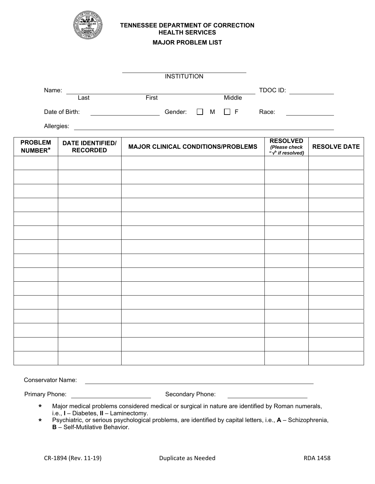

# **TENNESSEE DEPARTMENT OF CORRECTION HEALTH SERVICES**

#### **MAJOR PROBLEM LIST**

| <b>INSTITUTION</b> |      |  |       |         |              |               |          |
|--------------------|------|--|-------|---------|--------------|---------------|----------|
| Name:              |      |  |       |         |              |               | TDOC ID: |
|                    | Last |  | First |         |              | Middle        |          |
| Date of Birth:     |      |  |       | Gender: | $\mathbf{L}$ | $M \square F$ | Race:    |

Allergies:

| <b>PROBLEM</b><br>NUMBER* | <b>DATE IDENTIFIED/</b><br><b>RECORDED</b> | <b>MAJOR CLINICAL CONDITIONS/PROBLEMS</b> | <b>RESOLVED</b><br>(Please check<br>$\frac{\dot{H}}{\dot{H}}$ if resolved) | <b>RESOLVE DATE</b> |
|---------------------------|--------------------------------------------|-------------------------------------------|----------------------------------------------------------------------------|---------------------|
|                           |                                            |                                           |                                                                            |                     |
|                           |                                            |                                           |                                                                            |                     |
|                           |                                            |                                           |                                                                            |                     |
|                           |                                            |                                           |                                                                            |                     |
|                           |                                            |                                           |                                                                            |                     |
|                           |                                            |                                           |                                                                            |                     |
|                           |                                            |                                           |                                                                            |                     |
|                           |                                            |                                           |                                                                            |                     |
|                           |                                            |                                           |                                                                            |                     |
|                           |                                            |                                           |                                                                            |                     |
|                           |                                            |                                           |                                                                            |                     |
|                           |                                            |                                           |                                                                            |                     |
|                           |                                            |                                           |                                                                            |                     |
|                           |                                            |                                           |                                                                            |                     |
|                           |                                            |                                           |                                                                            |                     |

Conservator Name: <u>conservator</u> Name:

Primary Phone: Secondary Phone: Secondary Phone:

- **\*** Major medical problems considered medical or surgical in nature are identified by Roman numerals, i.e., **I** – Diabetes, **II** – Laminectomy.
- **\*** Psychiatric, or serious psychological problems, are identified by capital letters, i.e., **A** Schizophrenia, **B** – Self-Mutilative Behavior.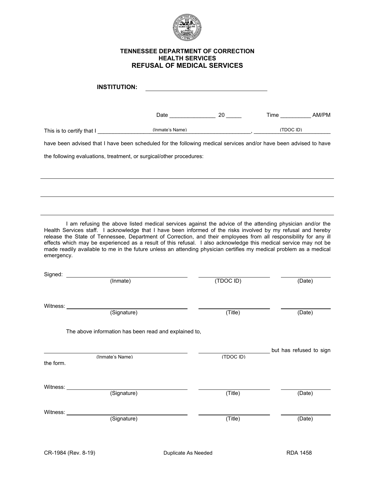

#### **TENNESSEE DEPARTMENT OF CORRECTION HEALTH SERVICES REFUSAL OF MEDICAL SERVICES**

| <b>INSTITUTION:</b>                                                                                                                                                                                                                                                                                                                                                                                                                                                                                                                                                                                    |           |                            |
|--------------------------------------------------------------------------------------------------------------------------------------------------------------------------------------------------------------------------------------------------------------------------------------------------------------------------------------------------------------------------------------------------------------------------------------------------------------------------------------------------------------------------------------------------------------------------------------------------------|-----------|----------------------------|
|                                                                                                                                                                                                                                                                                                                                                                                                                                                                                                                                                                                                        | Date 20   | Time _______________ AM/PM |
| (Inmate's Name)<br>This is to certify that I                                                                                                                                                                                                                                                                                                                                                                                                                                                                                                                                                           |           | (TDOCID)                   |
| have been advised that I have been scheduled for the following medical services and/or have been advised to have                                                                                                                                                                                                                                                                                                                                                                                                                                                                                       |           |                            |
| the following evaluations, treatment, or surgical/other procedures:                                                                                                                                                                                                                                                                                                                                                                                                                                                                                                                                    |           |                            |
|                                                                                                                                                                                                                                                                                                                                                                                                                                                                                                                                                                                                        |           |                            |
|                                                                                                                                                                                                                                                                                                                                                                                                                                                                                                                                                                                                        |           |                            |
|                                                                                                                                                                                                                                                                                                                                                                                                                                                                                                                                                                                                        |           |                            |
|                                                                                                                                                                                                                                                                                                                                                                                                                                                                                                                                                                                                        |           |                            |
| I am refusing the above listed medical services against the advice of the attending physician and/or the<br>Health Services staff. I acknowledge that I have been informed of the risks involved by my refusal and hereby<br>release the State of Tennessee, Department of Correction, and their employees from all responsibility for any ill<br>effects which may be experienced as a result of this refusal. I also acknowledge this medical service may not be<br>made readily available to me in the future unless an attending physician certifies my medical problem as a medical<br>emergency. |           |                            |
| Signed: (Inmate)                                                                                                                                                                                                                                                                                                                                                                                                                                                                                                                                                                                       |           |                            |
|                                                                                                                                                                                                                                                                                                                                                                                                                                                                                                                                                                                                        | (TDOC ID) | (Date)                     |
|                                                                                                                                                                                                                                                                                                                                                                                                                                                                                                                                                                                                        |           |                            |
| Witness: <u>(Signature)</u>                                                                                                                                                                                                                                                                                                                                                                                                                                                                                                                                                                            | (Title)   | (Date)                     |
|                                                                                                                                                                                                                                                                                                                                                                                                                                                                                                                                                                                                        |           |                            |
| The above information has been read and explained to,                                                                                                                                                                                                                                                                                                                                                                                                                                                                                                                                                  |           |                            |
|                                                                                                                                                                                                                                                                                                                                                                                                                                                                                                                                                                                                        |           | but has refused to sign    |
| (Inmate's Name)<br>the form.                                                                                                                                                                                                                                                                                                                                                                                                                                                                                                                                                                           | (TDOC ID) |                            |
|                                                                                                                                                                                                                                                                                                                                                                                                                                                                                                                                                                                                        |           |                            |
| Witness: $\_\_$<br>(Signature)                                                                                                                                                                                                                                                                                                                                                                                                                                                                                                                                                                         | (Title)   | (Date)                     |
|                                                                                                                                                                                                                                                                                                                                                                                                                                                                                                                                                                                                        |           |                            |
| Witness: Vitness:<br>(Signature)                                                                                                                                                                                                                                                                                                                                                                                                                                                                                                                                                                       | (Title)   | (Date)                     |
|                                                                                                                                                                                                                                                                                                                                                                                                                                                                                                                                                                                                        |           |                            |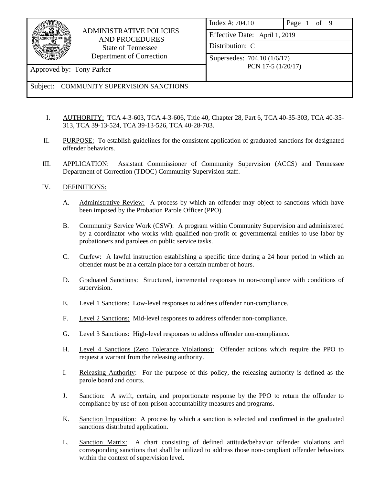

# ADMINISTRATIVE POLICIES AND PROCEDURES State of Tennessee Department of Correction

| Index #: 704.10               | Page 1 of 9 |  |  |  |  |
|-------------------------------|-------------|--|--|--|--|
| Effective Date: April 1, 2019 |             |  |  |  |  |
| Distribution: C               |             |  |  |  |  |
| Supersedes: 704.10 (1/6/17)   |             |  |  |  |  |
| PCN 17-5 (1/20/17)            |             |  |  |  |  |

Approved by: Tony Parker

# Subject: COMMUNITY SUPERVISION SANCTIONS

- I. AUTHORITY: TCA 4-3-603, TCA 4-3-606, Title 40, Chapter 28, Part 6, TCA 40-35-303, TCA 40-35- 313, TCA 39-13-524, TCA 39-13-526, TCA 40-28-703.
- II. PURPOSE: To establish guidelines for the consistent application of graduated sanctions for designated offender behaviors.
- III. APPLICATION: Assistant Commissioner of Community Supervision (ACCS) and Tennessee Department of Correction (TDOC) Community Supervision staff.

# IV. DEFINITIONS:

- A. Administrative Review: A process by which an offender may object to sanctions which have been imposed by the Probation Parole Officer (PPO).
- B. Community Service Work (CSW): A program within Community Supervision and administered by a coordinator who works with qualified non-profit or governmental entities to use labor by probationers and parolees on public service tasks.
- C. Curfew: A lawful instruction establishing a specific time during a 24 hour period in which an offender must be at a certain place for a certain number of hours.
- D. Graduated Sanctions: Structured, incremental responses to non-compliance with conditions of supervision.
- E. Level 1 Sanctions: Low-level responses to address offender non-compliance.
- F. Level 2 Sanctions: Mid-level responses to address offender non-compliance.
- G. Level 3 Sanctions: High-level responses to address offender non-compliance.
- H. Level 4 Sanctions (Zero Tolerance Violations): Offender actions which require the PPO to request a warrant from the releasing authority.
- I. Releasing Authority: For the purpose of this policy, the releasing authority is defined as the parole board and courts.
- J. Sanction: A swift, certain, and proportionate response by the PPO to return the offender to compliance by use of non-prison accountability measures and programs.
- K. Sanction Imposition: A process by which a sanction is selected and confirmed in the graduated sanctions distributed application.
- L. Sanction Matrix: A chart consisting of defined attitude/behavior offender violations and corresponding sanctions that shall be utilized to address those non-compliant offender behaviors within the context of supervision level.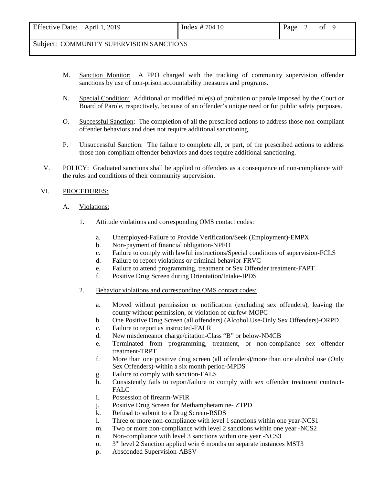- M. Sanction Monitor: A PPO charged with the tracking of community supervision offender sanctions by use of non-prison accountability measures and programs.
- N. Special Condition: Additional or modified rule(s) of probation or parole imposed by the Court or Board of Parole, respectively, because of an offender's unique need or for public safety purposes.
- O. Successful Sanction: The completion of all the prescribed actions to address those non-compliant offender behaviors and does not require additional sanctioning.
- P. Unsuccessful Sanction: The failure to complete all, or part, of the prescribed actions to address those non-compliant offender behaviors and does require additional sanctioning.
- V. POLICY: Graduated sanctions shall be applied to offenders as a consequence of non-compliance with the rules and conditions of their community supervision.

#### VI. PROCEDURES:

- A. Violations:
	- 1. Attitude violations and corresponding OMS contact codes:
		- a. Unemployed-Failure to Provide Verification/Seek (Employment)-EMPX
		- b. Non-payment of financial obligation-NPFO
		- c. Failure to comply with lawful instructions/Special conditions of supervision-FCLS
		- d. Failure to report violations or criminal behavior-FRVC
		- e. Failure to attend programming, treatment or Sex Offender treatment-FAPT
		- f. Positive Drug Screen during Orientation/Intake-IPDS
	- 2. Behavior violations and corresponding OMS contact codes:
		- a. Moved without permission or notification (excluding sex offenders), leaving the county without permission, or violation of curfew-MOPC
		- b. One Positive Drug Screen (all offenders) (Alcohol Use-Only Sex Offenders)-ORPD
		- c. Failure to report as instructed-FALR
		- d. New misdemeanor charge/citation-Class "B" or below-NMCB
		- e. Terminated from programming, treatment, or non-compliance sex offender treatment-TRPT
		- f. More than one positive drug screen (all offenders)/more than one alcohol use (Only Sex Offenders)-within a six month period-MPDS
		- g. Failure to comply with sanction-FALS
		- h. Consistently fails to report/failure to comply with sex offender treatment contract-FALC
		- i. Possession of firearm-WFIR
		- j. Positive Drug Screen for Methamphetamine- ZTPD
		- k. Refusal to submit to a Drug Screen-RSDS
		- l. Three or more non-compliance with level 1 sanctions within one year-NCS1
		- m. Two or more non-compliance with level 2 sanctions within one year -NCS2
		- n. Non-compliance with level 3 sanctions within one year -NCS3
		- o.  $3<sup>rd</sup>$  level 2 Sanction applied w/in 6 months on separate instances MST3
		- p. Absconded Supervision-ABSV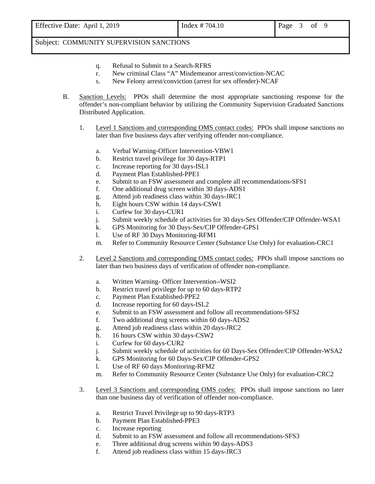- q. Refusal to Submit to a Search-RFRS
- r. New criminal Class "A" Misdemeanor arrest/conviction-NCAC
- s. New Felony arrest/conviction (arrest for sex offender)-NCAF
- B. Sanction Levels: PPOs shall determine the most appropriate sanctioning response for the offender's non-compliant behavior by utilizing the Community Supervision Graduated Sanctions Distributed Application.
	- 1. Level 1 Sanctions and corresponding OMS contact codes: PPOs shall impose sanctions no later than five business days after verifying offender non-compliance.
		- a. Verbal Warning-Officer Intervention-VBW1
		- b. Restrict travel privilege for 30 days-RTP1
		- c. Increase reporting for 30 days-ISL1
		- d. Payment Plan Established-PPE1
		- e. Submit to an FSW assessment and complete all recommendations-SFS1
		- f. One additional drug screen within 30 days-ADS1
		- g. Attend job readiness class within 30 days-JRC1
		- h. Eight hours CSW within 14 days-CSW1
		- i. Curfew for 30 days-CUR1
		- j. Submit weekly schedule of activities for 30 days-Sex Offender/CIP Offender-WSA1
		- k. GPS Monitoring for 30 Days-Sex/CIP Offender-GPS1
		- l. Use of RF 30 Days Monitoring-RFM1
		- m. Refer to Community Resource Center (Substance Use Only) for evaluation-CRC1
	- 2. Level 2 Sanctions and corresponding OMS contact codes: PPOs shall impose sanctions no later than two business days of verification of offender non-compliance.
		- a. Written Warning- Officer Intervention-WSI2
		- b. Restrict travel privilege for up to 60 days-RTP2
		- c. Payment Plan Established-PPE2
		- d. Increase reporting for 60 days-ISL2
		- e. Submit to an FSW assessment and follow all recommendations-SFS2
		- f. Two additional drug screens within 60 days-ADS2
		- g. Attend job readiness class within 20 days-JRC2
		- h. 16 hours CSW within 30 days-CSW2
		- i. Curfew for 60 days-CUR2
		- j. Submit weekly schedule of activities for 60 Days-Sex Offender/CIP Offender-WSA2
		- k. GPS Monitoring for 60 Days-Sex/CIP Offender-GPS2
		- l. Use of RF 60 days Monitoring-RFM2
		- m. Refer to Community Resource Center (Substance Use Only) for evaluation-CRC2
	- 3. Level 3 Sanctions and corresponding OMS codes: PPOs shall impose sanctions no later than one business day of verification of offender non-compliance.
		- a. Restrict Travel Privilege up to 90 days-RTP3
		- b. Payment Plan Established-PPE3
		- c. Increase reporting
		- d. Submit to an FSW assessment and follow all recommendations-SFS3
		- e. Three additional drug screens within 90 days-ADS3
		- f. Attend job readiness class within 15 days-JRC3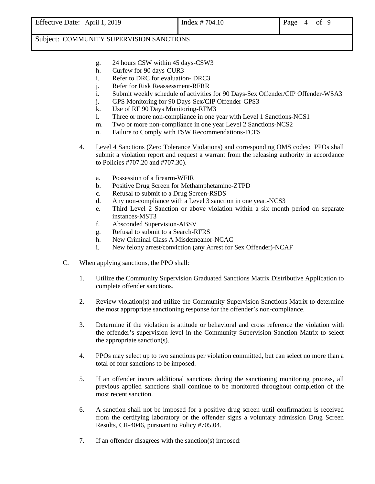- g. 24 hours CSW within 45 days-CSW3
- h. Curfew for 90 days-CUR3
- i. Refer to DRC for evaluation- DRC3
- j. Refer for Risk Reassessment-RFRR
- i. Submit weekly schedule of activities for 90 Days-Sex Offender/CIP Offender-WSA3
- j. GPS Monitoring for 90 Days-Sex/CIP Offender-GPS3
- k. Use of RF 90 Days Monitoring-RFM3
- l. Three or more non-compliance in one year with Level 1 Sanctions-NCS1
- m. Two or more non-compliance in one year Level 2 Sanctions-NCS2
- n. Failure to Comply with FSW Recommendations-FCFS
- 4. Level 4 Sanctions (Zero Tolerance Violations) and corresponding OMS codes: PPOs shall submit a violation report and request a warrant from the releasing authority in accordance to Policies #707.20 and #707.30).
	- a. Possession of a firearm-WFIR
	- b. Positive Drug Screen for Methamphetamine-ZTPD
	- c. Refusal to submit to a Drug Screen-RSDS
	- d. Any non-compliance with a Level 3 sanction in one year.-NCS3
	- e. Third Level 2 Sanction or above violation within a six month period on separate instances-MST3
	- f. Absconded Supervision-ABSV
	- g. Refusal to submit to a Search-RFRS
	- h. New Criminal Class A Misdemeanor-NCAC
	- i. New felony arrest/conviction (any Arrest for Sex Offender)-NCAF
- C. When applying sanctions, the PPO shall:
	- 1. Utilize the Community Supervision Graduated Sanctions Matrix Distributive Application to complete offender sanctions.
	- 2. Review violation(s) and utilize the Community Supervision Sanctions Matrix to determine the most appropriate sanctioning response for the offender's non-compliance.
	- 3. Determine if the violation is attitude or behavioral and cross reference the violation with the offender's supervision level in the Community Supervision Sanction Matrix to select the appropriate sanction(s).
	- 4. PPOs may select up to two sanctions per violation committed, but can select no more than a total of four sanctions to be imposed.
	- 5. If an offender incurs additional sanctions during the sanctioning monitoring process, all previous applied sanctions shall continue to be monitored throughout completion of the most recent sanction.
	- 6. A sanction shall not be imposed for a positive drug screen until confirmation is received from the certifying laboratory or the offender signs a voluntary admission Drug Screen Results, CR-4046, pursuant to Policy #705.04.
	- 7. If an offender disagrees with the sanction(s) imposed: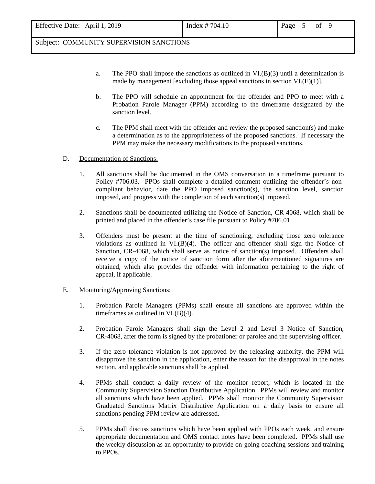- a. The PPO shall impose the sanctions as outlined in VI.(B)(3) until a determination is made by management [excluding those appeal sanctions in section VI.(E)(1)].
- b. The PPO will schedule an appointment for the offender and PPO to meet with a Probation Parole Manager (PPM) according to the timeframe designated by the sanction level.
- c. The PPM shall meet with the offender and review the proposed sanction(s) and make a determination as to the appropriateness of the proposed sanctions. If necessary the PPM may make the necessary modifications to the proposed sanctions.
- D. Documentation of Sanctions:
	- 1. All sanctions shall be documented in the OMS conversation in a timeframe pursuant to Policy #706.03. PPOs shall complete a detailed comment outlining the offender's noncompliant behavior, date the PPO imposed sanction(s), the sanction level, sanction imposed, and progress with the completion of each sanction(s) imposed.
	- 2. Sanctions shall be documented utilizing the Notice of Sanction, CR-4068, which shall be printed and placed in the offender's case file pursuant to Policy #706.01.
	- 3. Offenders must be present at the time of sanctioning, excluding those zero tolerance violations as outlined in  $VI(B)(4)$ . The officer and offender shall sign the Notice of Sanction, CR-4068, which shall serve as notice of sanction(s) imposed. Offenders shall receive a copy of the notice of sanction form after the aforementioned signatures are obtained, which also provides the offender with information pertaining to the right of appeal, if applicable.

#### E. Monitoring/Approving Sanctions:

- 1. Probation Parole Managers (PPMs) shall ensure all sanctions are approved within the timeframes as outlined in VI.(B)(4).
- 2. Probation Parole Managers shall sign the Level 2 and Level 3 Notice of Sanction, CR-4068, after the form is signed by the probationer or parolee and the supervising officer.
- 3. If the zero tolerance violation is not approved by the releasing authority, the PPM will disapprove the sanction in the application, enter the reason for the disapproval in the notes section, and applicable sanctions shall be applied.
- 4. PPMs shall conduct a daily review of the monitor report, which is located in the Community Supervision Sanction Distributive Application. PPMs will review and monitor all sanctions which have been applied. PPMs shall monitor the Community Supervision Graduated Sanctions Matrix Distributive Application on a daily basis to ensure all sanctions pending PPM review are addressed.
- 5. PPMs shall discuss sanctions which have been applied with PPOs each week, and ensure appropriate documentation and OMS contact notes have been completed. PPMs shall use the weekly discussion as an opportunity to provide on-going coaching sessions and training to PPOs.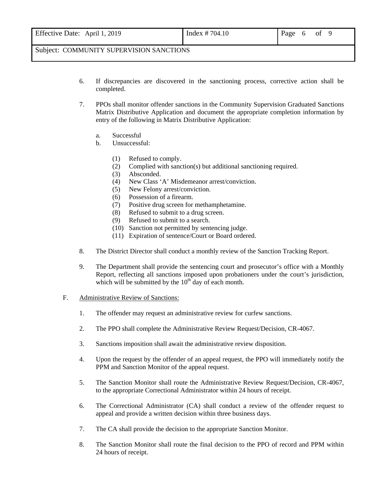- 6. If discrepancies are discovered in the sanctioning process, corrective action shall be completed.
- 7. PPOs shall monitor offender sanctions in the Community Supervision Graduated Sanctions Matrix Distributive Application and document the appropriate completion information by entry of the following in Matrix Distributive Application:
	- a. Successful
	- b. Unsuccessful:
		- (1) Refused to comply.
		- (2) Complied with sanction(s) but additional sanctioning required.
		- (3) Absconded.
		- (4) New Class 'A' Misdemeanor arrest/conviction.
		- (5) New Felony arrest/conviction.
		- (6) Possession of a firearm.
		- (7) Positive drug screen for methamphetamine.
		- (8) Refused to submit to a drug screen.
		- (9) Refused to submit to a search.
		- (10) Sanction not permitted by sentencing judge.
		- (11) Expiration of sentence/Court or Board ordered.
- 8. The District Director shall conduct a monthly review of the Sanction Tracking Report.
- 9. The Department shall provide the sentencing court and prosecutor's office with a Monthly Report, reflecting all sanctions imposed upon probationers under the court's jurisdiction, which will be submitted by the  $10<sup>th</sup>$  day of each month.
- F. Administrative Review of Sanctions:
	- 1. The offender may request an administrative review for curfew sanctions.
	- 2. The PPO shall complete the Administrative Review Request/Decision, CR-4067.
	- 3. Sanctions imposition shall await the administrative review disposition.
	- 4. Upon the request by the offender of an appeal request, the PPO will immediately notify the PPM and Sanction Monitor of the appeal request.
	- 5. The Sanction Monitor shall route the Administrative Review Request/Decision, CR-4067, to the appropriate Correctional Administrator within 24 hours of receipt.
	- 6. The Correctional Administrator (CA) shall conduct a review of the offender request to appeal and provide a written decision within three business days.
	- 7. The CA shall provide the decision to the appropriate Sanction Monitor.
	- 8. The Sanction Monitor shall route the final decision to the PPO of record and PPM within 24 hours of receipt.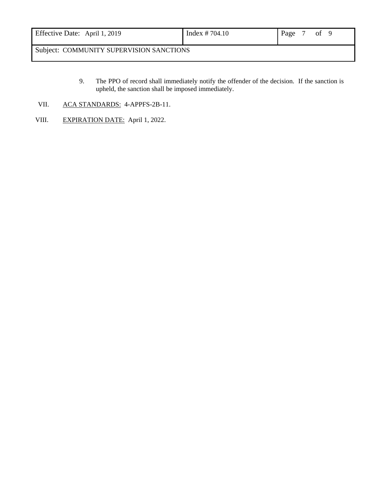| Effective Date: April 1, 2019            | Index $\# 704.10$ | Page |  | 0 <sup>t</sup> |  |
|------------------------------------------|-------------------|------|--|----------------|--|
| Subject: COMMUNITY SUPERVISION SANCTIONS |                   |      |  |                |  |

- 9. The PPO of record shall immediately notify the offender of the decision. If the sanction is upheld, the sanction shall be imposed immediately.
- VII. ACA STANDARDS: 4-APPFS-2B-11.
- VIII. EXPIRATION DATE: April 1, 2022.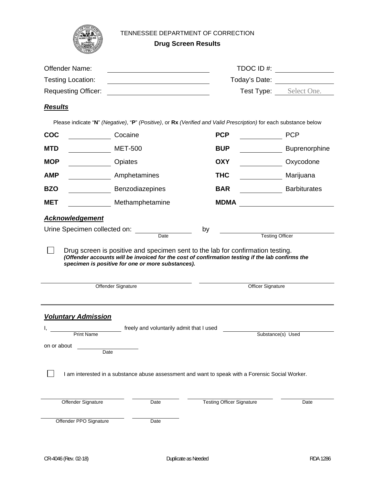

#### TENNESSEE DEPARTMENT OF CORRECTION

**Drug Screen Results**

| Offender Name:                                                 |                                                                                                                                                      | TDOC ID #:<br>Today's Date: <u>________________</u> |                        |  |  |
|----------------------------------------------------------------|------------------------------------------------------------------------------------------------------------------------------------------------------|-----------------------------------------------------|------------------------|--|--|
| <b>Testing Location:</b>                                       |                                                                                                                                                      |                                                     |                        |  |  |
| <b>Requesting Officer:</b>                                     |                                                                                                                                                      |                                                     | Test Type: Select One. |  |  |
| <b>Results</b>                                                 |                                                                                                                                                      |                                                     |                        |  |  |
|                                                                | Please indicate "N" (Negative), "P" (Positive), or Rx (Verified and Valid Prescription) for each substance below                                     |                                                     |                        |  |  |
| <b>COC</b>                                                     | Cocaine                                                                                                                                              | <b>PCP</b>                                          | <b>PCP</b>             |  |  |
| <b>MTD</b>                                                     | <b>MET-500</b>                                                                                                                                       | <b>BUP</b>                                          | Buprenorphine          |  |  |
| <b>MOP</b>                                                     | Opiates                                                                                                                                              | <b>OXY</b>                                          | Oxycodone              |  |  |
| <b>AMP</b>                                                     | Amphetamines                                                                                                                                         | <b>THC</b>                                          | Marijuana              |  |  |
| <b>BZO</b>                                                     | Benzodiazepines                                                                                                                                      | <b>BAR</b>                                          | <b>Barbiturates</b>    |  |  |
| <b>MET</b>                                                     | Methamphetamine                                                                                                                                      | <b>MDMA</b>                                         |                        |  |  |
|                                                                | specimen is positive for one or more substances).                                                                                                    |                                                     |                        |  |  |
|                                                                | Offender Signature                                                                                                                                   | <b>Officer Signature</b>                            |                        |  |  |
| <b>Voluntary Admission</b><br><b>Print Name</b><br>on or about | freely and voluntarily admit that I used<br>Date<br>I am interested in a substance abuse assessment and want to speak with a Forensic Social Worker. |                                                     | Substance(s) Used      |  |  |
| Offender Signature                                             | Date                                                                                                                                                 | <b>Testing Officer Signature</b>                    | Date                   |  |  |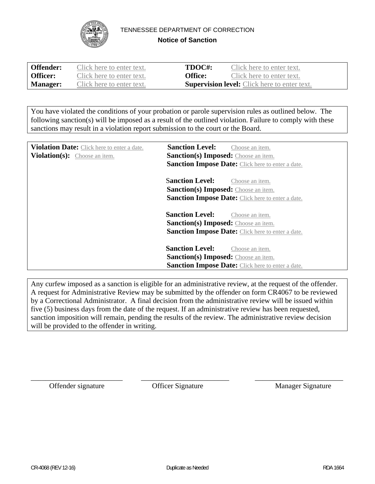

TENNESSEE DEPARTMENT OF CORRECTION

**Notice of Sanction** 

| <b>Offender:</b> | Click here to enter text. | TDOC#:  | Click here to enter text.                           |
|------------------|---------------------------|---------|-----------------------------------------------------|
| <b>Officer:</b>  | Click here to enter text. | Office: | Click here to enter text.                           |
| <b>Manager:</b>  | Click here to enter text. |         | <b>Supervision level:</b> Click here to enter text. |

You have violated the conditions of your probation or parole supervision rules as outlined below. The following sanction(s) will be imposed as a result of the outlined violation. Failure to comply with these sanctions may result in a violation report submission to the court or the Board.

| Violation Date: Click here to enter a date.<br><b>Violation(s):</b> Choose an item. | <b>Sanction Level:</b><br>Choose an item.<br><b>Sanction(s) Imposed:</b> Choose an item. |
|-------------------------------------------------------------------------------------|------------------------------------------------------------------------------------------|
|                                                                                     | <b>Sanction Impose Date:</b> Click here to enter a date.                                 |
|                                                                                     | <b>Sanction Level:</b><br>Choose an <i>item</i> .                                        |
|                                                                                     | <b>Sanction(s) Imposed:</b> Choose an item.                                              |
|                                                                                     | <b>Sanction Impose Date:</b> Click here to enter a date.                                 |
|                                                                                     | <b>Sanction Level:</b><br>Choose an <i>item</i> .                                        |
|                                                                                     | <b>Sanction(s) Imposed:</b> Choose an item.                                              |
|                                                                                     | <b>Sanction Impose Date:</b> Click here to enter a date.                                 |
|                                                                                     | <b>Sanction Level:</b><br>Choose an item.                                                |
|                                                                                     | <b>Sanction(s) Imposed:</b> Choose an item.                                              |
|                                                                                     | <b>Sanction Impose Date:</b> Click here to enter a date.                                 |

Any curfew imposed as a sanction is eligible for an administrative review, at the request of the offender. A request for Administrative Review may be submitted by the offender on form CR4067 to be reviewed by a Correctional Administrator. A final decision from the administrative review will be issued within five (5) business days from the date of the request. If an administrative review has been requested, sanction imposition will remain, pending the results of the review. The administrative review decision will be provided to the offender in writing.

\_\_\_\_\_\_\_\_\_\_\_\_\_\_\_\_\_\_\_\_\_\_\_\_\_ \_\_\_\_\_\_\_\_\_\_\_\_\_\_\_\_\_\_\_\_\_\_\_\_ \_\_\_\_\_\_\_\_\_\_\_\_\_\_\_\_\_\_\_\_\_\_\_\_

Offender signature **Officer Signature** Manager Signature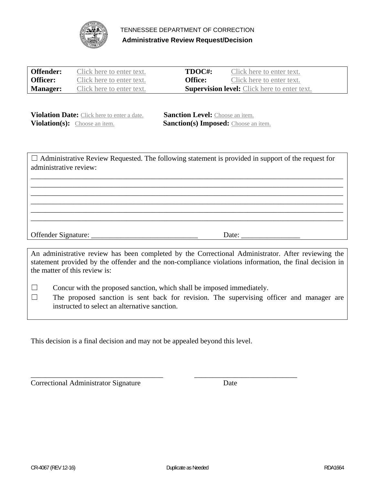

TENNESSEE DEPARTMENT OF CORRECTION **Administrative Review Request/Decision** 

| <b>Offender:</b> | Click here to enter text. | TDOC#:         | Click here to enter text.                           |
|------------------|---------------------------|----------------|-----------------------------------------------------|
| <b>Officer:</b>  | Click here to enter text. | <b>Office:</b> | Click here to enter text.                           |
| <b>Manager:</b>  | Click here to enter text. |                | <b>Supervision level:</b> Click here to enter text. |

**Violation Date:** Click here to enter a date. **Sanction Level:** Choose an item. **Violation(s):** Choose an item. **Sanction(s) Imposed:** Choose an item.

| $\Box$ Administrative Review Requested. The following statement is provided in support of the request for<br>administrative review: |                       |
|-------------------------------------------------------------------------------------------------------------------------------------|-----------------------|
|                                                                                                                                     |                       |
|                                                                                                                                     |                       |
|                                                                                                                                     |                       |
|                                                                                                                                     |                       |
|                                                                                                                                     |                       |
|                                                                                                                                     |                       |
|                                                                                                                                     |                       |
|                                                                                                                                     | Date: $\qquad \qquad$ |
|                                                                                                                                     |                       |
|                                                                                                                                     | $\cdot$ 1             |

An administrative review has been completed by the Correctional Administrator. After reviewing the statement provided by the offender and the non-compliance violations information, the final decision in the matter of this review is:

□ Concur with the proposed sanction, which shall be imposed immediately.

\_\_\_\_\_\_\_\_\_\_\_\_\_\_\_\_\_\_\_\_\_\_\_\_\_\_\_\_\_\_\_\_\_\_\_\_ \_\_\_\_\_\_\_\_\_\_\_\_\_\_\_\_\_\_\_\_\_\_\_\_\_\_\_\_

☐ The proposed sanction is sent back for revision. The supervising officer and manager are instructed to select an alternative sanction.

This decision is a final decision and may not be appealed beyond this level.

Correctional Administrator Signature Date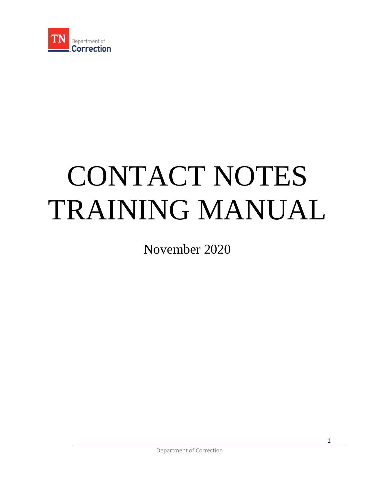

# CONTACT NOTES TRAINING MANUAL

November 2020

1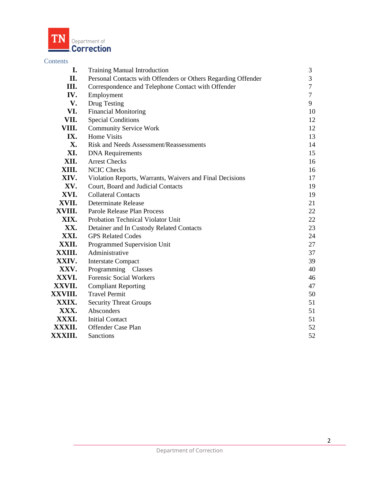

# Contents

| I.      | <b>Training Manual Introduction</b>                           | 3              |
|---------|---------------------------------------------------------------|----------------|
| П.      | Personal Contacts with Offenders or Others Regarding Offender | $\overline{3}$ |
| Ш.      | Correspondence and Telephone Contact with Offender            | $\tau$         |
| IV.     | Employment                                                    | $\overline{7}$ |
| V.      | Drug Testing                                                  | 9              |
| VI.     | <b>Financial Monitoring</b>                                   | 10             |
| VII.    | <b>Special Conditions</b>                                     | 12             |
| VIII.   | <b>Community Service Work</b>                                 | 12             |
| IX.     | <b>Home Visits</b>                                            | 13             |
| X.      | Risk and Needs Assessment/Reassessments                       | 14             |
| XI.     | <b>DNA</b> Requirements                                       | 15             |
| XII.    | <b>Arrest Checks</b>                                          | 16             |
| XIII.   | <b>NCIC Checks</b>                                            | 16             |
| XIV.    | Violation Reports, Warrants, Waivers and Final Decisions      | 17             |
| XV.     | Court, Board and Judicial Contacts                            | 19             |
| XVI.    | <b>Collateral Contacts</b>                                    | 19             |
| XVII.   | Determinate Release                                           | 21             |
| XVIII.  | Parole Release Plan Process                                   | 22             |
| XIX.    | Probation Technical Violator Unit                             | 22             |
| XX.     | Detainer and In Custody Related Contacts                      | 23             |
| XXI.    | <b>GPS Related Codes</b>                                      | 24             |
| XXII.   | Programmed Supervision Unit                                   | 27             |
| XXIII.  | Administrative                                                | 37             |
| XXIV.   | <b>Interstate Compact</b>                                     | 39             |
| XXV.    | Programming Classes                                           | 40             |
| XXVI.   | <b>Forensic Social Workers</b>                                | 46             |
| XXVII.  | <b>Compliant Reporting</b>                                    | 47             |
| XXVIII. | <b>Travel Permit</b>                                          | 50             |
| XXIX.   | <b>Security Threat Groups</b>                                 | 51             |
| XXX.    | Absconders                                                    | 51             |
| XXXI.   | <b>Initial Contact</b>                                        | 51             |
| XXXII.  | Offender Case Plan                                            | 52             |
| XXXIII. | Sanctions                                                     | 52             |
|         |                                                               |                |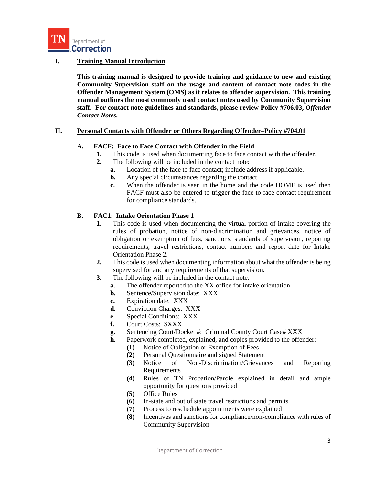

### **I. Training Manual Introduction**

**This training manual is designed to provide training and guidance to new and existing Community Supervision staff on the usage and content of contact note codes in the Offender Management System (OMS) as it relates to offender supervision. This training manual outlines the most commonly used contact notes used by Community Supervision staff. For contact note guidelines and standards, please review Policy #706.03,** *Offender Contact Notes.*

#### **II. Personal Contacts with Offender or Others Regarding Offender–Policy #704.01**

#### **A. FACF: Face to Face Contact with Offender in the Field**

- **1.** This code is used when documenting face to face contact with the offender.
- **2.** The following will be included in the contact note:
	- **a.** Location of the face to face contact; include address if applicable.
	- **b.** Any special circumstances regarding the contact.
	- **c.** When the offender is seen in the home and the code HOMF is used then FACF must also be entered to trigger the face to face contact requirement for compliance standards.

#### **B. FAC1**: **Intake Orientation Phase 1**

- **1.** This code is used when documenting the virtual portion of intake covering the rules of probation, notice of non-discrimination and grievances, notice of obligation or exemption of fees, sanctions, standards of supervision, reporting requirements, travel restrictions, contact numbers and report date for Intake Orientation Phase 2.
- **2.** This code is used when documenting information about what the offender is being supervised for and any requirements of that supervision.
- **3.** The following will be included in the contact note:
	- **a.** The offender reported to the XX office for intake orientation
	- **b.** Sentence/Supervision date: XXX
	- **c.** Expiration date: XXX
	- **d.** Conviction Charges: XXX
	- **e.** Special Conditions: XXX
	- **f.** Court Costs: \$XXX
	- **g.** Sentencing Court/Docket #: Criminal County Court Case# XXX
	- **h.** Paperwork completed, explained, and copies provided to the offender:
		- **(1)** Notice of Obligation or Exemption of Fees
		- **(2)** Personal Questionnaire and signed Statement
		- **(3)** Notice of Non-Discrimination/Grievances and Reporting Requirements
		- **(4)** Rules of TN Probation/Parole explained in detail and ample opportunity for questions provided
		- **(5)** Office Rules
		- **(6)** In-state and out of state travel restrictions and permits
		- **(7)** Process to reschedule appointments were explained
		- **(8)** Incentives and sanctions for compliance/non-compliance with rules of Community Supervision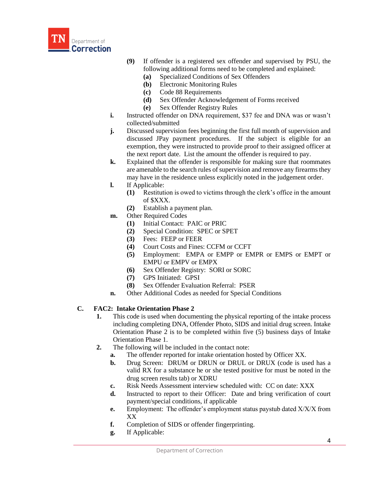

- **(9)** If offender is a registered sex offender and supervised by PSU, the following additional forms need to be completed and explained:
	- **(a)** Specialized Conditions of Sex Offenders
	- **(b)** Electronic Monitoring Rules
	- **(c)** Code 88 Requirements
	- **(d)** Sex Offender Acknowledgement of Forms received
	- **(e)** Sex Offender Registry Rules
- **i.** Instructed offender on DNA requirement, \$37 fee and DNA was or wasn't collected/submitted
- **j.** Discussed supervision fees beginning the first full month of supervision and discussed JPay payment procedures. If the subject is eligible for an exemption, they were instructed to provide proof to their assigned officer at the next report date. List the amount the offender is required to pay.
- **k.** Explained that the offender is responsible for making sure that roommates are amenable to the search rules of supervision and remove any firearms they may have in the residence unless explicitly noted in the judgement order.
- **l.** If Applicable:
	- **(1)** Restitution is owed to victims through the clerk's office in the amount of \$XXX.
	- **(2)** Establish a payment plan.
- **m.** Other Required Codes
	- **(1)** Initial Contact: PAIC or PRIC
	- **(2)** Special Condition: SPEC or SPET
	- **(3)** Fees: FEEP or FEER
	- **(4)** Court Costs and Fines: CCFM or CCFT
	- **(5)** Employment: EMPA or EMPP or EMPR or EMPS or EMPT or EMPU or EMPV or EMPX
	- **(6)** Sex Offender Registry: SORI or SORC
	- **(7)** GPS Initiated: GPSI
	- **(8)** Sex Offender Evaluation Referral: PSER
- **n.** Other Additional Codes as needed for Special Conditions

# **C. FAC2: Intake Orientation Phase 2**

- **1.** This code is used when documenting the physical reporting of the intake process including completing DNA, Offender Photo, SIDS and initial drug screen. Intake Orientation Phase 2 is to be completed within five (5) business days of Intake Orientation Phase 1.
- **2.** The following will be included in the contact note:
	- **a.** The offender reported for intake orientation hosted by Officer XX.
	- **b.** Drug Screen: DRUM or DRUN or DRUL or DRUX (code is used has a valid RX for a substance he or she tested positive for must be noted in the drug screen results tab) or XDRU
	- **c.** Risk Needs Assessment interview scheduled with: CC on date: XXX
	- **d.** Instructed to report to their Officer: Date and bring verification of court payment/special conditions, if applicable
	- **e.** Employment: The offender's employment status paystub dated X/X/X from XX
	- **f.** Completion of SIDS or offender fingerprinting.
	- **g.** If Applicable: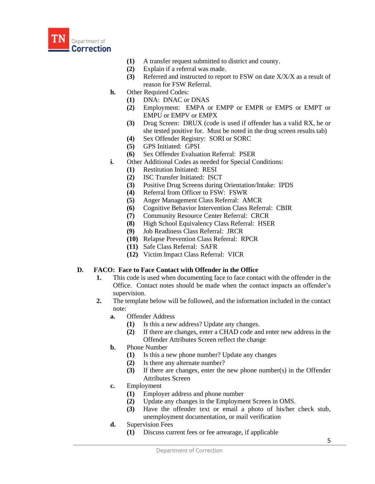

- **(1)** A transfer request submitted to district and county.
- **(2)** Explain if a referral was made.
- **(3)** Referred and instructed to report to FSW on date X/X/X as a result of reason for FSW Referral.
- **h.** Other Required Codes:
	- **(1)** DNA: DNAC or DNAS
	- **(2)** Employment: EMPA or EMPP or EMPR or EMPS or EMPT or EMPU or EMPV or EMPX
	- **(3)** Drug Screen: DRUX (code is used if offender has a valid RX, he or she tested positive for. Must be noted in the drug screen results tab)
	- **(4)** Sex Offender Registry: SORI or SORC
	- **(5)** GPS Initiated: GPSI
	- **(6)** Sex Offender Evaluation Referral: PSER
- **i.** Other Additional Codes as needed for Special Conditions:
	- **(1)** Restitution Initiated: RESI
	- **(2)** ISC Transfer Initiated: ISCT
	- **(3)** Positive Drug Screens during Orientation/Intake: IPDS
	- **(4)** Referral from Officer to FSW: FSWR
	- **(5)** Anger Management Class Referral: AMCR
	- **(6)** Cognitive Behavior Intervention Class Referral: CBIR
	- **(7)** Community Resource Center Referral: CRCR
	- **(8)** High School Equivalency Class Referral: HSER
	- **(9)** Job Readiness Class Referral: JRCR
	- **(10)** Relapse Prevention Class Referral: RPCR
	- **(11)** Safe Class Referral: SAFR
	- **(12)** Victim Impact Class Referral: VICR

# **D. FACO: Face to Face Contact with Offender in the Office**

- **1.** This code is used when documenting face to face contact with the offender in the Office. Contact notes should be made when the contact impacts an offender's supervision.
- **2.** The template below will be followed, and the information included in the contact note:
	- **a.** Offender Address
		- **(1)** Is this a new address? Update any changes.
		- **(2)** If there are changes, enter a CHAD code and enter new address in the Offender Attributes Screen reflect the change
	- **b.** Phone Number
		- **(1)** Is this a new phone number? Update any changes
		- **(2)** Is there any alternate number?
		- **(3)** If there are changes, enter the new phone number(s) in the Offender Attributes Screen
	- **c.** Employment
		- **(1)** Employer address and phone number
		- **(2)** Update any changes in the Employment Screen in OMS.
		- **(3)** Have the offender text or email a photo of his/her check stub, unemployment documentation, or mail verification
	- **d.** Supervision Fees
		- **(1)** Discuss current fees or fee arrearage, if applicable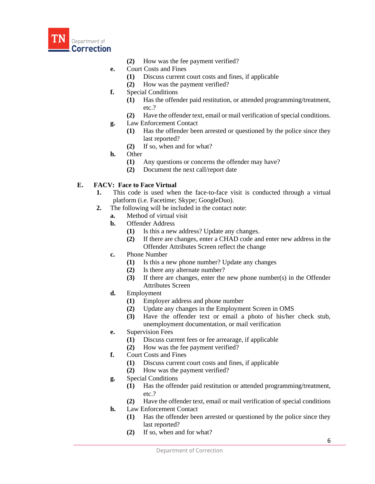

- **(2)** How was the fee payment verified?
- **e.** Court Costs and Fines
	- **(1)** Discuss current court costs and fines, if applicable
	- **(2)** How was the payment verified?
- **f.** Special Conditions
	- **(1)** Has the offender paid restitution, or attended programming/treatment, etc.?
	- **(2)** Have the offender text, email or mail verification of special conditions.
- **g.** Law Enforcement Contact
	- **(1)** Has the offender been arrested or questioned by the police since they last reported?
	- **(2)** If so, when and for what?
- **h.** Other
	- **(1)** Any questions or concerns the offender may have?
	- **(2)** Document the next call/report date

# **E. FACV: Face to Face Virtual**

- **1.** This code is used when the face-to-face visit is conducted through a virtual platform (i.e. Facetime; Skype; GoogleDuo).
- **2.** The following will be included in the contact note:
	- **a.** Method of virtual visit
	- **b.** Offender Address
		- **(1)** Is this a new address? Update any changes.
		- **(2)** If there are changes, enter a CHAD code and enter new address in the Offender Attributes Screen reflect the change
	- **c.** Phone Number
		- **(1)** Is this a new phone number? Update any changes
		- **(2)** Is there any alternate number?
		- **(3)** If there are changes, enter the new phone number(s) in the Offender Attributes Screen
	- **d.** Employment
		- **(1)** Employer address and phone number
		- **(2)** Update any changes in the Employment Screen in OMS
		- **(3)** Have the offender text or email a photo of his/her check stub, unemployment documentation, or mail verification
	- **e.** Supervision Fees
		- **(1)** Discuss current fees or fee arrearage, if applicable
		- **(2)** How was the fee payment verified?
	- **f.** Court Costs and Fines
		- **(1)** Discuss current court costs and fines, if applicable
		- **(2)** How was the payment verified?
	- **g.** Special Conditions
		- **(1)** Has the offender paid restitution or attended programming/treatment, etc.?
		- **(2)** Have the offender text, email or mail verification of special conditions
	- **h.** Law Enforcement Contact
		- **(1)** Has the offender been arrested or questioned by the police since they last reported?
		- **(2)** If so, when and for what?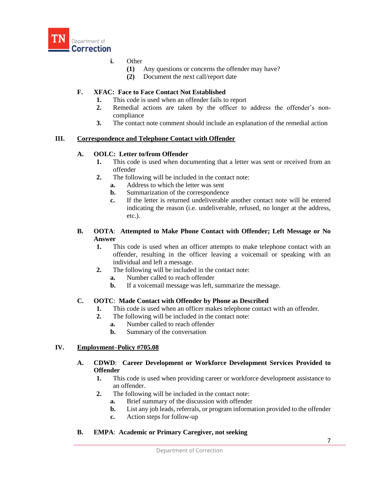

# **i.** Other

- **(1)** Any questions or concerns the offender may have?
- **(2)** Document the next call/report date

# **F. XFAC: Face to Face Contact Not Established**

- **1.** This code is used when an offender fails to report
- **2.** Remedial actions are taken by the officer to address the offender's noncompliance
- **3.** The contact note comment should include an explanation of the remedial action

#### **III. Correspondence and Telephone Contact with Offender**

#### **A. OOLC: Letter to/from Offender**

- **1.** This code is used when documenting that a letter was sent or received from an offender
- **2.** The following will be included in the contact note:
	- **a.** Address to which the letter was sent
	- **b.** Summarization of the correspondence
	- **c.** If the letter is returned undeliverable another contact note will be entered indicating the reason (i.e. undeliverable, refused, no longer at the address, etc.).

#### **B. OOTA**: **Attempted to Make Phone Contact with Offender; Left Message or No Answer**

- **1.** This code is used when an officer attempts to make telephone contact with an offender, resulting in the officer leaving a voicemail or speaking with an individual and left a message.
- **2.** The following will be included in the contact note:
	- **a.** Number called to reach offender
	- **b.** If a voicemail message was left, summarize the message.

# **C. OOTC**: **Made Contact with Offender by Phone as Described**

- **1.** This code is used when an officer makes telephone contact with an offender.
- **2.** The following will be included in the contact note:
	- **a.** Number called to reach offender
	- **b.** Summary of the conversation

# **IV. Employment–Policy #705.08**

- **A. CDWD**: **Career Development or Workforce Development Services Provided to Offender**
	- **1.** This code is used when providing career or workforce development assistance to an offender.
	- **2.** The following will be included in the contact note:
		- **a.** Brief summary of the discussion with offender
		- **b.** List any job leads, referrals, or program information provided to the offender
		- **c.** Action steps for follow-up
- **B. EMPA**: **Academic or Primary Caregiver, not seeking**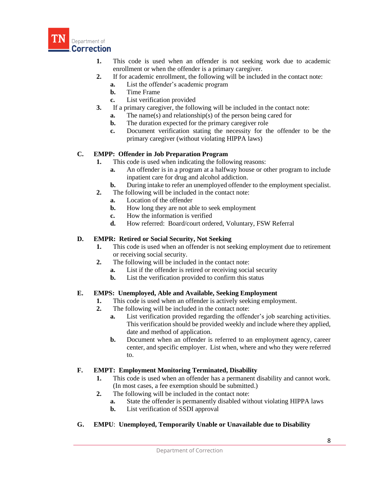

- **1.** This code is used when an offender is not seeking work due to academic enrollment or when the offender is a primary caregiver.
- **2.** If for academic enrollment, the following will be included in the contact note:
	- **a.** List the offender's academic program
	- **b.** Time Frame
	- **c.** List verification provided
- **3.** If a primary caregiver, the following will be included in the contact note:
	- **a.** The name(s) and relationship(s) of the person being cared for
	- **b.** The duration expected for the primary caregiver role
	- **c.** Document verification stating the necessity for the offender to be the primary caregiver (without violating HIPPA laws)

#### **C. EMPP: Offender in Job Preparation Program**

- **1.** This code is used when indicating the following reasons:
	- **a.** An offender is in a program at a halfway house or other program to include inpatient care for drug and alcohol addiction.
	- **b.** During intake to refer an unemployed offender to the employment specialist.
- **2.** The following will be included in the contact note:
	- **a.** Location of the offender
	- **b.** How long they are not able to seek employment
	- **c.** How the information is verified
	- **d.** How referred: Board/court ordered, Voluntary, FSW Referral

#### **D. EMPR: Retired or Social Security, Not Seeking**

- **1.** This code is used when an offender is not seeking employment due to retirement or receiving social security.
- **2.** The following will be included in the contact note:
	- **a.** List if the offender is retired or receiving social security
	- **b.** List the verification provided to confirm this status

#### **E. EMPS: Unemployed, Able and Available, Seeking Employment**

- **1.** This code is used when an offender is actively seeking employment.
- **2.** The following will be included in the contact note:
	- **a.** List verification provided regarding the offender's job searching activities. This verification should be provided weekly and include where they applied, date and method of application.
	- **b.** Document when an offender is referred to an employment agency, career center, and specific employer. List when, where and who they were referred to.

#### **F. EMPT: Employment Monitoring Terminated, Disability**

- **1.** This code is used when an offender has a permanent disability and cannot work. (In most cases, a fee exemption should be submitted.)
- **2.** The following will be included in the contact note:
	- **a.** State the offender is permanently disabled without violating HIPPA laws
	- **b.** List verification of SSDI approval
- **G. EMPU**: **Unemployed, Temporarily Unable or Unavailable due to Disability**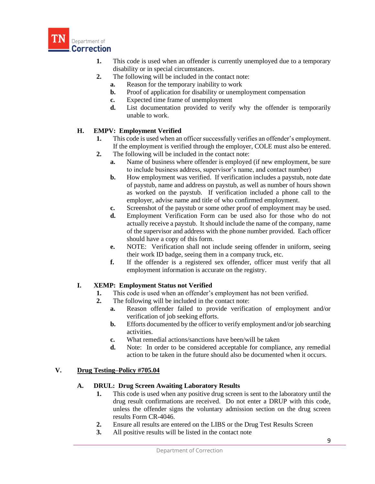

- **1.** This code is used when an offender is currently unemployed due to a temporary disability or in special circumstances.
- **2.** The following will be included in the contact note:
	- **a.** Reason for the temporary inability to work
	- **b.** Proof of application for disability or unemployment compensation
	- **c.** Expected time frame of unemployment
	- **d.** List documentation provided to verify why the offender is temporarily unable to work.

# **H. EMPV: Employment Verified**

- **1.** This code is used when an officer successfully verifies an offender's employment. If the employment is verified through the employer, COLE must also be entered.
- **2.** The following will be included in the contact note:
	- **a.** Name of business where offender is employed (if new employment, be sure to include business address, supervisor's name, and contact number)
	- **b.** How employment was verified. If verification includes a paystub, note date of paystub, name and address on paystub, as well as number of hours shown as worked on the paystub. If verification included a phone call to the employer, advise name and title of who confirmed employment.
	- **c.** Screenshot of the paystub or some other proof of employment may be used.
	- **d.** Employment Verification Form can be used also for those who do not actually receive a paystub. It should include the name of the company, name of the supervisor and address with the phone number provided. Each officer should have a copy of this form.
	- **e.** NOTE: Verification shall not include seeing offender in uniform, seeing their work ID badge, seeing them in a company truck, etc.
	- **f.** If the offender is a registered sex offender, officer must verify that all employment information is accurate on the registry.

# **I. XEMP: Employment Status not Verified**

- **1.** This code is used when an offender's employment has not been verified.
- **2.** The following will be included in the contact note:
	- **a.** Reason offender failed to provide verification of employment and/or verification of job seeking efforts.
	- **b.** Efforts documented by the officer to verify employment and/or job searching activities.
	- **c.** What remedial actions/sanctions have been/will be taken
	- **d.** Note: In order to be considered acceptable for compliance, any remedial action to be taken in the future should also be documented when it occurs.

# **V. Drug Testing–Policy #705.04**

# **A. DRUL: Drug Screen Awaiting Laboratory Results**

- **1.** This code is used when any positive drug screen is sent to the laboratory until the drug result confirmations are received. Do not enter a DRUP with this code, unless the offender signs the voluntary admission section on the drug screen results Form CR-4046.
- **2.** Ensure all results are entered on the LIBS or the Drug Test Results Screen
- **3.** All positive results will be listed in the contact note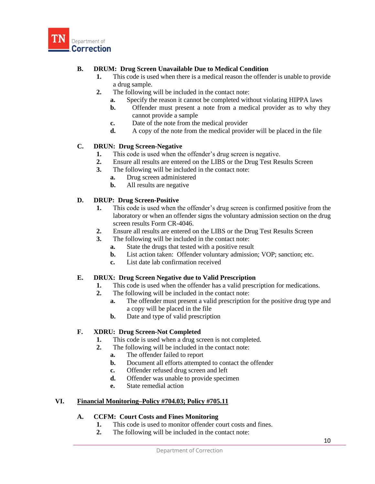

# **B. DRUM: Drug Screen Unavailable Due to Medical Condition**

- **1.** This code is used when there is a medical reason the offender is unable to provide a drug sample.
- **2.** The following will be included in the contact note:
	- **a.** Specify the reason it cannot be completed without violating HIPPA laws
	- **b.** Offender must present a note from a medical provider as to why they cannot provide a sample
	- **c.** Date of the note from the medical provider
	- **d.** A copy of the note from the medical provider will be placed in the file

# **C. DRUN: Drug Screen-Negative**

- **1.** This code is used when the offender's drug screen is negative.
- **2.** Ensure all results are entered on the LIBS or the Drug Test Results Screen
- **3.** The following will be included in the contact note:
	- **a.** Drug screen administered
	- **b.** All results are negative

#### **D. DRUP: Drug Screen-Positive**

- **1.** This code is used when the offender's drug screen is confirmed positive from the laboratory or when an offender signs the voluntary admission section on the drug screen results Form CR-4046.
- **2.** Ensure all results are entered on the LIBS or the Drug Test Results Screen
- **3.** The following will be included in the contact note:
	- **a.** State the drugs that tested with a positive result
	- **b.** List action taken: Offender voluntary admission; VOP; sanction; etc.
	- **c.** List date lab confirmation received

#### **E. DRUX: Drug Screen Negative due to Valid Prescription**

- **1.** This code is used when the offender has a valid prescription for medications.
- **2.** The following will be included in the contact note:
	- **a.** The offender must present a valid prescription for the positive drug type and a copy will be placed in the file
	- **b.** Date and type of valid prescription

# **F. XDRU: Drug Screen-Not Completed**

- **1.** This code is used when a drug screen is not completed.
- **2.** The following will be included in the contact note:
	- **a.** The offender failed to report
	- **b.** Document all efforts attempted to contact the offender
	- **c.** Offender refused drug screen and left
	- **d.** Offender was unable to provide specimen
	- **e.** State remedial action

# **VI. Financial Monitoring–Policy #704.03; Policy #705.11**

# **A. CCFM: Court Costs and Fines Monitoring**

- **1.** This code is used to monitor offender court costs and fines.
- **2.** The following will be included in the contact note: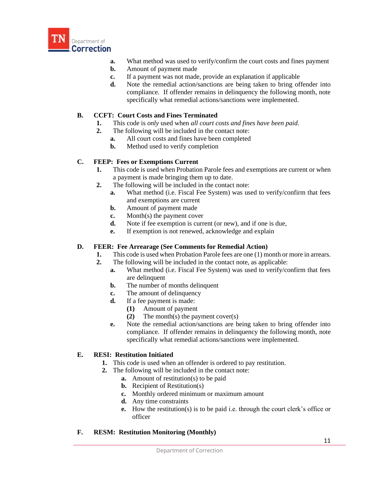

- **a.** What method was used to verify/confirm the court costs and fines payment
- **b.** Amount of payment made
- **c.** If a payment was not made, provide an explanation if applicable
- **d.** Note the remedial action/sanctions are being taken to bring offender into compliance. If offender remains in delinquency the following month, note specifically what remedial actions/sanctions were implemented.

#### **B. CCFT: Court Costs and Fines Terminated**

- **1.** This code is *only* used when *all court costs and fines have been paid*.
- **2.** The following will be included in the contact note:
	- **a.** All court costs and fines have been completed
		- **b.** Method used to verify completion

#### **C. FEEP: Fees or Exemptions Current**

- **1.** This code is used when Probation Parole fees and exemptions are current or when a payment is made bringing them up to date.
- **2.** The following will be included in the contact note:
	- **a.** What method (i.e. Fiscal Fee System) was used to verify/confirm that fees and exemptions are current
	- **b.** Amount of payment made
	- **c.** Month(s) the payment cover
	- **d.** Note if fee exemption is current (or new), and if one is due,
	- **e.** If exemption is not renewed, acknowledge and explain

# **D. FEER: Fee Arrearage (See Comments for Remedial Action)**

- **1.** This code is used when Probation Parole fees are one (1) month or more in arrears.
- **2.** The following will be included in the contact note, as applicable:
	- **a.** What method (i.e. Fiscal Fee System) was used to verify/confirm that fees are delinquent
	- **b.** The number of months delinquent
	- **c.** The amount of delinquency
	- **d.** If a fee payment is made:
		- **(1)** Amount of payment
		- **(2)** The month(s) the payment cover(s)
	- **e.** Note the remedial action/sanctions are being taken to bring offender into compliance. If offender remains in delinquency the following month, note specifically what remedial actions/sanctions were implemented.

# **E. RESI: Restitution Initiated**

- **1.** This code is used when an offender is ordered to pay restitution.
- **2.** The following will be included in the contact note:
	- **a.** Amount of restitution(s) to be paid
	- **b.** Recipient of Restitution(s)
	- **c.** Monthly ordered minimum or maximum amount
	- **d.** Any time constraints
	- **e.** How the restitution(s) is to be paid i.e. through the court clerk's office or officer

# **F. RESM: Restitution Monitoring (Monthly)**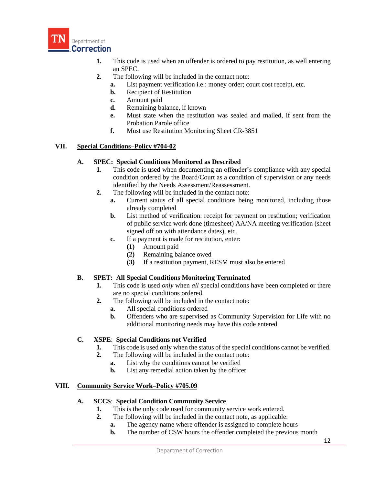

- **1.** This code is used when an offender is ordered to pay restitution, as well entering an SPEC.
- **2.** The following will be included in the contact note:
	- **a.** List payment verification i.e.: money order; court cost receipt, etc.
	- **b.** Recipient of Restitution
	- **c.** Amount paid
	- **d.** Remaining balance, if known
	- **e.** Must state when the restitution was sealed and mailed, if sent from the Probation Parole office
	- **f.** Must use Restitution Monitoring Sheet CR-3851

# **VII. Special Conditions–Policy #704-02**

#### **A. SPEC: Special Conditions Monitored as Described**

- **1.** This code is used when documenting an offender's compliance with any special condition ordered by the Board/Court as a condition of supervision or any needs identified by the Needs Assessment/Reassessment.
- **2.** The following will be included in the contact note:
	- **a.** Current status of all special conditions being monitored, including those already completed
	- **b.** List method of verification: receipt for payment on restitution; verification of public service work done (timesheet) AA/NA meeting verification (sheet signed off on with attendance dates), etc.
	- **c.** If a payment is made for restitution, enter:
		- **(1)** Amount paid
		- **(2)** Remaining balance owed
		- **(3)** If a restitution payment, RESM must also be entered

# **B. SPET: All Special Conditions Monitoring Terminated**

- **1.** This code is used *only* when *all* special conditions have been completed or there are no special conditions ordered.
- **2.** The following will be included in the contact note:
	- **a.** All special conditions ordered
		- **b.** Offenders who are supervised as Community Supervision for Life with no additional monitoring needs may have this code entered

# **C. XSPE**: **Special Conditions not Verified**

- **1.** This code is used only when the status of the special conditions cannot be verified.
- **2.** The following will be included in the contact note:
	- **a.** List why the conditions cannot be verified
	- **b.** List any remedial action taken by the officer

# **VIII. Community Service Work–Policy #705.09**

#### **A. SCCS**: **Special Condition Community Service**

- **1.** This is the only code used for community service work entered.
- **2.** The following will be included in the contact note, as applicable:
	- **a.** The agency name where offender is assigned to complete hours
	- **b.** The number of CSW hours the offender completed the previous month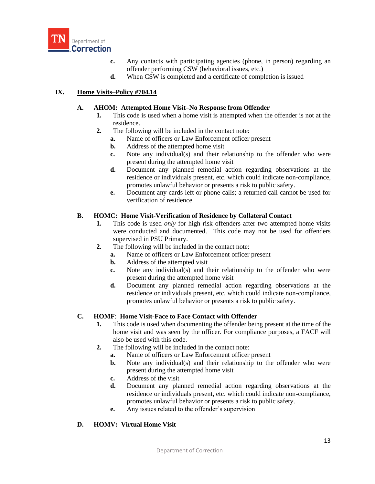

- **c.** Any contacts with participating agencies (phone, in person) regarding an offender performing CSW (behavioral issues, etc.)
- **d.** When CSW is completed and a certificate of completion is issued

### **IX. Home Visits–Policy #704.14**

### **A. AHOM: Attempted Home Visit–No Response from Offender**

- **1.** This code is used when a home visit is attempted when the offender is not at the residence.
- **2.** The following will be included in the contact note:
	- **a.** Name of officers or Law Enforcement officer present
	- **b.** Address of the attempted home visit
	- **c.** Note any individual(s) and their relationship to the offender who were present during the attempted home visit
	- **d.** Document any planned remedial action regarding observations at the residence or individuals present, etc. which could indicate non-compliance, promotes unlawful behavior or presents a risk to public safety.
	- **e.** Document any cards left or phone calls; a returned call cannot be used for verification of residence

#### **B. HOMC: Home Visit-Verification of Residence by Collateral Contact**

- **1.** This code is used *only* for high risk offenders after two attempted home visits were conducted and documented. This code may not be used for offenders supervised in PSU Primary.
- **2.** The following will be included in the contact note:
	- **a.** Name of officers or Law Enforcement officer present
	- **b.** Address of the attempted visit
	- **c.** Note any individual(s) and their relationship to the offender who were present during the attempted home visit
	- **d.** Document any planned remedial action regarding observations at the residence or individuals present, etc. which could indicate non-compliance, promotes unlawful behavior or presents a risk to public safety.

#### **C. HOMF**: **Home Visit-Face to Face Contact with Offender**

- **1.** This code is used when documenting the offender being present at the time of the home visit and was seen by the officer. For compliance purposes, a FACF will also be used with this code.
- **2.** The following will be included in the contact note:
	- **a.** Name of officers or Law Enforcement officer present
	- **b.** Note any individual(s) and their relationship to the offender who were present during the attempted home visit
	- **c.** Address of the visit
	- **d.** Document any planned remedial action regarding observations at the residence or individuals present, etc. which could indicate non-compliance, promotes unlawful behavior or presents a risk to public safety.
	- **e.** Any issues related to the offender's supervision

#### **D. HOMV: Virtual Home Visit**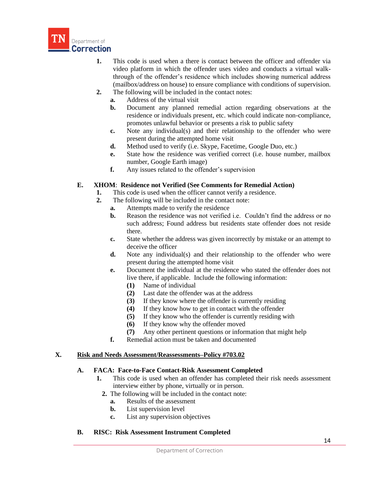

- **1.** This code is used when a there is contact between the officer and offender via video platform in which the offender uses video and conducts a virtual walkthrough of the offender's residence which includes showing numerical address (mailbox/address on house) to ensure compliance with conditions of supervision.
- **2.** The following will be included in the contact notes:
	- **a.** Address of the virtual visit
	- **b.** Document any planned remedial action regarding observations at the residence or individuals present, etc. which could indicate non-compliance, promotes unlawful behavior or presents a risk to public safety
	- **c.** Note any individual(s) and their relationship to the offender who were present during the attempted home visit
	- **d.** Method used to verify (i.e. Skype, Facetime, Google Duo, etc.)
	- **e.** State how the residence was verified correct (i.e. house number, mailbox number, Google Earth image)
	- **f.** Any issues related to the offender's supervision

# **E. XHOM**: **Residence not Verified (See Comments for Remedial Action)**

- **1.** This code is used when the officer cannot verify a residence.
- **2.** The following will be included in the contact note:
	- **a.** Attempts made to verify the residence
	- **b.** Reason the residence was not verified i.e. Couldn't find the address or no such address; Found address but residents state offender does not reside there.
	- **c.** State whether the address was given incorrectly by mistake or an attempt to deceive the officer
	- **d.** Note any individual(s) and their relationship to the offender who were present during the attempted home visit
	- **e.** Document the individual at the residence who stated the offender does not live there, if applicable. Include the following information:
		- **(1)** Name of individual
		- **(2)** Last date the offender was at the address
		- **(3)** If they know where the offender is currently residing
		- **(4)** If they know how to get in contact with the offender
		- **(5)** If they know who the offender is currently residing with
		- **(6)** If they know why the offender moved
		- **(7)** Any other pertinent questions or information that might help
	- **f.** Remedial action must be taken and documented

#### **X. Risk and Needs Assessment/Reassessments–Policy #703.02**

#### **A. FACA: Face-to-Face Contact-Risk Assessment Completed**

- **1.** This code is used when an offender has completed their risk needs assessment interview either by phone, virtually or in person.
	- **2.** The following will be included in the contact note:
		- **a.** Results of the assessment
		- **b.** List supervision level
		- **c.** List any supervision objectives

#### **B. RISC: Risk Assessment Instrument Completed**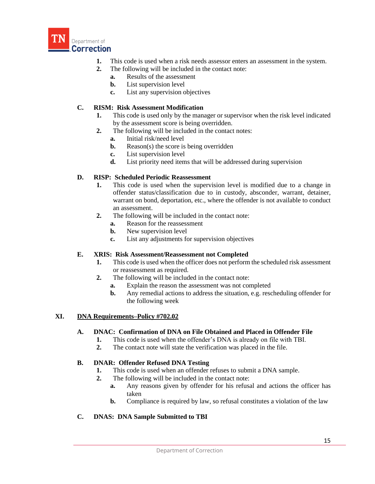

- **1.** This code is used when a risk needs assessor enters an assessment in the system.
- **2.** The following will be included in the contact note:
	- **a.** Results of the assessment
	- **b.** List supervision level
	- **c.** List any supervision objectives

### **C. RISM: Risk Assessment Modification**

- **1.** This code is used only by the manager or supervisor when the risk level indicated by the assessment score is being overridden.
- **2.** The following will be included in the contact notes:
	- **a.** Initial risk/need level
	- **b.** Reason(s) the score is being overridden
	- **c.** List supervision level
	- **d.** List priority need items that will be addressed during supervision

### **D. RISP: Scheduled Periodic Reassessment**

- **1.** This code is used when the supervision level is modified due to a change in offender status/classification due to in custody, absconder, warrant, detainer, warrant on bond, deportation, etc., where the offender is not available to conduct an assessment.
- **2.** The following will be included in the contact note:
	- **a.** Reason for the reassessment
	- **b.** New supervision level
	- **c.** List any adjustments for supervision objectives

#### **E. XRIS: Risk Assessment/Reassessment not Completed**

- **1.** This code is used when the officer does not perform the scheduled risk assessment or reassessment as required.
- **2.** The following will be included in the contact note:
	- **a.** Explain the reason the assessment was not completed
	- **b.** Any remedial actions to address the situation, e.g. rescheduling offender for the following week

#### **XI. DNA Requirements–Policy #702.02**

#### **A. DNAC: Confirmation of DNA on File Obtained and Placed in Offender File**

- **1.** This code is used when the offender's DNA is already on file with TBI.
- **2.** The contact note will state the verification was placed in the file.

# **B. DNAR: Offender Refused DNA Testing**

- **1.** This code is used when an offender refuses to submit a DNA sample.
- **2.** The following will be included in the contact note:
	- **a.** Any reasons given by offender for his refusal and actions the officer has taken
	- **b.** Compliance is required by law, so refusal constitutes a violation of the law

# **C. DNAS: DNA Sample Submitted to TBI**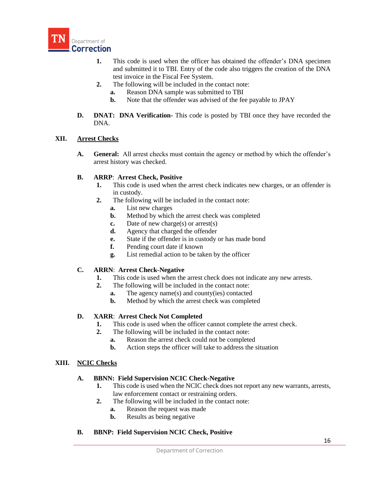

- **1.** This code is used when the officer has obtained the offender's DNA specimen and submitted it to TBI. Entry of the code also triggers the creation of the DNA test invoice in the Fiscal Fee System.
- **2.** The following will be included in the contact note:
	- **a.** Reason DNA sample was submitted to TBI
	- **b.** Note that the offender was advised of the fee payable to JPAY
- **D. DNAT: DNA Verification-** This code is posted by TBI once they have recorded the DNA.

### **XII. Arrest Checks**

**A. General:** All arrest checks must contain the agency or method by which the offender's arrest history was checked.

### **B. ARRP**: **Arrest Check, Positive**

- **1.** This code is used when the arrest check indicates new charges, or an offender is in custody.
- **2.** The following will be included in the contact note:
	- **a.** List new charges
	- **b.** Method by which the arrest check was completed
	- **c.** Date of new charge(s) or arrest(s)
	- **d.** Agency that charged the offender
	- **e.** State if the offender is in custody or has made bond
	- **f.** Pending court date if known
	- **g.** List remedial action to be taken by the officer

# **C. ARRN**: **Arrest Check-Negative**

- **1.** This code is used when the arrest check does not indicate any new arrests.
- **2.** The following will be included in the contact note:
	- **a.** The agency name(s) and county(ies) contacted
	- **b.** Method by which the arrest check was completed

# **D. XARR**: **Arrest Check Not Completed**

- **1.** This code is used when the officer cannot complete the arrest check.
- **2.** The following will be included in the contact note:
	- **a.** Reason the arrest check could not be completed
	- **b.** Action steps the officer will take to address the situation

#### **XIII. NCIC Checks**

#### **A. BBNN: Field Supervision NCIC Check-Negative**

- **1.** This code is used when the NCIC check does not report any new warrants, arrests, law enforcement contact or restraining orders.
- **2.** The following will be included in the contact note:
	- **a.** Reason the request was made
	- **b.** Results as being negative
- **B. BBNP: Field Supervision NCIC Check, Positive**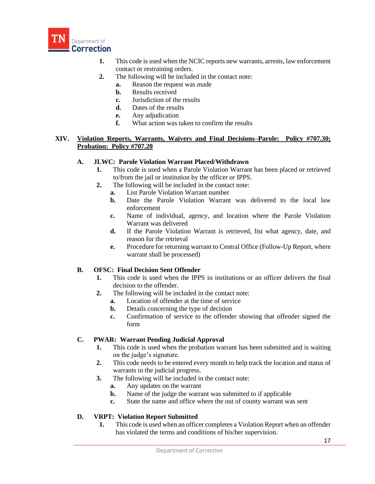

- **1.** This code is used when the NCIC reports new warrants, arrests, law enforcement contact or restraining orders.
- **2.** The following will be included in the contact note:
	- **a.** Reason the request was made
	- **b.** Results received
	- **c.** Jurisdiction of the results
	- **d.** Dates of the results
	- **e.** Any adjudication
	- **f.** What action was taken to confirm the results

### **XIV. Violation Reports, Warrants, Waivers and Final Decisions–Parole: Policy #707.30; Probation: Policy #707.20**

### **A. JLWC: Parole Violation Warrant Placed/Withdrawn**

- **1.** This code is used when a Parole Violation Warrant has been placed or retrieved to/from the jail or institution by the officer or IPPS.
- **2.** The following will be included in the contact note:
	- **a.** List Parole Violation Warrant number
	- **b.** Date the Parole Violation Warrant was delivered to the local law enforcement
	- **c.** Name of individual, agency, and location where the Parole Violation Warrant was delivered
	- **d.** If the Parole Violation Warrant is retrieved, list what agency, date, and reason for the retrieval
	- **e.** Procedure for returning warrant to Central Office (Follow-Up Report, where warrant shall be processed)

# **B. OFSC: Final Decision Sent Offender**

- **1.** This code is used when the IPPS in institutions or an officer delivers the final decision to the offender.
- **2.** The following will be included in the contact note:
	- **a.** Location of offender at the time of service
	- **b.** Details concerning the type of decision
	- **c.** Confirmation of service to the offender showing that offender signed the form

#### **C. PWAR: Warrant Pending Judicial Approval**

- **1.** This code is used when the probation warrant has been submitted and is waiting on the judge's signature.
- **2.** This code needs to be entered every month to help track the location and status of warrants in the judicial progress.
- **3.** The following will be included in the contact note:
	- **a.** Any updates on the warrant
	- **b.** Name of the judge the warrant was submitted to if applicable
	- **c.** State the name and office where the out of county warrant was sent

# **D. VRPT: Violation Report Submitted**

**1.** This code is used when an officer completes a Violation Report when an offender has violated the terms and conditions of his/her supervision.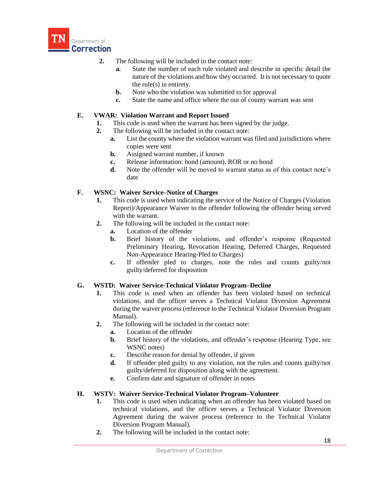

- **2.** The following will be included in the contact note:
	- **a.** State the number of each rule violated and describe in specific detail the nature of the violations and how they occurred. It is not necessary to quote the rule(s) in entirety.
	- **b.** Note who the violation was submitted to for approval
	- **c.** State the name and office where the out of county warrant was sent

#### **E. VWAR: Violation Warrant and Report Issued**

- **1.** This code is used when the warrant has been signed by the judge.
- **2.** The following will be included in the contact note:
	- **a.** List the county where the violation warrant was filed and jurisdictions where copies were sent
	- **b.** Assigned warrant number, if known
	- **c.** Release information: bond (amount), ROR or no bond
	- **d.** Note the offender will be moved to warrant status as of this contact note's date

### **F. WSNC: Waiver Service–Notice of Charges**

- **1.** This code is used when indicating the service of the Notice of Charges (Violation Report)/Appearance Waiver to the offender following the offender being served with the warrant.
- **2.** The following will be included in the contact note:
	- **a.** Location of the offender
	- **b.** Brief history of the violations, and offender's response (Requested Preliminary Hearing, Revocation Hearing, Deferred Charges, Requested Non-Appearance Hearing-Pled to Charges)
	- **c.** If offender pled to charges, note the rules and counts guilty/not guilty/deferred for disposition

# **G. WSTD: Waiver Service-Technical Violator Program–Decline**

- **1.** This code is used when an offender has been violated based on technical violations, and the officer serves a Technical Violator Diversion Agreement during the waiver process (reference to the Technical Violator Diversion Program Manual).
- **2.** The following will be included in the contact note:
	- **a.** Location of the offender
	- **b.** Brief history of the violations, and offender's response (Hearing Type, see WSNC notes)
	- **c.** Describe reason for denial by offender, if given
	- **d.** If offender pled guilty to any violation, not the rules and counts guilty/not guilty/deferred for disposition along with the agreement.
	- **e.** Confirm date and signature of offender in notes

#### **H. WSTV: Waiver Service-Technical Violator Program–Volunteer**

- **1.** This code is used when indicating when an offender has been violated based on technical violations, and the officer serves a Technical Violator Diversion Agreement during the waiver process (reference to the Technical Violator Diversion Program Manual).
- **2.** The following will be included in the contact note: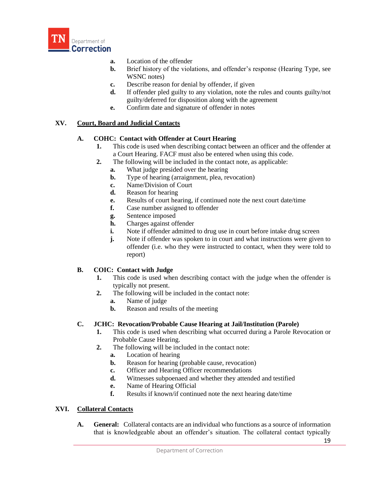

- **a.** Location of the offender
- **b.** Brief history of the violations, and offender's response (Hearing Type, see WSNC notes)
- **c.** Describe reason for denial by offender, if given
- **d.** If offender pled guilty to any violation, note the rules and counts guilty/not guilty/deferred for disposition along with the agreement
- **e.** Confirm date and signature of offender in notes

# **XV. Court, Board and Judicial Contacts**

# **A. COHC: Contact with Offender at Court Hearing**

- **1.** This code is used when describing contact between an officer and the offender at a Court Hearing. FACF must also be entered when using this code.
- **2.** The following will be included in the contact note, as applicable:
	- **a.** What judge presided over the hearing
	- **b.** Type of hearing (arraignment, plea, revocation)
	- **c.** Name/Division of Court
	- **d.** Reason for hearing
	- **e.** Results of court hearing, if continued note the next court date/time
	- **f.** Case number assigned to offender
	- **g.** Sentence imposed
	- **h.** Charges against offender
	- **i.** Note if offender admitted to drug use in court before intake drug screen
	- **j.** Note if offender was spoken to in court and what instructions were given to offender (i.e. who they were instructed to contact, when they were told to report)

# **B. COIC: Contact with Judge**

- **1.** This code is used when describing contact with the judge when the offender is typically not present.
- **2.** The following will be included in the contact note:
	- **a.** Name of judge
	- **b.** Reason and results of the meeting

# **C. JCHC: Revocation/Probable Cause Hearing at Jail/Institution (Parole)**

- **1.** This code is used when describing what occurred during a Parole Revocation or Probable Cause Hearing.
- **2.** The following will be included in the contact note:
	- **a.** Location of hearing
	- **b.** Reason for hearing (probable cause, revocation)
	- **c.** Officer and Hearing Officer recommendations
	- **d.** Witnesses subpoenaed and whether they attended and testified
	- **e.** Name of Hearing Official
	- **f.** Results if known/if continued note the next hearing date/time

# **XVI. Collateral Contacts**

**A. General:** Collateral contacts are an individual who functions as a source of information that is knowledgeable about an offender's situation. The collateral contact typically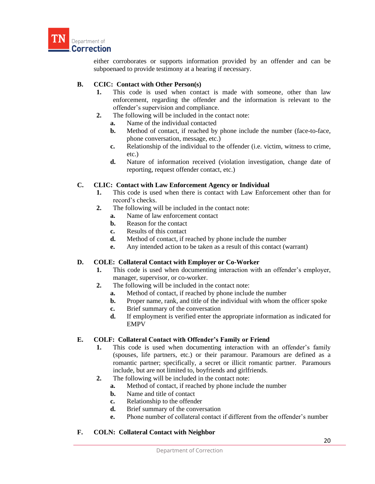

either corroborates or supports information provided by an offender and can be subpoenaed to provide testimony at a hearing if necessary.

### **B. CCIC: Contact with Other Person(s)**

- **1.** This code is used when contact is made with someone, other than law enforcement, regarding the offender and the information is relevant to the offender's supervision and compliance.
- **2.** The following will be included in the contact note:
	- **a.** Name of the individual contacted
	- **b.** Method of contact, if reached by phone include the number (face-to-face, phone conversation, message, etc.)
	- **c.** Relationship of the individual to the offender (i.e. victim, witness to crime, etc.)
	- **d.** Nature of information received (violation investigation, change date of reporting, request offender contact, etc.)

### **C. CLIC: Contact with Law Enforcement Agency or Individual**

- **1.** This code is used when there is contact with Law Enforcement other than for record's checks.
- **2.** The following will be included in the contact note:
	- **a.** Name of law enforcement contact
	- **b.** Reason for the contact
	- **c.** Results of this contact
	- **d.** Method of contact, if reached by phone include the number
	- **e.** Any intended action to be taken as a result of this contact (warrant)

# **D. COLE: Collateral Contact with Employer or Co-Worker**

- **1.** This code is used when documenting interaction with an offender's employer, manager, supervisor, or co-worker.
- **2.** The following will be included in the contact note:
	- **a.** Method of contact, if reached by phone include the number
	- **b.** Proper name, rank, and title of the individual with whom the officer spoke
	- **c.** Brief summary of the conversation
	- **d.** If employment is verified enter the appropriate information as indicated for EMPV

#### **E. COLF: Collateral Contact with Offender's Family or Friend**

- **1.** This code is used when documenting interaction with an offender's family (spouses, life partners, etc.) or their paramour. Paramours are defined as a romantic partner; specifically, a secret or illicit romantic partner. Paramours include, but are not limited to, boyfriends and girlfriends.
- **2.** The following will be included in the contact note:
	- **a.** Method of contact, if reached by phone include the number
	- **b.** Name and title of contact
	- **c.** Relationship to the offender
	- **d.** Brief summary of the conversation
	- **e.** Phone number of collateral contact if different from the offender's number

# **F. COLN: Collateral Contact with Neighbor**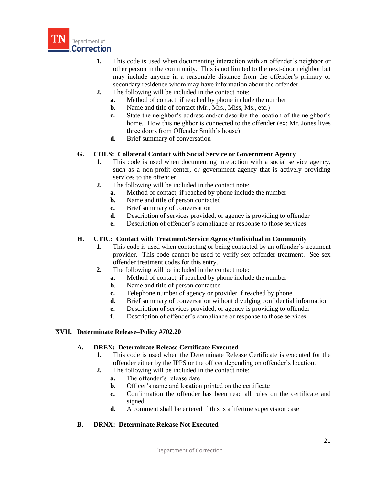

- **1.** This code is used when documenting interaction with an offender's neighbor or other person in the community. This is not limited to the next-door neighbor but may include anyone in a reasonable distance from the offender's primary or secondary residence whom may have information about the offender.
- **2.** The following will be included in the contact note:
	- **a.** Method of contact, if reached by phone include the number
	- **b.** Name and title of contact (Mr., Mrs., Miss, Ms., etc.)
	- **c.** State the neighbor's address and/or describe the location of the neighbor's home. How this neighbor is connected to the offender (ex: Mr. Jones lives three doors from Offender Smith's house)
	- **d.** Brief summary of conversation

### **G. COLS: Collateral Contact with Social Service or Government Agency**

- **1.** This code is used when documenting interaction with a social service agency, such as a non-profit center, or government agency that is actively providing services to the offender.
- **2.** The following will be included in the contact note:
	- **a.** Method of contact, if reached by phone include the number
	- **b.** Name and title of person contacted
	- **c.** Brief summary of conversation
	- **d.** Description of services provided, or agency is providing to offender
	- **e.** Description of offender's compliance or response to those services

### **H. CTIC: Contact with Treatment/Service Agency/Individual in Community**

- **1.** This code is used when contacting or being contacted by an offender's treatment provider. This code cannot be used to verify sex offender treatment. See sex offender treatment codes for this entry.
- **2.** The following will be included in the contact note:
	- **a.** Method of contact, if reached by phone include the number
	- **b.** Name and title of person contacted
	- **c.** Telephone number of agency or provider if reached by phone
	- **d.** Brief summary of conversation without divulging confidential information
	- **e.** Description of services provided, or agency is providing to offender
	- **f.** Description of offender's compliance or response to those services

#### **XVII. Determinate Release–Policy #702.20**

#### **A. DREX: Determinate Release Certificate Executed**

- **1.** This code is used when the Determinate Release Certificate is executed for the offender either by the IPPS or the officer depending on offender's location.
- **2.** The following will be included in the contact note:
	- **a.** The offender's release date
	- **b.** Officer's name and location printed on the certificate
	- **c.** Confirmation the offender has been read all rules on the certificate and signed
	- **d.** A comment shall be entered if this is a lifetime supervision case

#### **B. DRNX: Determinate Release Not Executed**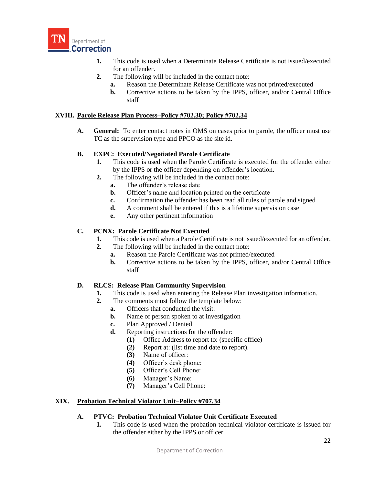

- **1.** This code is used when a Determinate Release Certificate is not issued/executed for an offender.
- **2.** The following will be included in the contact note:
	- **a.** Reason the Determinate Release Certificate was not printed/executed
	- **b.** Corrective actions to be taken by the IPPS, officer, and/or Central Office staff

#### **XVIII. Parole Release Plan Process–Policy #702.30; Policy #702.34**

**A. General:** To enter contact notes in OMS on cases prior to parole, the officer must use TC as the supervision type and PPCO as the site id.

### **B. EXPC: Executed/Negotiated Parole Certificate**

- **1.** This code is used when the Parole Certificate is executed for the offender either by the IPPS or the officer depending on offender's location.
- **2.** The following will be included in the contact note:
	- **a.** The offender's release date
	- **b.** Officer's name and location printed on the certificate
	- **c.** Confirmation the offender has been read all rules of parole and signed
	- **d.** A comment shall be entered if this is a lifetime supervision case
	- **e.** Any other pertinent information

### **C. PCNX: Parole Certificate Not Executed**

- **1.** This code is used when a Parole Certificate is not issued/executed for an offender.
- **2.** The following will be included in the contact note:
	- **a.** Reason the Parole Certificate was not printed/executed
	- **b.** Corrective actions to be taken by the IPPS, officer, and/or Central Office staff

# **D. RLCS: Release Plan Community Supervision**

- **1.** This code is used when entering the Release Plan investigation information.
- **2.** The comments must follow the template below:
	- **a.** Officers that conducted the visit:
	- **b.** Name of person spoken to at investigation
	- **c.** Plan Approved / Denied
	- **d.** Reporting instructions for the offender:
		- **(1)** Office Address to report to: (specific office)
		- **(2)** Report at: (list time and date to report).
		- **(3)** Name of officer:
		- **(4)** Officer's desk phone:
		- **(5)** Officer's Cell Phone:
		- **(6)** Manager's Name:
		- **(7)** Manager's Cell Phone:

# **XIX. Probation Technical Violator Unit–Policy #707.34**

# **A. PTVC: Probation Technical Violator Unit Certificate Executed**

**1.** This code is used when the probation technical violator certificate is issued for the offender either by the IPPS or officer.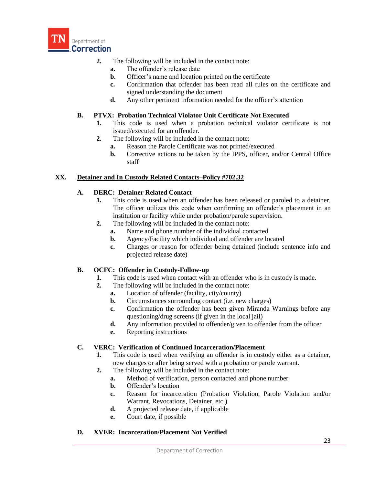

- **2.** The following will be included in the contact note:
	- **a.** The offender's release date
	- **b.** Officer's name and location printed on the certificate
	- **c.** Confirmation that offender has been read all rules on the certificate and signed understanding the document
	- **d.** Any other pertinent information needed for the officer's attention

### **B. PTVX: Probation Technical Violator Unit Certificate Not Executed**

- **1.** This code is used when a probation technical violator certificate is not issued/executed for an offender.
- **2.** The following will be included in the contact note:
	- **a.** Reason the Parole Certificate was not printed/executed
	- **b.** Corrective actions to be taken by the IPPS, officer, and/or Central Office staff

### **XX. Detainer and In Custody Related Contacts–Policy #702.32**

### **A. DERC: Detainer Related Contact**

- **1.** This code is used when an offender has been released or paroled to a detainer. The officer utilizes this code when confirming an offender's placement in an institution or facility while under probation/parole supervision.
- **2.** The following will be included in the contact note:
	- **a.** Name and phone number of the individual contacted
	- **b.** Agency/Facility which individual and offender are located
	- **c.** Charges or reason for offender being detained (include sentence info and projected release date)

#### **B. OCFC: Offender in Custody-Follow-up**

- **1.** This code is used when contact with an offender who is in custody is made.
- **2.** The following will be included in the contact note:
	- **a.** Location of offender (facility, city/county)
	- **b.** Circumstances surrounding contact (i.e. new charges)
	- **c.** Confirmation the offender has been given Miranda Warnings before any questioning/drug screens (if given in the local jail)
	- **d.** Any information provided to offender/given to offender from the officer
	- **e.** Reporting instructions

# **C. VERC: Verification of Continued Incarceration/Placement**

- **1.** This code is used when verifying an offender is in custody either as a detainer, new charges or after being served with a probation or parole warrant.
- **2.** The following will be included in the contact note:
	- **a.** Method of verification, person contacted and phone number
	- **b.** Offender's location
	- **c.** Reason for incarceration (Probation Violation, Parole Violation and/or Warrant, Revocations, Detainer, etc.)
	- **d.** A projected release date, if applicable
	- **e.** Court date, if possible

#### **D. XVER: Incarceration/Placement Not Verified**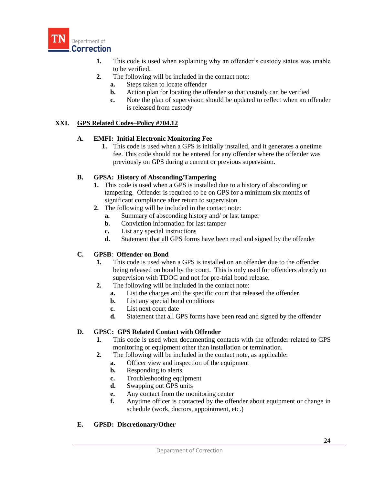

- **1.** This code is used when explaining why an offender's custody status was unable to be verified.
- **2.** The following will be included in the contact note:
	- **a.** Steps taken to locate offender
	- **b.** Action plan for locating the offender so that custody can be verified
	- **c.** Note the plan of supervision should be updated to reflect when an offender is released from custody

### **XXI. GPS Related Codes–Policy #704.12**

#### **A. EMFI: Initial Electronic Monitoring Fee**

**1.** This code is used when a GPS is initially installed, and it generates a onetime fee. This code should not be entered for any offender where the offender was previously on GPS during a current or previous supervision.

### **B. GPSA: History of Absconding/Tampering**

- **1.** This code is used when a GPS is installed due to a history of absconding or tampering. Offender is required to be on GPS for a minimum six months of significant compliance after return to supervision.
- **2.** The following will be included in the contact note:
	- **a.** Summary of absconding history and/ or last tamper
	- **b.** Conviction information for last tamper
	- **c.** List any special instructions
	- **d.** Statement that all GPS forms have been read and signed by the offender

# **C. GPSB**: **Offender on Bond**

- **1.** This code is used when a GPS is installed on an offender due to the offender being released on bond by the court. This is only used for offenders already on supervision with TDOC and not for pre-trial bond release.
- **2.** The following will be included in the contact note:
	- **a.** List the charges and the specific court that released the offender
	- **b.** List any special bond conditions
	- **c.** List next court date
	- **d.** Statement that all GPS forms have been read and signed by the offender

#### **D. GPSC: GPS Related Contact with Offender**

- **1.** This code is used when documenting contacts with the offender related to GPS monitoring or equipment other than installation or termination.
- **2.** The following will be included in the contact note, as applicable:
	- **a.** Officer view and inspection of the equipment
	- **b.** Responding to alerts
	- **c.** Troubleshooting equipment
	- **d.** Swapping out GPS units
	- **e.** Any contact from the monitoring center
	- **f.** Anytime officer is contacted by the offender about equipment or change in schedule (work, doctors, appointment, etc.)

#### **E. GPSD: Discretionary/Other**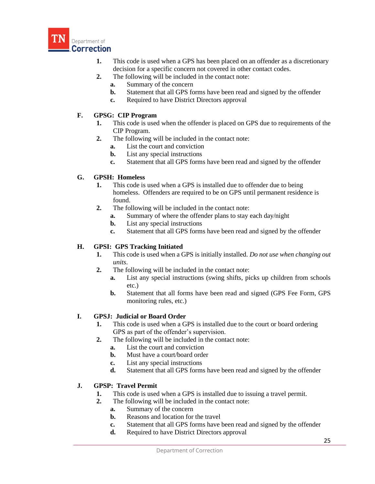

- **1.** This code is used when a GPS has been placed on an offender as a discretionary decision for a specific concern not covered in other contact codes.
- **2.** The following will be included in the contact note:
	- **a.** Summary of the concern
	- **b.** Statement that all GPS forms have been read and signed by the offender
	- **c.** Required to have District Directors approval

# **F. GPSG: CIP Program**

- **1.** This code is used when the offender is placed on GPS due to requirements of the CIP Program.
- **2.** The following will be included in the contact note:
	- **a.** List the court and conviction
	- **b.** List any special instructions
	- **c.** Statement that all GPS forms have been read and signed by the offender

# **G. GPSH: Homeless**

- **1.** This code is used when a GPS is installed due to offender due to being homeless. Offenders are required to be on GPS until permanent residence is found.
- **2.** The following will be included in the contact note:
	- **a.** Summary of where the offender plans to stay each day/night
	- **b.** List any special instructions
	- **c.** Statement that all GPS forms have been read and signed by the offender

# **H. GPSI: GPS Tracking Initiated**

- **1.** This code is used when a GPS is initially installed. *Do not use when changing out units*.
- **2.** The following will be included in the contact note:
	- **a.** List any special instructions (swing shifts, picks up children from schools etc.)
	- **b.** Statement that all forms have been read and signed (GPS Fee Form, GPS monitoring rules, etc.)

# **I. GPSJ: Judicial or Board Order**

- **1.** This code is used when a GPS is installed due to the court or board ordering GPS as part of the offender's supervision.
- **2.** The following will be included in the contact note:
	- **a.** List the court and conviction
	- **b.** Must have a court/board order
	- **c.** List any special instructions
	- **d.** Statement that all GPS forms have been read and signed by the offender

# **J. GPSP: Travel Permit**

- **1.** This code is used when a GPS is installed due to issuing a travel permit.
- **2.** The following will be included in the contact note:
	- **a.** Summary of the concern
		- **b.** Reasons and location for the travel
		- **c.** Statement that all GPS forms have been read and signed by the offender
		- **d.** Required to have District Directors approval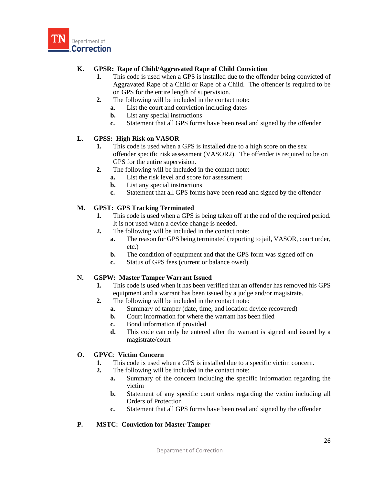

# **K. GPSR: Rape of Child/Aggravated Rape of Child Conviction**

- **1.** This code is used when a GPS is installed due to the offender being convicted of Aggravated Rape of a Child or Rape of a Child. The offender is required to be on GPS for the entire length of supervision.
- **2.** The following will be included in the contact note:
	- **a.** List the court and conviction including dates
	- **b.** List any special instructions
	- **c.** Statement that all GPS forms have been read and signed by the offender

### **L. GPSS: High Risk on VASOR**

- **1.** This code is used when a GPS is installed due to a high score on the sex offender specific risk assessment (VASOR2). The offender is required to be on GPS for the entire supervision.
- **2.** The following will be included in the contact note:
	- **a.** List the risk level and score for assessment
	- **b.** List any special instructions
	- **c.** Statement that all GPS forms have been read and signed by the offender

# **M. GPST: GPS Tracking Terminated**

- **1.** This code is used when a GPS is being taken off at the end of the required period. It is not used when a device change is needed.
- **2.** The following will be included in the contact note:
	- **a.** The reason for GPS being terminated (reporting to jail, VASOR, court order, etc.)
	- **b.** The condition of equipment and that the GPS form was signed off on
	- **c.** Status of GPS fees (current or balance owed)

#### **N. GSPW: Master Tamper Warrant Issued**

- **1.** This code is used when it has been verified that an offender has removed his GPS equipment and a warrant has been issued by a judge and/or magistrate.
- **2.** The following will be included in the contact note:
	- **a.** Summary of tamper (date, time, and location device recovered)
	- **b.** Court information for where the warrant has been filed
	- **c.** Bond information if provided
	- **d.** This code can only be entered after the warrant is signed and issued by a magistrate/court

#### **O. GPVC**: **Victim Concern**

- **1.** This code is used when a GPS is installed due to a specific victim concern.
- **2.** The following will be included in the contact note:
	- **a.** Summary of the concern including the specific information regarding the victim
	- **b.** Statement of any specific court orders regarding the victim including all Orders of Protection
	- **c.** Statement that all GPS forms have been read and signed by the offender

#### **P. MSTC: Conviction for Master Tamper**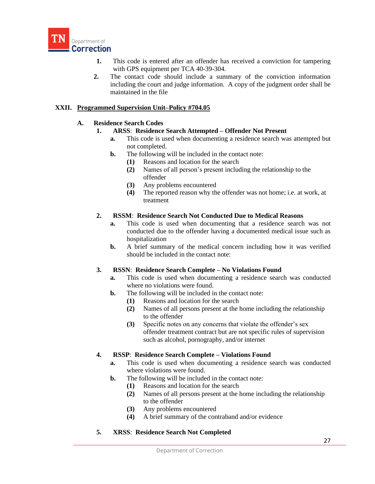

- **1.** This code is entered after an offender has received a conviction for tampering with GPS equipment per TCA 40-39-304.
- **2.** The contact code should include a summary of the conviction information including the court and judge information. A copy of the judgment order shall be maintained in the file

# **XXII. Programmed Supervision Unit–Policy #704.05**

### **A. Residence Search Codes**

- **1. ARSS**: **Residence Search Attempted – Offender Not Present** 
	- **a.** This code is used when documenting a residence search was attempted but not completed.
	- **b.** The following will be included in the contact note:
		- **(1)** Reasons and location for the search
		- **(2)** Names of all person's present including the relationship to the offender
		- **(3)** Any problems encountered
		- **(4)** The reported reason why the offender was not home; i.e. at work, at treatment

#### **2. RSSM**: **Residence Search Not Conducted Due to Medical Reasons**

- **a.** This code is used when documenting that a residence search was not conducted due to the offender having a documented medical issue such as hospitalization
- **b.** A brief summary of the medical concern including how it was verified should be included in the contact note:

#### **3. RSSN**: **Residence Search Complete – No Violations Found**

- **a.** This code is used when documenting a residence search was conducted where no violations were found.
- **b.** The following will be included in the contact note:
	- **(1)** Reasons and location for the search
	- **(2)** Names of all persons present at the home including the relationship to the offender
	- **(3)** Specific notes on any concerns that violate the offender's sex offender treatment contract but are not specific rules of supervision such as alcohol, pornography, and/or internet

# **4. RSSP**: **Residence Search Complete – Violations Found**

- **a.** This code is used when documenting a residence search was conducted where violations were found.
- **b.** The following will be included in the contact note:
	- **(1)** Reasons and location for the search
	- **(2)** Names of all persons present at the home including the relationship to the offender
	- **(3)** Any problems encountered
	- **(4)** A brief summary of the contraband and/or evidence
- **5. XRSS**: **Residence Search Not Completed**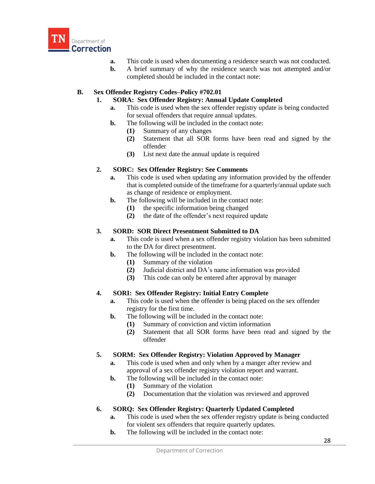

- **a.** This code is used when documenting a residence search was not conducted.
- **b.** A brief summary of why the residence search was not attempted and/or completed should be included in the contact note:

# **B. Sex Offender Registry Codes–Policy #702.01**

### **1. SORA: Sex Offender Registry: Annual Update Completed**

- **a.** This code is used when the sex offender registry update is being conducted for sexual offenders that require annual updates.
- **b.** The following will be included in the contact note:
	- **(1)** Summary of any changes
	- **(2)** Statement that all SOR forms have been read and signed by the offender
	- **(3)** List next date the annual update is required

# **2. SORC: Sex Offender Registry: See Comments**

- **a.** This code is used when updating any information provided by the offender that is completed outside of the timeframe for a quarterly/annual update such as change of residence or employment.
- **b.** The following will be included in the contact note:
	- **(1)** the specific information being changed
	- **(2)** the date of the offender's next required update

### **3. SORD: SOR Direct Presentment Submitted to DA**

- **a.** This code is used when a sex offender registry violation has been submitted to the DA for direct presentment.
- **b.** The following will be included in the contact note:
	- **(1)** Summary of the violation
	- **(2)** Judicial district and DA's name information was provided
	- **(3)** This code can only be entered after approval by manager

# **4. SORI: Sex Offender Registry: Initial Entry Complete**

- **a.** This code is used when the offender is being placed on the sex offender registry for the first time.
- **b.** The following will be included in the contact note:
	- **(1)** Summary of conviction and victim information
	- **(2)** Statement that all SOR forms have been read and signed by the offender

#### **5. SORM: Sex Offender Registry: Violation Approved by Manager**

- **a.** This code is used when and only when by a manger after review and approval of a sex offender registry violation report and warrant.
- **b.** The following will be included in the contact note:
	- **(1)** Summary of the violation
	- **(2)** Documentation that the violation was reviewed and approved

# **6. SORQ: Sex Offender Registry: Quarterly Updated Completed**

- **a.** This code is used when the sex offender registry update is being conducted for violent sex offenders that require quarterly updates.
- **b.** The following will be included in the contact note: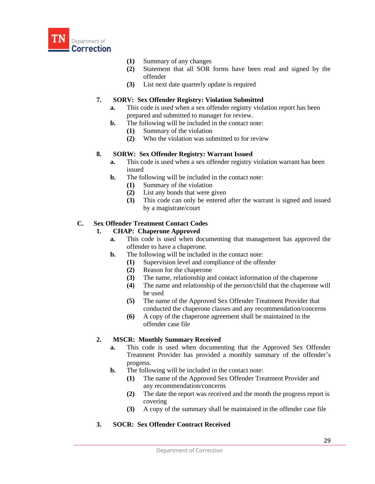

- **(1)** Summary of any changes
- **(2)** Statement that all SOR forms have been read and signed by the offender
- **(3)** List next date quarterly update is required

# **7. SORV: Sex Offender Registry: Violation Submitted**

- **a.** This code is used when a sex offender registry violation report has been prepared and submitted to manager for review.
- **b.** The following will be included in the contact note:
	- **(1)** Summary of the violation
	- **(2)** Who the violation was submitted to for review

### **8. SORW: Sex Offender Registry: Warrant Issued**

- **a.** This code is used when a sex offender registry violation warrant has been issued
- **b.** The following will be included in the contact note:
	- **(1)** Summary of the violation
	- **(2)** List any bonds that were given
	- **(3)** This code can only be entered after the warrant is signed and issued by a magistrate/court

# **C. Sex Offender Treatment Contact Codes**

### **1. CHAP: Chaperone Approved**

- **a.** This code is used when documenting that management has approved the offender to have a chaperone.
- **b.** The following will be included in the contact note:
	- **(1)** Supervision level and compliance of the offender
	- **(2)** Reason for the chaperone
	- **(3)** The name, relationship and contact information of the chaperone
	- **(4)** The name and relationship of the person/child that the chaperone will be used
	- **(5)** The name of the Approved Sex Offender Treatment Provider that conducted the chaperone classes and any recommendation/concerns
	- **(6)** A copy of the chaperone agreement shall be maintained in the offender case file

# **2. MSCR: Monthly Summary Received**

- **a.** This code is used when documenting that the Approved Sex Offender Treatment Provider has provided a monthly summary of the offender's progress.
- **b.** The following will be included in the contact note:
	- **(1)** The name of the Approved Sex Offender Treatment Provider and any recommendation/concerns
	- **(2)** The date the report was received and the month the progress report is covering
	- **(3)** A copy of the summary shall be maintained in the offender case file

# **3. SOCR: Sex Offender Contract Received**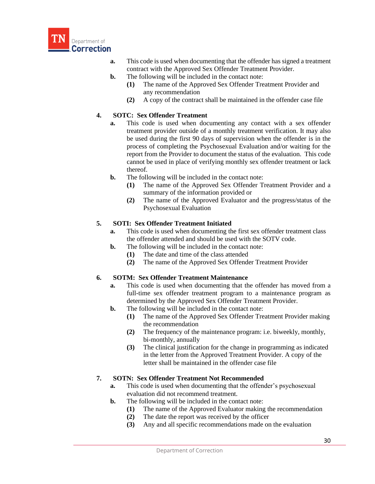

- **a.** This code is used when documenting that the offender has signed a treatment contract with the Approved Sex Offender Treatment Provider.
- **b.** The following will be included in the contact note:
	- **(1)** The name of the Approved Sex Offender Treatment Provider and any recommendation
	- **(2)** A copy of the contract shall be maintained in the offender case file

### **4. SOTC: Sex Offender Treatment**

- **a.** This code is used when documenting any contact with a sex offender treatment provider outside of a monthly treatment verification. It may also be used during the first 90 days of supervision when the offender is in the process of completing the Psychosexual Evaluation and/or waiting for the report from the Provider to document the status of the evaluation. This code cannot be used in place of verifying monthly sex offender treatment or lack thereof.
- **b.** The following will be included in the contact note:
	- **(1)** The name of the Approved Sex Offender Treatment Provider and a summary of the information provided or
	- **(2)** The name of the Approved Evaluator and the progress/status of the Psychosexual Evaluation

### **5. SOTI: Sex Offender Treatment Initiated**

- **a.** This code is used when documenting the first sex offender treatment class the offender attended and should be used with the SOTV code.
- **b.** The following will be included in the contact note:
	- **(1)** The date and time of the class attended
	- **(2)** The name of the Approved Sex Offender Treatment Provider

#### **6. SOTM: Sex Offender Treatment Maintenance**

- **a.** This code is used when documenting that the offender has moved from a full-time sex offender treatment program to a maintenance program as determined by the Approved Sex Offender Treatment Provider.
- **b.** The following will be included in the contact note:
	- **(1)** The name of the Approved Sex Offender Treatment Provider making the recommendation
	- **(2)** The frequency of the maintenance program: i.e. biweekly, monthly, bi-monthly, annually
	- **(3)** The clinical justification for the change in programming as indicated in the letter from the Approved Treatment Provider. A copy of the letter shall be maintained in the offender case file

#### **7. SOTN: Sex Offender Treatment Not Recommended**

- **a.** This code is used when documenting that the offender's psychosexual evaluation did not recommend treatment.
- **b.** The following will be included in the contact note:
	- **(1)** The name of the Approved Evaluator making the recommendation
	- **(2)** The date the report was received by the officer
	- **(3)** Any and all specific recommendations made on the evaluation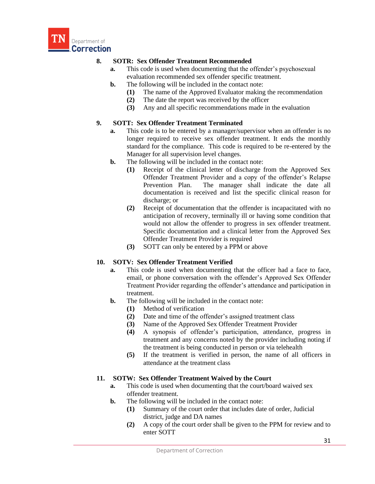

# **8. SOTR: Sex Offender Treatment Recommended**

- **a.** This code is used when documenting that the offender's psychosexual evaluation recommended sex offender specific treatment.
- **b.** The following will be included in the contact note:
	- **(1)** The name of the Approved Evaluator making the recommendation
	- **(2)** The date the report was received by the officer
	- **(3)** Any and all specific recommendations made in the evaluation

# **9. SOTT: Sex Offender Treatment Terminated**

- **a.** This code is to be entered by a manager/supervisor when an offender is no longer required to receive sex offender treatment. It ends the monthly standard for the compliance. This code is required to be re-entered by the Manager for all supervision level changes.
- **b.** The following will be included in the contact note:
	- **(1)** Receipt of the clinical letter of discharge from the Approved Sex Offender Treatment Provider and a copy of the offender's Relapse Prevention Plan. The manager shall indicate the date all documentation is received and list the specific clinical reason for discharge; or
	- **(2)** Receipt of documentation that the offender is incapacitated with no anticipation of recovery, terminally ill or having some condition that would not allow the offender to progress in sex offender treatment. Specific documentation and a clinical letter from the Approved Sex Offender Treatment Provider is required
	- **(3)** SOTT can only be entered by a PPM or above

# **10. SOTV: Sex Offender Treatment Verified**

- **a.** This code is used when documenting that the officer had a face to face, email, or phone conversation with the offender's Approved Sex Offender Treatment Provider regarding the offender's attendance and participation in treatment.
- **b.** The following will be included in the contact note:
	- **(1)** Method of verification
	- **(2)** Date and time of the offender's assigned treatment class
	- **(3)** Name of the Approved Sex Offender Treatment Provider
	- **(4)** A synopsis of offender's participation, attendance, progress in treatment and any concerns noted by the provider including noting if the treatment is being conducted in person or via telehealth
	- **(5)** If the treatment is verified in person, the name of all officers in attendance at the treatment class

# **11. SOTW: Sex Offender Treatment Waived by the Court**

- **a.** This code is used when documenting that the court/board waived sex offender treatment.
- **b.** The following will be included in the contact note:
	- **(1)** Summary of the court order that includes date of order, Judicial district, judge and DA names
	- **(2)** A copy of the court order shall be given to the PPM for review and to enter SOTT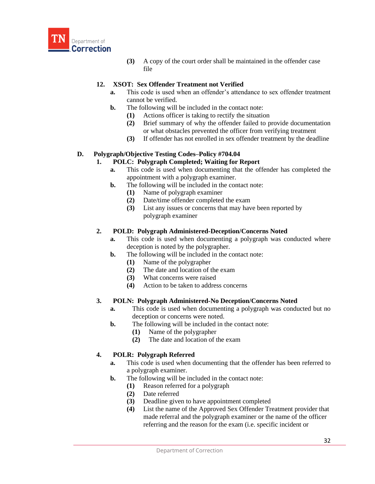

**(3)** A copy of the court order shall be maintained in the offender case file

# **12. XSOT: Sex Offender Treatment not Verified**

- **a.** This code is used when an offender's attendance to sex offender treatment cannot be verified.
- **b.** The following will be included in the contact note:
	- **(1)** Actions officer is taking to rectify the situation
	- **(2)** Brief summary of why the offender failed to provide documentation or what obstacles prevented the officer from verifying treatment
	- **(3)** If offender has not enrolled in sex offender treatment by the deadline

### **D. Polygraph/Objective Testing Codes–Policy #704.04**

### **1. POLC: Polygraph Completed; Waiting for Report**

- **a.** This code is used when documenting that the offender has completed the appointment with a polygraph examiner.
- **b.** The following will be included in the contact note:
	- **(1)** Name of polygraph examiner
	- **(2)** Date/time offender completed the exam
	- **(3)** List any issues or concerns that may have been reported by polygraph examiner

#### **2. POLD: Polygraph Administered-Deception/Concerns Noted**

- **a.** This code is used when documenting a polygraph was conducted where deception is noted by the polygrapher.
- **b.** The following will be included in the contact note:
	- **(1)** Name of the polygrapher
	- **(2)** The date and location of the exam
	- **(3)** What concerns were raised
	- **(4)** Action to be taken to address concerns

# **3. POLN: Polygraph Administered-No Deception/Concerns Noted**

- **a.** This code is used when documenting a polygraph was conducted but no deception or concerns were noted.
- **b.** The following will be included in the contact note:
	- **(1)** Name of the polygrapher
	- **(2)** The date and location of the exam

# **4. POLR: Polygraph Referred**

- **a.** This code is used when documenting that the offender has been referred to a polygraph examiner.
- **b.** The following will be included in the contact note:
	- **(1)** Reason referred for a polygraph
	- **(2)** Date referred
	- **(3)** Deadline given to have appointment completed
	- **(4)** List the name of the Approved Sex Offender Treatment provider that made referral and the polygraph examiner or the name of the officer referring and the reason for the exam (i.e. specific incident or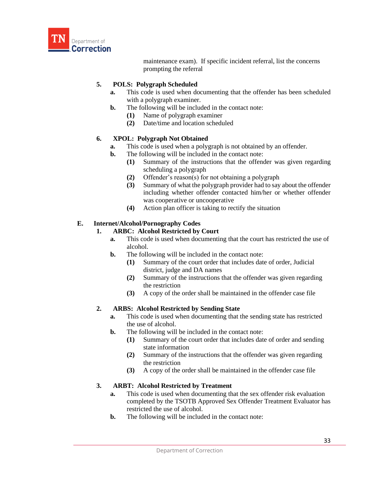

maintenance exam). If specific incident referral, list the concerns prompting the referral

# **5. POLS: Polygraph Scheduled**

- **a.** This code is used when documenting that the offender has been scheduled with a polygraph examiner.
- **b.** The following will be included in the contact note:
	- **(1)** Name of polygraph examiner
	- **(2)** Date/time and location scheduled

# **6. XPOL: Polygraph Not Obtained**

- **a.** This code is used when a polygraph is not obtained by an offender.
- **b.** The following will be included in the contact note:
	- **(1)** Summary of the instructions that the offender was given regarding scheduling a polygraph
	- **(2)** Offender's reason(s) for not obtaining a polygraph
	- **(3)** Summary of what the polygraph provider had to say about the offender including whether offender contacted him/her or whether offender was cooperative or uncooperative
	- **(4)** Action plan officer is taking to rectify the situation

# **E. Internet/Alcohol/Pornography Codes**

# **1. ARBC: Alcohol Restricted by Court**

- **a.** This code is used when documenting that the court has restricted the use of alcohol.
- **b.** The following will be included in the contact note:
	- **(1)** Summary of the court order that includes date of order, Judicial district, judge and DA names
	- **(2)** Summary of the instructions that the offender was given regarding the restriction
	- **(3)** A copy of the order shall be maintained in the offender case file

# **2. ARBS: Alcohol Restricted by Sending State**

- **a.** This code is used when documenting that the sending state has restricted the use of alcohol.
- **b.** The following will be included in the contact note:
	- **(1)** Summary of the court order that includes date of order and sending state information
	- **(2)** Summary of the instructions that the offender was given regarding the restriction
	- **(3)** A copy of the order shall be maintained in the offender case file

# **3. ARBT: Alcohol Restricted by Treatment**

- **a.** This code is used when documenting that the sex offender risk evaluation completed by the TSOTB Approved Sex Offender Treatment Evaluator has restricted the use of alcohol.
- **b.** The following will be included in the contact note: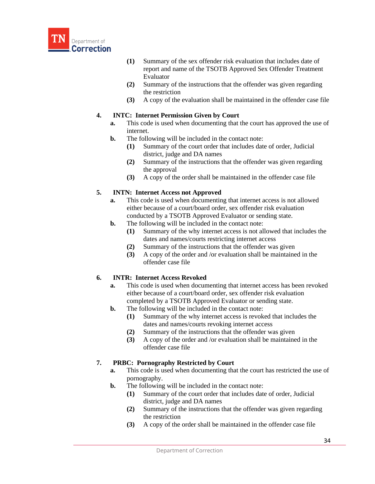

- **(1)** Summary of the sex offender risk evaluation that includes date of report and name of the TSOTB Approved Sex Offender Treatment Evaluator
- **(2)** Summary of the instructions that the offender was given regarding the restriction
- **(3)** A copy of the evaluation shall be maintained in the offender case file

### **4. INTC: Internet Permission Given by Court**

- **a.** This code is used when documenting that the court has approved the use of internet.
- **b.** The following will be included in the contact note:
	- **(1)** Summary of the court order that includes date of order, Judicial district, judge and DA names
	- **(2)** Summary of the instructions that the offender was given regarding the approval
	- **(3)** A copy of the order shall be maintained in the offender case file

### **5. INTN: Internet Access not Approved**

- **a.** This code is used when documenting that internet access is not allowed either because of a court/board order, sex offender risk evaluation conducted by a TSOTB Approved Evaluator or sending state.
- **b.** The following will be included in the contact note:
	- **(1)** Summary of the why internet access is not allowed that includes the dates and names/courts restricting internet access
	- **(2)** Summary of the instructions that the offender was given
	- **(3)** A copy of the order and /or evaluation shall be maintained in the offender case file

#### **6. INTR: Internet Access Revoked**

- **a.** This code is used when documenting that internet access has been revoked either because of a court/board order, sex offender risk evaluation completed by a TSOTB Approved Evaluator or sending state.
- **b.** The following will be included in the contact note:
	- **(1)** Summary of the why internet access is revoked that includes the dates and names/courts revoking internet access
	- **(2)** Summary of the instructions that the offender was given
	- **(3)** A copy of the order and /or evaluation shall be maintained in the offender case file

# **7. PRBC: Pornography Restricted by Court**

- **a.** This code is used when documenting that the court has restricted the use of pornography.
- **b.** The following will be included in the contact note:
	- **(1)** Summary of the court order that includes date of order, Judicial district, judge and DA names
	- **(2)** Summary of the instructions that the offender was given regarding the restriction
	- **(3)** A copy of the order shall be maintained in the offender case file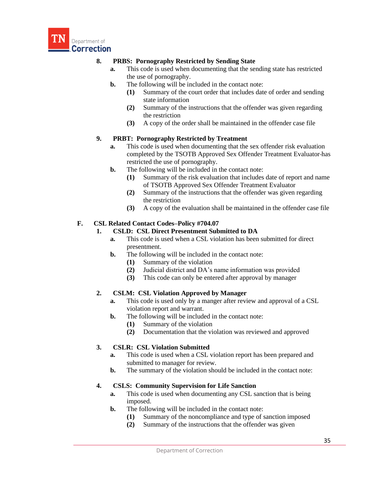

# **8. PRBS: Pornography Restricted by Sending State**

- **a.** This code is used when documenting that the sending state has restricted the use of pornography.
- **b.** The following will be included in the contact note:
	- **(1)** Summary of the court order that includes date of order and sending state information
	- **(2)** Summary of the instructions that the offender was given regarding the restriction
	- **(3)** A copy of the order shall be maintained in the offender case file

### **9. PRBT: Pornography Restricted by Treatment**

- **a.** This code is used when documenting that the sex offender risk evaluation completed by the TSOTB Approved Sex Offender Treatment Evaluator has restricted the use of pornography.
- **b.** The following will be included in the contact note:
	- **(1)** Summary of the risk evaluation that includes date of report and name of TSOTB Approved Sex Offender Treatment Evaluator
	- **(2)** Summary of the instructions that the offender was given regarding the restriction
	- **(3)** A copy of the evaluation shall be maintained in the offender case file

# **F. CSL Related Contact Codes–Policy #704.07**

### **1. CSLD: CSL Direct Presentment Submitted to DA**

- **a.** This code is used when a CSL violation has been submitted for direct presentment.
- **b.** The following will be included in the contact note:
	- **(1)** Summary of the violation
	- **(2)** Judicial district and DA's name information was provided
	- **(3)** This code can only be entered after approval by manager

# **2. CSLM: CSL Violation Approved by Manager**

- **a.** This code is used only by a manger after review and approval of a CSL violation report and warrant.
- **b.** The following will be included in the contact note:
	- **(1)** Summary of the violation
	- **(2)** Documentation that the violation was reviewed and approved

# **3. CSLR: CSL Violation Submitted**

- **a.** This code is used when a CSL violation report has been prepared and submitted to manager for review.
- **b.** The summary of the violation should be included in the contact note:

# **4. CSLS: Community Supervision for Life Sanction**

- **a.** This code is used when documenting any CSL sanction that is being imposed.
- **b.** The following will be included in the contact note:
	- **(1)** Summary of the noncompliance and type of sanction imposed
	- **(2)** Summary of the instructions that the offender was given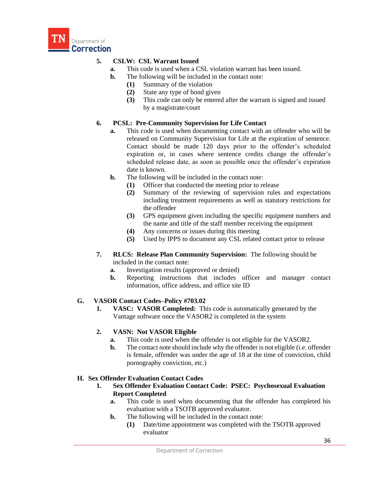

# **5. CSLW: CSL Warrant Issued**

- **a.** This code is used when a CSL violation warrant has been issued.
- **b.** The following will be included in the contact note:
	- **(1)** Summary of the violation
	- **(2)** State any type of bond given
	- **(3)** This code can only be entered after the warrant is signed and issued by a magistrate/court

# **6. PCSL: Pre-Community Supervision for Life Contact**

- **a.** This code is used when documenting contact with an offender who will be released on Community Supervision for Life at the expiration of sentence. Contact should be made 120 days prior to the offender's scheduled expiration or, in cases where sentence credits change the offender's scheduled release date, as soon as possible once the offender's expiration date is known.
- **b.** The following will be included in the contact note:
	- **(1)** Officer that conducted the meeting prior to release
	- **(2)** Summary of the reviewing of supervision rules and expectations including treatment requirements as well as statutory restrictions for the offender
	- **(3)** GPS equipment given including the specific equipment numbers and the name and title of the staff member receiving the equipment
	- **(4)** Any concerns or issues during this meeting
	- **(5)** Used by IPPS to document any CSL related contact prior to release
- **7. RLCS: Release Plan Community Supervision:** The following should be included in the contact note:
	- **a.** Investigation results (approved or denied)
	- **b.** Reporting instructions that includes officer and manager contact information, office address, and office site ID

# **G. VASOR Contact Codes–Policy #703.02**

**1. VASC: VASOR Completed:** This code is automatically generated by the Vantage software once the VASOR2 is completed in the system

# **2. VASN: Not VASOR Eligible**

- **a.** This code is used when the offender is not eligible for the VASOR2.
- **b.** The contact note should include why the offender is not eligible (i.e. offender is female, offender was under the age of 18 at the time of conviction, child pornography conviction, etc.)

# **H. Sex Offender Evaluation Contact Codes**

- **1. Sex Offender Evaluation Contact Code: PSEC: Psychosexual Evaluation Report Completed**
	- **a.** This code is used when documenting that the offender has completed his evaluation with a TSOTB approved evaluator.
	- **b.** The following will be included in the contact note:
		- **(1)** Date/time appointment was completed with the TSOTB approved evaluator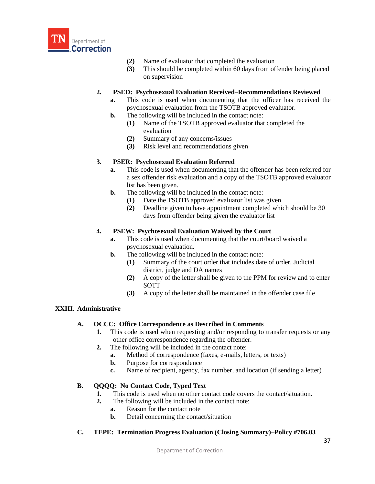

- **(2)** Name of evaluator that completed the evaluation
- **(3)** This should be completed within 60 days from offender being placed on supervision

### **2. PSED: Psychosexual Evaluation Received–Recommendations Reviewed**

- **a.** This code is used when documenting that the officer has received the psychosexual evaluation from the TSOTB approved evaluator.
- **b.** The following will be included in the contact note:
	- **(1)** Name of the TSOTB approved evaluator that completed the evaluation
	- **(2)** Summary of any concerns/issues
	- **(3)** Risk level and recommendations given

### **3. PSER: Psychosexual Evaluation Referred**

- **a.** This code is used when documenting that the offender has been referred for a sex offender risk evaluation and a copy of the TSOTB approved evaluator list has been given.
- **b.** The following will be included in the contact note:
	- **(1)** Date the TSOTB approved evaluator list was given
	- **(2)** Deadline given to have appointment completed which should be 30 days from offender being given the evaluator list

### **4. PSEW: Psychosexual Evaluation Waived by the Court**

- **a.** This code is used when documenting that the court/board waived a psychosexual evaluation.
- **b.** The following will be included in the contact note:
	- **(1)** Summary of the court order that includes date of order, Judicial district, judge and DA names
	- **(2)** A copy of the letter shall be given to the PPM for review and to enter SOTT
	- **(3)** A copy of the letter shall be maintained in the offender case file

# **XXIII. Administrative**

# **A. OCCC: Office Correspondence as Described in Comments**

- **1.** This code is used when requesting and/or responding to transfer requests or any other office correspondence regarding the offender.
- **2.** The following will be included in the contact note:
	- **a.** Method of correspondence (faxes, e-mails, letters, or texts)
	- **b.** Purpose for correspondence
	- **c.** Name of recipient, agency, fax number, and location (if sending a letter)

# **B. QQQQ: No Contact Code, Typed Text**

- **1.** This code is used when no other contact code covers the contact/situation.
- **2.** The following will be included in the contact note:
	- **a.** Reason for the contact note
	- **b.** Detail concerning the contact/situation
- **C. TEPE: Termination Progress Evaluation (Closing Summary)–Policy #706.03**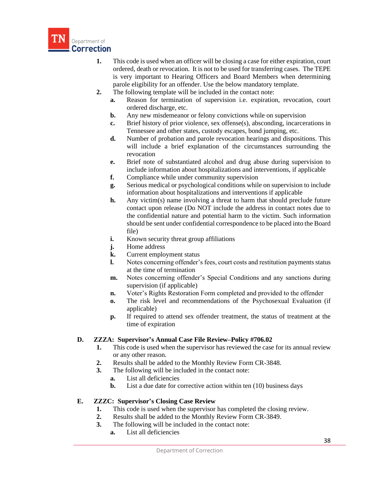

- **1.** This code is used when an officer will be closing a case for either expiration, court ordered, death or revocation. It is not to be used for transferring cases. The TEPE is very important to Hearing Officers and Board Members when determining parole eligibility for an offender. Use the below mandatory template.
- **2.** The following template will be included in the contact note:
	- **a.** Reason for termination of supervision i.e. expiration, revocation, court ordered discharge, etc.
	- **b.** Any new misdemeanor or felony convictions while on supervision
	- **c.** Brief history of prior violence, sex offense(s), absconding, incarcerations in Tennessee and other states, custody escapes, bond jumping, etc.
	- **d.** Number of probation and parole revocation hearings and dispositions. This will include a brief explanation of the circumstances surrounding the revocation
	- **e.** Brief note of substantiated alcohol and drug abuse during supervision to include information about hospitalizations and interventions, if applicable
	- **f.** Compliance while under community supervision
	- **g.** Serious medical or psychological conditions while on supervision to include information about hospitalizations and interventions if applicable
	- **h.** Any victim(s) name involving a threat to harm that should preclude future contact upon release (Do NOT include the address in contact notes due to the confidential nature and potential harm to the victim. Such information should be sent under confidential correspondence to be placed into the Board file)
	- **i.** Known security threat group affiliations
	- *i.* Home address
	- **k.** Current employment status
	- **l.** Notes concerning offender's fees, court costs and restitution payments status at the time of termination
	- **m.** Notes concerning offender's Special Conditions and any sanctions during supervision (if applicable)
	- **n.** Voter's Rights Restoration Form completed and provided to the offender
	- **o.** The risk level and recommendations of the Psychosexual Evaluation (if applicable)
	- **p.** If required to attend sex offender treatment, the status of treatment at the time of expiration

# **D. ZZZA: Supervisor's Annual Case File Review–Policy #706.02**

- **1.** This code is used when the supervisor has reviewed the case for its annual review or any other reason.
- **2.** Results shall be added to the Monthly Review Form CR-3848.
- **3.** The following will be included in the contact note:
	- **a.** List all deficiencies
	- **b.** List a due date for corrective action within ten (10) business days

#### **E. ZZZC: Supervisor's Closing Case Review**

- **1.** This code is used when the supervisor has completed the closing review.
- **2.** Results shall be added to the Monthly Review Form CR-3849.
- **3.** The following will be included in the contact note:
	- **a.** List all deficiencies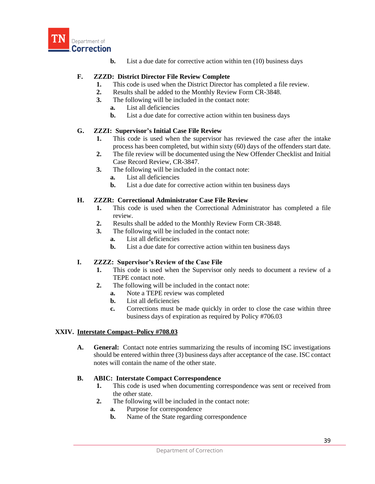

**b.** List a due date for corrective action within ten (10) business days

# **F. ZZZD: District Director File Review Complete**

- **1.** This code is used when the District Director has completed a file review.
- **2.** Results shall be added to the Monthly Review Form CR-3848.
- **3.** The following will be included in the contact note:
	- **a.** List all deficiencies
	- **b.** List a due date for corrective action within ten business days

# **G. ZZZI: Supervisor's Initial Case File Review**

- **1.** This code is used when the supervisor has reviewed the case after the intake process has been completed, but within sixty (60) days of the offenders start date.
- **2.** The file review will be documented using the New Offender Checklist and Initial Case Record Review, CR-3847.
- **3.** The following will be included in the contact note:
	- **a.** List all deficiencies
	- **b.** List a due date for corrective action within ten business days

# **H. ZZZR: Correctional Administrator Case File Review**

- **1.** This code is used when the Correctional Administrator has completed a file review.
- **2.** Results shall be added to the Monthly Review Form CR-3848.
- **3.** The following will be included in the contact note:
	- **a.** List all deficiencies
	- **b.** List a due date for corrective action within ten business days

# **I. ZZZZ: Supervisor's Review of the Case File**

- **1.** This code is used when the Supervisor only needs to document a review of a TEPE contact note.
- **2.** The following will be included in the contact note:
	- **a.** Note a TEPE review was completed
	- **b.** List all deficiencies
	- **c.** Corrections must be made quickly in order to close the case within three business days of expiration as required by Policy #706.03

#### **XXIV. Interstate Compact–Policy #708.03**

**A. General:** Contact note entries summarizing the results of incoming ISC investigations should be entered within three (3) business days after acceptance of the case. ISC contact notes will contain the name of the other state.

# **B. ABIC: Interstate Compact Correspondence**

- **1.** This code is used when documenting correspondence was sent or received from the other state.
- **2.** The following will be included in the contact note:
	- **a.** Purpose for correspondence
	- **b.** Name of the State regarding correspondence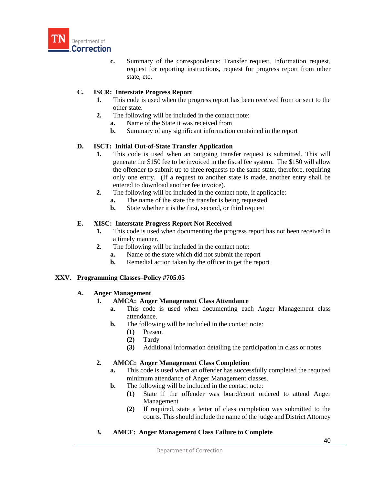

**c.** Summary of the correspondence: Transfer request, Information request, request for reporting instructions, request for progress report from other state, etc.

# **C. ISCR: Interstate Progress Report**

- **1.** This code is used when the progress report has been received from or sent to the other state.
- **2.** The following will be included in the contact note:
	- **a.** Name of the State it was received from
	- **b.** Summary of any significant information contained in the report

### **D. ISCT: Initial Out-of-State Transfer Application**

- **1.** This code is used when an outgoing transfer request is submitted. This will generate the \$150 fee to be invoiced in the fiscal fee system. The \$150 will allow the offender to submit up to three requests to the same state, therefore, requiring only one entry. (If a request to another state is made, another entry shall be entered to download another fee invoice).
- **2.** The following will be included in the contact note, if applicable:
	- **a.** The name of the state the transfer is being requested
	- **b.** State whether it is the first, second, or third request

### **E. XISC: Interstate Progress Report Not Received**

- **1.** This code is used when documenting the progress report has not been received in a timely manner.
- **2.** The following will be included in the contact note:
	- **a.** Name of the state which did not submit the report
	- **b.** Remedial action taken by the officer to get the report

#### **XXV. Programming Classes–Policy #705.05**

#### **A. Anger Management**

#### **1. AMCA: Anger Management Class Attendance**

- **a.** This code is used when documenting each Anger Management class attendance.
- **b.** The following will be included in the contact note:
	- **(1)** Present
	- **(2)** Tardy
	- **(3)** Additional information detailing the participation in class or notes

# **2. AMCC: Anger Management Class Completion**

- **a.** This code is used when an offender has successfully completed the required minimum attendance of Anger Management classes.
- **b.** The following will be included in the contact note:
	- **(1)** State if the offender was board/court ordered to attend Anger Management
	- **(2)** If required, state a letter of class completion was submitted to the courts. This should include the name of the judge and District Attorney
- **3. AMCF: Anger Management Class Failure to Complete**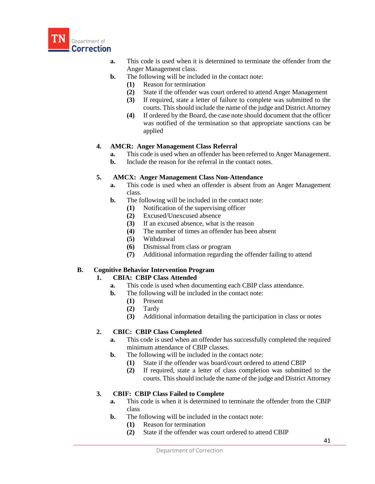

- **a.** This code is used when it is determined to terminate the offender from the Anger Management class.
- **b.** The following will be included in the contact note:
	- **(1)** Reason for termination
	- **(2)** State if the offender was court ordered to attend Anger Management
	- **(3)** If required, state a letter of failure to complete was submitted to the courts. This should include the name of the judge and District Attorney
	- **(4)** If ordered by the Board, the case note should document that the officer was notified of the termination so that appropriate sanctions can be applied

# **4. AMCR: Anger Management Class Referral**

- **a.** This code is used when an offender has been referred to Anger Management.
- **b.** Include the reason for the referral in the contact notes.

### **5. AMCX: Anger Management Class Non-Attendance**

- **a.** This code is used when an offender is absent from an Anger Management class.
- **b.** The following will be included in the contact note:
	- **(1)** Notification of the supervising officer
	- **(2)** Excused/Unexcused absence
	- **(3)** If an excused absence, what is the reason
	- **(4)** The number of times an offender has been absent
	- **(5)** Withdrawal
	- **(6)** Dismissal from class or program
	- **(7)** Additional information regarding the offender failing to attend

# **B. Cognitive Behavior Intervention Program**

# **1. CBIA: CBIP Class Attended**

- **a.** This code is used when documenting each CBIP class attendance.
- **b.** The following will be included in the contact note:
	- **(1)** Present
	- **(2)** Tardy
	- **(3)** Additional information detailing the participation in class or notes

# **2. CBIC: CBIP Class Completed**

- **a.** This code is used when an offender has successfully completed the required minimum attendance of CBIP classes.
- **b.** The following will be included in the contact note:
	- **(1)** State if the offender was board/court ordered to attend CBIP
	- **(2)** If required, state a letter of class completion was submitted to the courts. This should include the name of the judge and District Attorney

# **3. CBIF: CBIP Class Failed to Complete**

- **a.** This code is when it is determined to terminate the offender from the CBIP class
- **b.** The following will be included in the contact note:
	- **(1)** Reason for termination
	- **(2)** State if the offender was court ordered to attend CBIP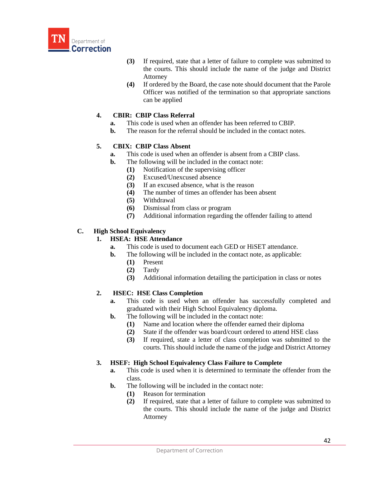

- **(3)** If required, state that a letter of failure to complete was submitted to the courts. This should include the name of the judge and District Attorney
- **(4)** If ordered by the Board, the case note should document that the Parole Officer was notified of the termination so that appropriate sanctions can be applied

# **4. CBIR: CBIP Class Referral**

- **a.** This code is used when an offender has been referred to CBIP.
- **b.** The reason for the referral should be included in the contact notes.

# **5. CBIX: CBIP Class Absent**

- **a.** This code is used when an offender is absent from a CBIP class.
- **b.** The following will be included in the contact note:
	- **(1)** Notification of the supervising officer
	- **(2)** Excused/Unexcused absence
	- **(3)** If an excused absence, what is the reason
	- **(4)** The number of times an offender has been absent
	- **(5)** Withdrawal
	- **(6)** Dismissal from class or program
	- **(7)** Additional information regarding the offender failing to attend

# **C. High School Equivalency**

# **1. HSEA: HSE Attendance**

- **a.** This code is used to document each GED or HiSET attendance.
- **b.** The following will be included in the contact note, as applicable:
	- **(1)** Present
	- **(2)** Tardy
	- **(3)** Additional information detailing the participation in class or notes

# **2. HSEC: HSE Class Completion**

- **a.** This code is used when an offender has successfully completed and graduated with their High School Equivalency diploma.
- **b.** The following will be included in the contact note:
	- **(1)** Name and location where the offender earned their diploma
	- **(2)** State if the offender was board/court ordered to attend HSE class
	- **(3)** If required, state a letter of class completion was submitted to the courts. This should include the name of the judge and District Attorney

# **3. HSEF: High School Equivalency Class Failure to Complete**

- **a.** This code is used when it is determined to terminate the offender from the class.
- **b.** The following will be included in the contact note:
	- **(1)** Reason for termination
	- **(2)** If required, state that a letter of failure to complete was submitted to the courts. This should include the name of the judge and District Attorney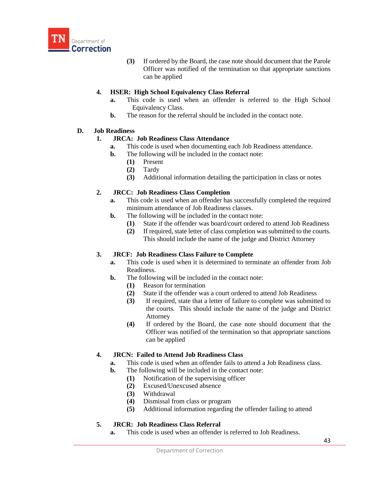

**(3)** If ordered by the Board, the case note should document that the Parole Officer was notified of the termination so that appropriate sanctions can be applied

### **4. HSER: High School Equivalency Class Referral**

- **a.** This code is used when an offender is referred to the High School Equivalency Class.
- **b.** The reason for the referral should be included in the contact note.

# **D. Job Readiness**

### **1. JRCA: Job Readiness Class Attendance**

- **a.** This code is used when documenting each Job Readiness attendance.
- **b.** The following will be included in the contact note:
	- **(1)** Present
	- **(2)** Tardy
	- **(3)** Additional information detailing the participation in class or notes

### **2. JRCC: Job Readiness Class Completion**

- **a.** This code is used when an offender has successfully completed the required minimum attendance of Job Readiness classes.
- **b.** The following will be included in the contact note:
	- **(1)** State if the offender was board/court ordered to attend Job Readiness
	- **(2)** If required, state letter of class completion was submitted to the courts. This should include the name of the judge and District Attorney

# **3. JRCF: Job Readiness Class Failure to Complete**

- **a.** This code is used when it is determined to terminate an offender from Job Readiness.
- **b.** The following will be included in the contact note:
	- **(1)** Reason for termination
	- **(2)** State if the offender was a court ordered to attend Job Readiness
	- **(3)** If required, state that a letter of failure to complete was submitted to the courts. This should include the name of the judge and District Attorney
	- **(4)** If ordered by the Board, the case note should document that the Officer was notified of the termination so that appropriate sanctions can be applied

# **4. JRCN: Failed to Attend Job Readiness Class**

- **a.** This code is used when an offender fails to attend a Job Readiness class.
- **b.** The following will be included in the contact note:
	- **(1)** Notification of the supervising officer
	- **(2)** Excused/Unexcused absence
	- **(3)** Withdrawal
	- **(4)** Dismissal from class or program
	- **(5)** Additional information regarding the offender failing to attend

# **5. JRCR: Job Readiness Class Referral**

**a.** This code is used when an offender is referred to Job Readiness.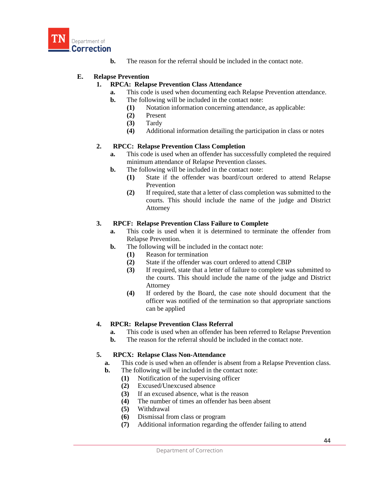

**b.** The reason for the referral should be included in the contact note.

### **E. Relapse Prevention**

### **1. RPCA: Relapse Prevention Class Attendance**

- **a.** This code is used when documenting each Relapse Prevention attendance.
- **b.** The following will be included in the contact note:
	- **(1)** Notation information concerning attendance, as applicable:
	- **(2)** Present
	- **(3)** Tardy
	- **(4)** Additional information detailing the participation in class or notes

### **2. RPCC: Relapse Prevention Class Completion**

- **a.** This code is used when an offender has successfully completed the required minimum attendance of Relapse Prevention classes.
- **b.** The following will be included in the contact note:
	- **(1)** State if the offender was board/court ordered to attend Relapse Prevention
	- **(2)** If required, state that a letter of class completion was submitted to the courts. This should include the name of the judge and District Attorney

### **3. RPCF: Relapse Prevention Class Failure to Complete**

- **a.** This code is used when it is determined to terminate the offender from Relapse Prevention.
- **b.** The following will be included in the contact note:
	- **(1)** Reason for termination
	- **(2)** State if the offender was court ordered to attend CBIP
	- **(3)** If required, state that a letter of failure to complete was submitted to the courts. This should include the name of the judge and District Attorney
	- **(4)** If ordered by the Board, the case note should document that the officer was notified of the termination so that appropriate sanctions can be applied

# **4. RPCR: Relapse Prevention Class Referral**

- **a.** This code is used when an offender has been referred to Relapse Prevention
- **b.** The reason for the referral should be included in the contact note.

# **5. RPCX: Relapse Class Non-Attendance**

- **a.** This code is used when an offender is absent from a Relapse Prevention class.
- **b.** The following will be included in the contact note:
	- **(1)** Notification of the supervising officer
	- **(2)** Excused/Unexcused absence
	- **(3)** If an excused absence, what is the reason
	- **(4)** The number of times an offender has been absent
	- **(5)** Withdrawal
	- **(6)** Dismissal from class or program
	- **(7)** Additional information regarding the offender failing to attend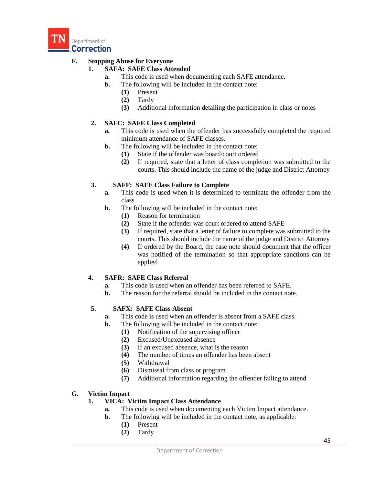

# **F. Stopping Abuse for Everyone**

# **1. SAFA: SAFE Class Attended**

- **a.** This code is used when documenting each SAFE attendance.
- **b.** The following will be included in the contact note:
	- **(1)** Present
	- **(2)** Tardy
	- **(3)** Additional information detailing the participation in class or notes

# **2. SAFC: SAFE Class Completed**

- **a.** This code is used when the offender has successfully completed the required minimum attendance of SAFE classes.
- **b.** The following will be included in the contact note:
	- **(1)** State if the offender was board/court ordered
	- **(2)** If required, state that a letter of class completion was submitted to the courts. This should include the name of the judge and District Attorney

# **3. SAFF: SAFE Class Failure to Complete**

- **a.** This code is used when it is determined to terminate the offender from the class.
- **b.** The following will be included in the contact note:
	- **(1)** Reason for termination
	- **(2)** State if the offender was court ordered to attend SAFE
	- **(3)** If required, state that a letter of failure to complete was submitted to the courts. This should include the name of the judge and District Attorney
	- **(4)** If ordered by the Board, the case note should document that the officer was notified of the termination so that appropriate sanctions can be applied

#### **4. SAFR: SAFE Class Referral**

- **a.** This code is used when an offender has been referred to SAFE.
- **b.** The reason for the referral should be included in the contact note.

# **5. SAFX: SAFE Class Absent**

- **a.** This code is used when an offender is absent from a SAFE class.
- **b.** The following will be included in the contact note:
	- **(1)** Notification of the supervising officer
	- **(2)** Excused/Unexcused absence
	- **(3)** If an excused absence, what is the reason
	- **(4)** The number of times an offender has been absent
	- **(5)** Withdrawal
	- **(6)** Dismissal from class or program
	- **(7)** Additional information regarding the offender failing to attend

#### **G. Victim Impact**

# **1. VICA: Victim Impact Class Attendance**

- **a.** This code is used when documenting each Victim Impact attendance.
- **b.** The following will be included in the contact note, as applicable:
	- **(1)** Present
	- **(2)** Tardy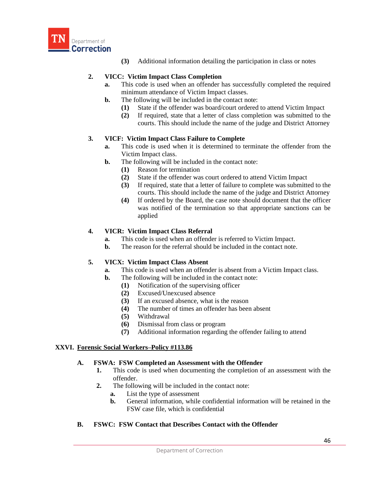

**(3)** Additional information detailing the participation in class or notes

### **2. VICC: Victim Impact Class Completion**

- **a.** This code is used when an offender has successfully completed the required minimum attendance of Victim Impact classes.
- **b.** The following will be included in the contact note:
	- **(1)** State if the offender was board/court ordered to attend Victim Impact
	- **(2)** If required, state that a letter of class completion was submitted to the courts. This should include the name of the judge and District Attorney

#### **3. VICF: Victim Impact Class Failure to Complete**

- **a.** This code is used when it is determined to terminate the offender from the Victim Impact class.
- **b.** The following will be included in the contact note:
	- **(1)** Reason for termination
	- **(2)** State if the offender was court ordered to attend Victim Impact
	- **(3)** If required, state that a letter of failure to complete was submitted to the courts. This should include the name of the judge and District Attorney
	- **(4)** If ordered by the Board, the case note should document that the officer was notified of the termination so that appropriate sanctions can be applied

### **4. VICR: Victim Impact Class Referral**

- **a.** This code is used when an offender is referred to Victim Impact.
- **b.** The reason for the referral should be included in the contact note.

# **5. VICX: Victim Impact Class Absent**

- **a.** This code is used when an offender is absent from a Victim Impact class.
- **b.** The following will be included in the contact note:
	- **(1)** Notification of the supervising officer
	- **(2)** Excused/Unexcused absence
	- **(3)** If an excused absence, what is the reason
	- **(4)** The number of times an offender has been absent
	- **(5)** Withdrawal
	- **(6)** Dismissal from class or program
	- **(7)** Additional information regarding the offender failing to attend

#### **XXVI. Forensic Social Workers–Policy #113.86**

#### **A. FSWA: FSW Completed an Assessment with the Offender**

- **1.** This code is used when documenting the completion of an assessment with the offender.
- **2.** The following will be included in the contact note:
	- **a.** List the type of assessment
	- **b.** General information, while confidential information will be retained in the FSW case file, which is confidential

# **B. FSWC: FSW Contact that Describes Contact with the Offender**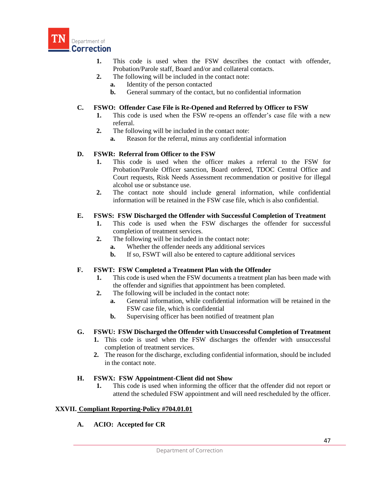

- **1.** This code is used when the FSW describes the contact with offender, Probation/Parole staff, Board and/or and collateral contacts.
- **2.** The following will be included in the contact note:
	- **a.** Identity of the person contacted
	- **b.** General summary of the contact, but no confidential information

### **C. FSWO: Offender Case File is Re-Opened and Referred by Officer to FSW**

- **1.** This code is used when the FSW re-opens an offender's case file with a new referral.
- **2.** The following will be included in the contact note:
	- **a.** Reason for the referral, minus any confidential information

#### **D. FSWR: Referral from Officer to the FSW**

- **1.** This code is used when the officer makes a referral to the FSW for Probation/Parole Officer sanction, Board ordered, TDOC Central Office and Court requests, Risk Needs Assessment recommendation or positive for illegal alcohol use or substance use.
- **2.** The contact note should include general information, while confidential information will be retained in the FSW case file, which is also confidential.

#### **E. FSWS: FSW Discharged the Offender with Successful Completion of Treatment**

- **1.** This code is used when the FSW discharges the offender for successful completion of treatment services.
- **2.** The following will be included in the contact note:
	- **a.** Whether the offender needs any additional services
	- **b.** If so, FSWT will also be entered to capture additional services

#### **F. FSWT: FSW Completed a Treatment Plan with the Offender**

- **1.** This code is used when the FSW documents a treatment plan has been made with the offender and signifies that appointment has been completed.
- **2.** The following will be included in the contact note:
	- **a.** General information, while confidential information will be retained in the FSW case file, which is confidential
	- **b.** Supervising officer has been notified of treatment plan

#### **G. FSWU: FSW Discharged the Offender with Unsuccessful Completion of Treatment**

- **1.** This code is used when the FSW discharges the offender with unsuccessful completion of treatment services.
- **2.** The reason for the discharge, excluding confidential information, should be included in the contact note.

#### **H. FSWX: FSW Appointment-Client did not Show**

**1.** This code is used when informing the officer that the offender did not report or attend the scheduled FSW appointment and will need rescheduled by the officer.

#### **XXVII. Compliant Reporting-Policy #704.01.01**

### **A. ACIO: Accepted for CR**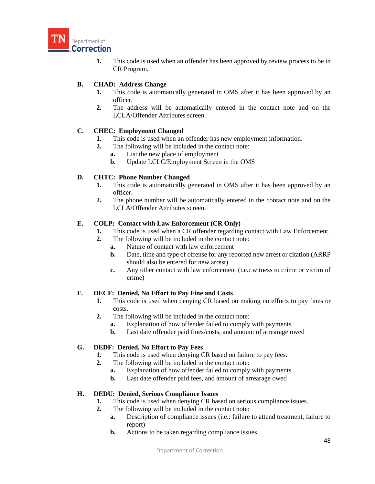

**1.** This code is used when an offender has been approved by review process to be in CR Program.

# **B. CHAD: Address Change**

- **1.** This code is automatically generated in OMS after it has been approved by an officer.
- **2.** The address will be automatically entered in the contact note and on the LCLA/Offender Attributes screen.

# **C. CHEC: Employment Changed**

- **1.** This code is used when an offender has new employment information.
- **2.** The following will be included in the contact note:
	- **a.** List the new place of employment
	- **b.** Update LCLC/Employment Screen in the OMS

# **D. CHTC: Phone Number Changed**

- **1.** This code is automatically generated in OMS after it has been approved by an officer.
- **2.** The phone number will be automatically entered in the contact note and on the LCLA/Offender Attributes screen.

# **E. COLP: Contact with Law Enforcement (CR Only)**

- **1.** This code is used when a CR offender regarding contact with Law Enforcement.
- **2.** The following will be included in the contact note:
	- **a.** Nature of contact with law enforcement
	- **b.** Date, time and type of offense for any reported new arrest or citation (ARRP should also be entered for new arrest)
	- **c.** Any other contact with law enforcement (i.e.: witness to crime or victim of crime)

# **F. DECF: Denied, No Effort to Pay Fine and Costs**

- **1.** This code is used when denying CR based on making no efforts to pay fines or costs.
- **2.** The following will be included in the contact note:
	- **a.** Explanation of how offender failed to comply with payments
	- **b.** Last date offender paid fines/costs, and amount of arrearage owed

#### **G. DEDF: Denied, No Effort to Pay Fees**

- **1.** This code is used when denying CR based on failure to pay fees.
- **2.** The following will be included in the contact note:
	- **a.** Explanation of how offender failed to comply with payments
	- **b.** Last date offender paid fees, and amount of arrearage owed

#### **H. DEDU: Denied, Serious Compliance Issues**

- **1.** This code is used when denying CR based on serious compliance issues.
- **2.** The following will be included in the contact note:
	- **a.** Description of compliance issues (i.e.: failure to attend treatment, failure to report)
	- **b.** Actions to be taken regarding compliance issues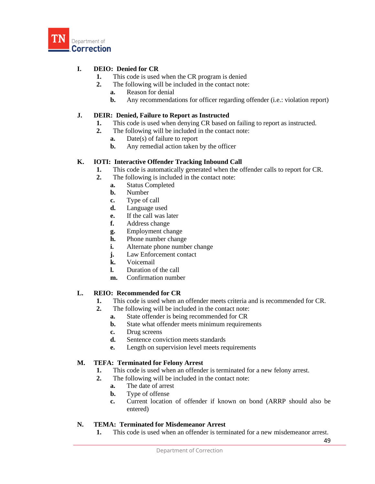

# **I. DEIO: Denied for CR**

- **1.** This code is used when the CR program is denied
- **2.** The following will be included in the contact note:
	- **a.** Reason for denial
	- **b.** Any recommendations for officer regarding offender (i.e.: violation report)

### **J. DEIR: Denied, Failure to Report as Instructed**

- **1.** This code is used when denying CR based on failing to report as instructed.
- **2.** The following will be included in the contact note:
	- **a.** Date(s) of failure to report
	- **b.** Any remedial action taken by the officer

### **K. IOTI: Interactive Offender Tracking Inbound Call**

- **1.** This code is automatically generated when the offender calls to report for CR.
- **2.** The following is included in the contact note:
	- **a.** Status Completed
	- **b.** Number
	- **c.** Type of call
	- **d.** Language used
	- **e.** If the call was later
	- **f.** Address change
	- **g.** Employment change
	- **h.** Phone number change
	- **i.** Alternate phone number change
	- **j.** Law Enforcement contact
	- **k.** Voicemail
	- **l.** Duration of the call
	- **m.** Confirmation number

### **L. REIO: Recommended for CR**

- **1.** This code is used when an offender meets criteria and is recommended for CR.
- **2.** The following will be included in the contact note:
	- **a.** State offender is being recommended for CR
	- **b.** State what offender meets minimum requirements
	- **c.** Drug screens
	- **d.** Sentence conviction meets standards
	- **e.** Length on supervision level meets requirements

## **M. TEFA: Terminated for Felony Arrest**

- **1.** This code is used when an offender is terminated for a new felony arrest.
- **2.** The following will be included in the contact note:
	- **a.** The date of arrest
	- **b.** Type of offense
	- **c.** Current location of offender if known on bond (ARRP should also be entered)

## **N. TEMA: Terminated for Misdemeanor Arrest**

**1.** This code is used when an offender is terminated for a new misdemeanor arrest.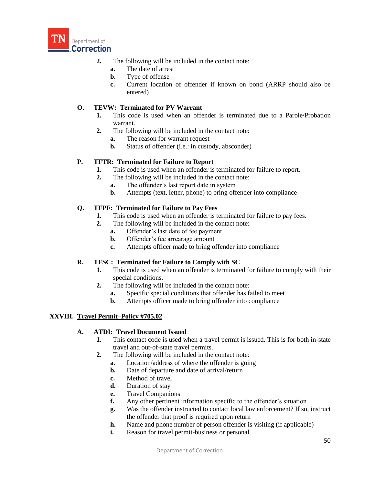

- **2.** The following will be included in the contact note:
	- **a.** The date of arrest
	- **b.** Type of offense
	- **c.** Current location of offender if known on bond (ARRP should also be entered)

## **O. TEVW: Terminated for PV Warrant**

- **1.** This code is used when an offender is terminated due to a Parole/Probation warrant.
- **2.** The following will be included in the contact note:
	- **a.** The reason for warrant request
	- **b.** Status of offender (i.e.: in custody, absconder)

### **P. TFTR: Terminated for Failure to Report**

- **1.** This code is used when an offender is terminated for failure to report.
- **2.** The following will be included in the contact note:
	- **a.** The offender's last report date in system
	- **b.** Attempts (text, letter, phone) to bring offender into compliance

### **Q. TFPF: Terminated for Failure to Pay Fees**

- **1.** This code is used when an offender is terminated for failure to pay fees.
- **2.** The following will be included in the contact note:
	- **a.** Offender's last date of fee payment
	- **b.** Offender's fee arrearage amount
	- **c.** Attempts officer made to bring offender into compliance

### **R. TFSC: Terminated for Failure to Comply with SC**

- **1.** This code is used when an offender is terminated for failure to comply with their special conditions.
- **2.** The following will be included in the contact note:
	- **a.** Specific special conditions that offender has failed to meet
	- **b.** Attempts officer made to bring offender into compliance

### **XXVIII. Travel Permit–Policy #705.02**

### **A. ATDI: Travel Document Issued**

- **1.** This contact code is used when a travel permit is issued. This is for both in-state travel and out-of-state travel permits.
- **2.** The following will be included in the contact note:
	- **a.** Location/address of where the offender is going
	- **b.** Date of departure and date of arrival/return
	- **c.** Method of travel
	- **d.** Duration of stay
	- **e.** Travel Companions
	- **f.** Any other pertinent information specific to the offender's situation
	- **g.** Was the offender instructed to contact local law enforcement? If so, instruct the offender that proof is required upon return
	- **h.** Name and phone number of person offender is visiting (if applicable)
	- **i.** Reason for travel permit-business or personal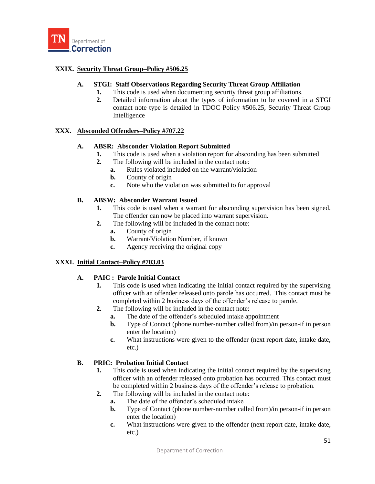

## **XXIX. Security Threat Group–Policy #506.25**

### **A. STGI: Staff Observations Regarding Security Threat Group Affiliation**

- **1.** This code is used when documenting security threat group affiliations.
- **2.** Detailed information about the types of information to be covered in a STGI contact note type is detailed in TDOC Policy #506.25, Security Threat Group Intelligence

### **XXX. Absconded Offenders–Policy #707.22**

### **A. ABSR: Absconder Violation Report Submitted**

- **1.** This code is used when a violation report for absconding has been submitted
- **2.** The following will be included in the contact note:
	- **a.** Rules violated included on the warrant/violation
	- **b.** County of origin
	- **c.** Note who the violation was submitted to for approval

### **B. ABSW: Absconder Warrant Issued**

- **1.** This code is used when a warrant for absconding supervision has been signed. The offender can now be placed into warrant supervision.
- **2.** The following will be included in the contact note:
	- **a.** County of origin
	- **b.** Warrant/Violation Number, if known
	- **c.** Agency receiving the original copy

### **XXXI. Initial Contact–Policy #703.03**

### **A. PAIC : Parole Initial Contact**

- **1.** This code is used when indicating the initial contact required by the supervising officer with an offender released onto parole has occurred. This contact must be completed within 2 business days of the offender's release to parole.
- **2.** The following will be included in the contact note:
	- **a.** The date of the offender's scheduled intake appointment
	- **b.** Type of Contact (phone number-number called from)/in person-if in person enter the location)
	- **c.** What instructions were given to the offender (next report date, intake date, etc.)

## **B. PRIC: Probation Initial Contact**

- **1.** This code is used when indicating the initial contact required by the supervising officer with an offender released onto probation has occurred. This contact must be completed within 2 business days of the offender's release to probation.
- **2.** The following will be included in the contact note:
	- **a.** The date of the offender's scheduled intake
	- **b.** Type of Contact (phone number-number called from)/in person-if in person enter the location)
	- **c.** What instructions were given to the offender (next report date, intake date, etc.)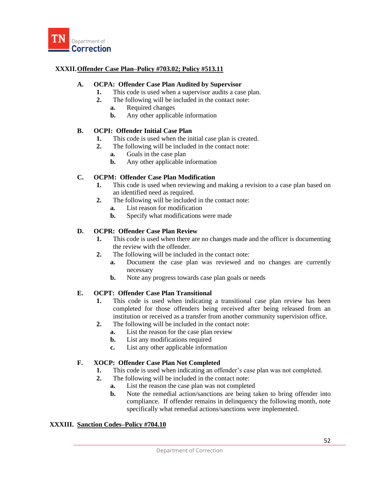

## **XXXII.Offender Case Plan–Policy #703.02; Policy #513.11**

### **A. OCPA: Offender Case Plan Audited by Supervisor**

- **1.** This code is used when a supervisor audits a case plan.
- **2.** The following will be included in the contact note:
	- **a.** Required changes
	- **b.** Any other applicable information

### **B. OCPI: Offender Initial Case Plan**

- **1.** This code is used when the initial case plan is created.
- **2.** The following will be included in the contact note:
	- **a.** Goals in the case plan
	- **b.** Any other applicable information

## **C. OCPM: Offender Case Plan Modification**

- **1.** This code is used when reviewing and making a revision to a case plan based on an identified need as required.
- **2.** The following will be included in the contact note:
	- **a.** List reason for modification
	- **b.** Specify what modifications were made

### **D. OCPR: Offender Case Plan Review**

- **1.** This code is used when there are no changes made and the officer is documenting the review with the offender.
- **2.** The following will be included in the contact note:
	- **a.** Document the case plan was reviewed and no changes are currently necessary
	- **b.** Note any progress towards case plan goals or needs

## **E. OCPT: Offender Case Plan Transitional**

- **1.** This code is used when indicating a transitional case plan review has been completed for those offenders being received after being released from an institution or received as a transfer from another community supervision office.
- **2.** The following will be included in the contact note:
	- **a.** List the reason for the case plan review
	- **b.** List any modifications required
	- **c.** List any other applicable information

## **F. XOCP: Offender Case Plan Not Completed**

- **1.** This code is used when indicating an offender's case plan was not completed.
- **2.** The following will be included in the contact note:
	- **a.** List the reason the case plan was not completed
	- **b.** Note the remedial action/sanctions are being taken to bring offender into compliance. If offender remains in delinquency the following month, note specifically what remedial actions/sanctions were implemented.

### **XXXIII. Sanction Codes–Policy #704.10**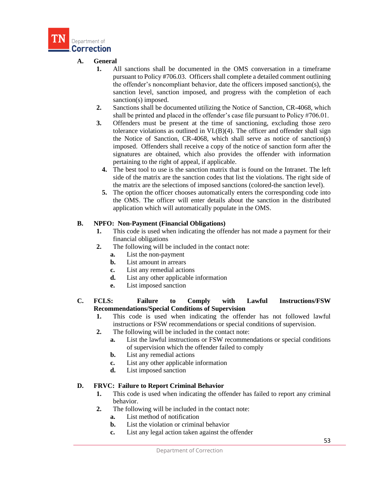

## **A. General**

- **1.** All sanctions shall be documented in the OMS conversation in a timeframe pursuant to Policy #706.03. Officers shall complete a detailed comment outlining the offender's noncompliant behavior, date the officers imposed sanction(s), the sanction level, sanction imposed, and progress with the completion of each sanction(s) imposed.
- **2.** Sanctions shall be documented utilizing the Notice of Sanction, CR-4068, which shall be printed and placed in the offender's case file pursuant to Policy #706.01.
- **3.** Offenders must be present at the time of sanctioning, excluding those zero tolerance violations as outlined in VI.(B)(4). The officer and offender shall sign the Notice of Sanction, CR-4068, which shall serve as notice of sanction(s) imposed. Offenders shall receive a copy of the notice of sanction form after the signatures are obtained, which also provides the offender with information pertaining to the right of appeal, if applicable.
	- **4.** The best tool to use is the sanction matrix that is found on the Intranet. The left side of the matrix are the sanction codes that list the violations. The right side of the matrix are the selections of imposed sanctions (colored-the sanction level).
	- **5.** The option the officer chooses automatically enters the corresponding code into the OMS. The officer will enter details about the sanction in the distributed application which will automatically populate in the OMS.

## **B. NPFO: Non-Payment (Financial Obligations)**

- **1.** This code is used when indicating the offender has not made a payment for their financial obligations
- **2.** The following will be included in the contact note:
	- **a.** List the non-payment
	- **b.** List amount in arrears
	- **c.** List any remedial actions
	- **d.** List any other applicable information
	- **e.** List imposed sanction
- **C. FCLS: Failure to Comply with Lawful Instructions/FSW Recommendations/Special Conditions of Supervision**
	- **1.** This code is used when indicating the offender has not followed lawful instructions or FSW recommendations or special conditions of supervision.
	- **2.** The following will be included in the contact note:
		- **a.** List the lawful instructions or FSW recommendations or special conditions of supervision which the offender failed to comply
		- **b.** List any remedial actions
		- **c.** List any other applicable information
		- **d.** List imposed sanction

## **D. FRVC: Failure to Report Criminal Behavior**

- **1.** This code is used when indicating the offender has failed to report any criminal behavior.
- **2.** The following will be included in the contact note:
	- **a.** List method of notification
	- **b.** List the violation or criminal behavior
	- **c.** List any legal action taken against the offender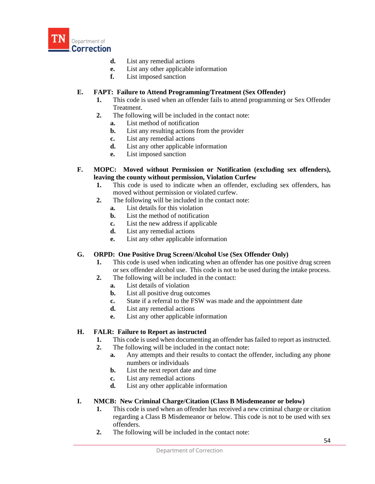

- **d.** List any remedial actions
- **e.** List any other applicable information
- **f.** List imposed sanction

## **E. FAPT: Failure to Attend Programming/Treatment (Sex Offender)**

- **1.** This code is used when an offender fails to attend programming or Sex Offender Treatment.
- **2.** The following will be included in the contact note:
	- **a.** List method of notification
	- **b.** List any resulting actions from the provider
	- **c.** List any remedial actions
	- **d.** List any other applicable information
	- **e.** List imposed sanction
- **F. MOPC: Moved without Permission or Notification (excluding sex offenders), leaving the county without permission, Violation Curfew**
	- **1.** This code is used to indicate when an offender, excluding sex offenders, has moved without permission or violated curfew.
	- **2.** The following will be included in the contact note:
		- **a.** List details for this violation
		- **b.** List the method of notification
		- **c.** List the new address if applicable
		- **d.** List any remedial actions
		- **e.** List any other applicable information

### **G. ORPD: One Positive Drug Screen/Alcohol Use (Sex Offender Only)**

- **1.** This code is used when indicating when an offender has one positive drug screen or sex offender alcohol use. This code is not to be used during the intake process.
- **2.** The following will be included in the contact:
	- **a.** List details of violation
	- **b.** List all positive drug outcomes
	- **c.** State if a referral to the FSW was made and the appointment date
	- **d.** List any remedial actions
	- **e.** List any other applicable information

### **H. FALR: Failure to Report as instructed**

- **1.** This code is used when documenting an offender has failed to report as instructed.
- **2.** The following will be included in the contact note:
	- **a.** Any attempts and their results to contact the offender, including any phone numbers or individuals
	- **b.** List the next report date and time
	- **c.** List any remedial actions
	- **d.** List any other applicable information

## **I. NMCB: New Criminal Charge/Citation (Class B Misdemeanor or below)**

- **1.** This code is used when an offender has received a new criminal charge or citation regarding a Class B Misdemeanor or below. This code is not to be used with sex offenders.
- **2.** The following will be included in the contact note: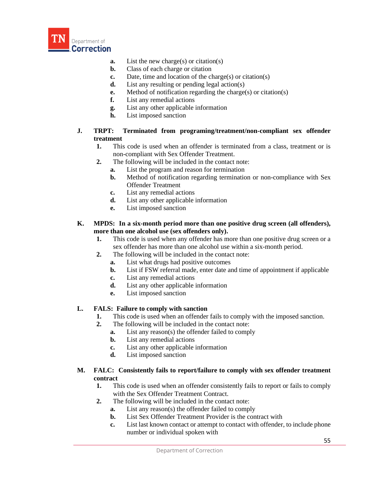

- **a.** List the new charge(s) or citation(s)
- **b.** Class of each charge or citation
- **c.** Date, time and location of the charge(s) or citation(s)
- **d.** List any resulting or pending legal action(s)
- **e.** Method of notification regarding the charge(s) or citation(s)
- **f.** List any remedial actions
- **g.** List any other applicable information
- **h.** List imposed sanction
- **J. TRPT: Terminated from programing/treatment/non-compliant sex offender treatment**
	- **1.** This code is used when an offender is terminated from a class, treatment or is non-compliant with Sex Offender Treatment.
	- **2.** The following will be included in the contact note:
		- **a.** List the program and reason for termination
		- **b.** Method of notification regarding termination or non-compliance with Sex Offender Treatment
		- **c.** List any remedial actions
		- **d.** List any other applicable information
		- **e.** List imposed sanction
- **K. MPDS: In a six-month period more than one positive drug screen (all offenders), more than one alcohol use (sex offenders only).**
	- **1.** This code is used when any offender has more than one positive drug screen or a sex offender has more than one alcohol use within a six-month period.
	- **2.** The following will be included in the contact note:
		- **a.** List what drugs had positive outcomes
		- **b.** List if FSW referral made, enter date and time of appointment if applicable
		- **c.** List any remedial actions
		- **d.** List any other applicable information
		- **e.** List imposed sanction

### **L. FALS: Failure to comply with sanction**

- **1.** This code is used when an offender fails to comply with the imposed sanction.
- **2.** The following will be included in the contact note:
	- **a.** List any reason(s) the offender failed to comply
	- **b.** List any remedial actions
	- **c.** List any other applicable information
	- **d.** List imposed sanction

### **M. FALC: Consistently fails to report/failure to comply with sex offender treatment contract**

- **1.** This code is used when an offender consistently fails to report or fails to comply with the Sex Offender Treatment Contract.
- **2.** The following will be included in the contact note:
	- **a.** List any reason(s) the offender failed to comply
		- **b.** List Sex Offender Treatment Provider is the contract with
		- **c.** List last known contact or attempt to contact with offender, to include phone number or individual spoken with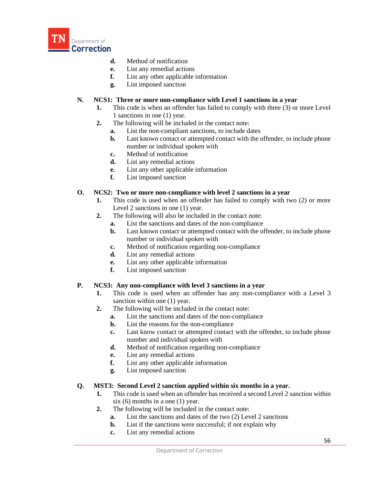

- **d.** Method of notification
- **e.** List any remedial actions
- **f.** List any other applicable information
- **g.** List imposed sanction

### **N. NCS1: Three or more non-compliance with Level 1 sanctions in a year**

- **1.** This code is when an offender has failed to comply with three (3) or more Level 1 sanctions in one (1) year.
- **2.** The following will be included in the contact note:
	- **a.** List the non-compliant sanctions, to include dates
	- **b.** Last known contact or attempted contact with the offender, to include phone number or individual spoken with
	- **c.** Method of notification
	- **d.** List any remedial actions
	- **e.** List any other applicable information
	- **f.** List imposed sanction

### **O. NCS2: Two or more non-compliance with level 2 sanctions in a year**

- **1.** This code is used when an offender has failed to comply with two (2) or more Level 2 sanctions in one (1) year.
- **2.** The following will also be included in the contact note:
	- **a.** List the sanctions and dates of the non-compliance
	- **b.** Last known contact or attempted contact with the offender, to include phone number or individual spoken with
	- **c.** Method of notification regarding non-compliance
	- **d.** List any remedial actions
	- **e.** List any other applicable information
	- **f.** List imposed sanction

### **P. NCS3: Any non-compliance with level 3 sanctions in a year**

- **1.** This code is used when an offender has any non-compliance with a Level 3 sanction within one (1) year.
- **2.** The following will be included in the contact note:
	- **a.** List the sanctions and dates of the non-compliance
	- **b.** List the reasons for the non-compliance
	- **c.** Last know contact or attempted contact with the offender, to include phone number and individual spoken with
	- **d.** Method of notification regarding non-compliance
	- **e.** List any remedial actions
	- **f.** List any other applicable information
	- **g.** List imposed sanction

### **Q. MST3: Second Level 2 sanction applied within six months in a year.**

- **1.** This code is used when an offender has received a second Level 2 sanction within six (6) months in a one (1) year.
- **2.** The following will be included in the contact note:
	- **a.** List the sanctions and dates of the two (2) Level 2 sanctions
	- **b.** List if the sanctions were successful; if not explain why
	- **c.** List any remedial actions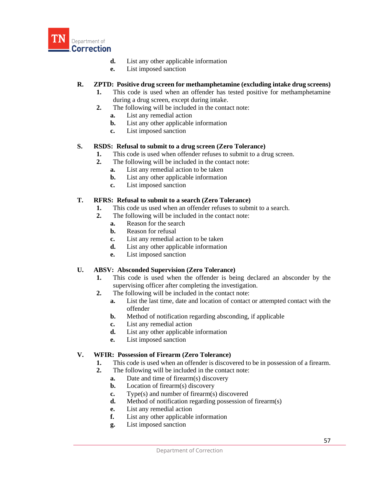

- **d.** List any other applicable information
- **e.** List imposed sanction

## **R. ZPTD: Positive drug screen for methamphetamine (excluding intake drug screens)**

- **1.** This code is used when an offender has tested positive for methamphetamine during a drug screen, except during intake.
- **2.** The following will be included in the contact note:
	- **a.** List any remedial action
	- **b.** List any other applicable information
	- **c.** List imposed sanction

### **S. RSDS: Refusal to submit to a drug screen (Zero Tolerance)**

- **1.** This code is used when offender refuses to submit to a drug screen.
- **2.** The following will be included in the contact note:
	- **a.** List any remedial action to be taken
	- **b.** List any other applicable information
	- **c.** List imposed sanction

### **T. RFRS: Refusal to submit to a search (Zero Tolerance)**

- **1.** This code us used when an offender refuses to submit to a search.
- **2.** The following will be included in the contact note:
	- **a.** Reason for the search
	- **b.** Reason for refusal
	- **c.** List any remedial action to be taken
	- **d.** List any other applicable information
	- **e.** List imposed sanction

### **U. ABSV: Absconded Supervision (Zero Tolerance)**

- **1.** This code is used when the offender is being declared an absconder by the supervising officer after completing the investigation.
- **2.** The following will be included in the contact note:
	- **a.** List the last time, date and location of contact or attempted contact with the offender
	- **b.** Method of notification regarding absconding, if applicable
	- **c.** List any remedial action
	- **d.** List any other applicable information
	- **e.** List imposed sanction

### **V. WFIR: Possession of Firearm (Zero Tolerance)**

- **1.** This code is used when an offender is discovered to be in possession of a firearm.
- **2.** The following will be included in the contact note:
	- **a.** Date and time of firearm(s) discovery
	- **b.** Location of firearm(s) discovery
	- **c.** Type(s) and number of firearm(s) discovered
	- **d.** Method of notification regarding possession of firearm(s)
	- **e.** List any remedial action
	- **f.** List any other applicable information
	- **g.** List imposed sanction